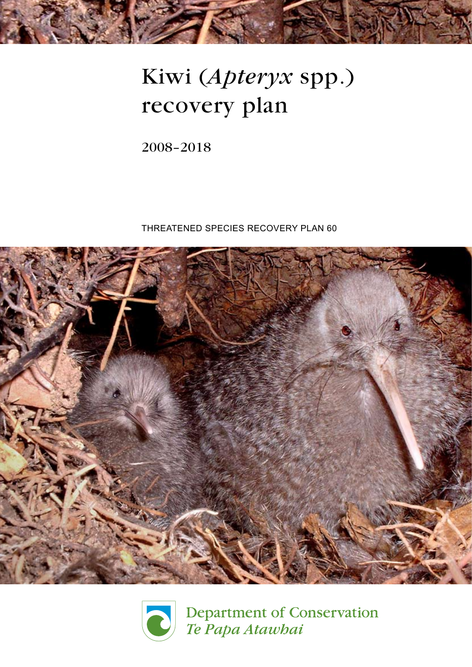

# Kiwi (Apteryx spp.) recovery plan

2008–2018

Threatened Species Recovery Plan 60





Department of Conservation Te Papa Atawhai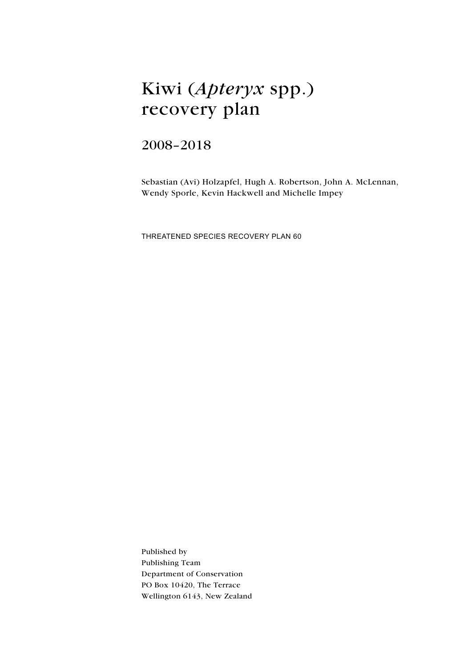# Kiwi (Apteryx spp.) recovery plan

# 2008–2018

Sebastian (Avi) Holzapfel, Hugh A. Robertson, John A. McLennan, Wendy Sporle, Kevin Hackwell and Michelle Impey

Threatened Species Recovery Plan 60

Published by Publishing Team Department of Conservation PO Box 10420, The Terrace Wellington 6143, New Zealand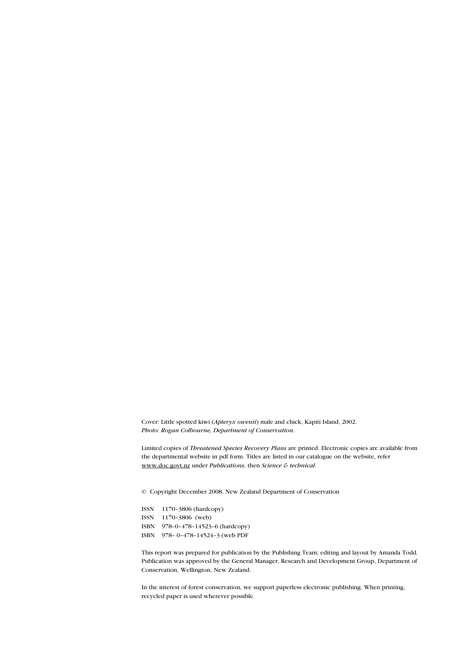Cover: Little spotted kiwi (Apteryx owenii) male and chick, Kapiti Island, 2002. Photo: Rogan Colbourne, Department of Conservation.

Limited copies of Threatened Species Recovery Plans are printed. Electronic copies are available from the departmental website in pdf form. Titles are listed in our catalogue on the website, refer www.doc.govt.nz under Publications, then Science & technical.

© Copyright December 2008, New Zealand Department of Conservation

ISSN 1170–3806 (hardcopy) ISSN 1170–3806 (web) ISBN 978–0–478–14523–6 (hardcopy) ISBN 978– 0–478–14524–3 (web PDF

This report was prepared for publication by the Publishing Team; editing and layout by Amanda Todd. Publication was approved by the General Manager, Research and Development Group, Department of Conservation, Wellington, New Zealand.

In the interest of forest conservation, we support paperless electronic publishing. When printing, recycled paper is used wherever possible.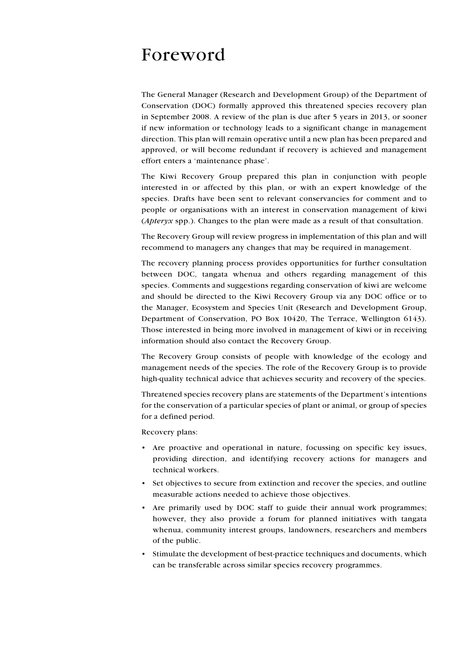# Foreword

The General Manager (Research and Development Group) of the Department of Conservation (DOC) formally approved this threatened species recovery plan in September 2008. A review of the plan is due after 5 years in 2013, or sooner if new information or technology leads to a significant change in management direction. This plan will remain operative until a new plan has been prepared and approved, or will become redundant if recovery is achieved and management effort enters a 'maintenance phase'.

The Kiwi Recovery Group prepared this plan in conjunction with people interested in or affected by this plan, or with an expert knowledge of the species. Drafts have been sent to relevant conservancies for comment and to people or organisations with an interest in conservation management of kiwi (Apteryx spp.). Changes to the plan were made as a result of that consultation.

The Recovery Group will review progress in implementation of this plan and will recommend to managers any changes that may be required in management.

The recovery planning process provides opportunities for further consultation between DOC, tangata whenua and others regarding management of this species. Comments and suggestions regarding conservation of kiwi are welcome and should be directed to the Kiwi Recovery Group via any DOC office or to the Manager, Ecosystem and Species Unit (Research and Development Group, Department of Conservation, PO Box 10420, The Terrace, Wellington 6143). Those interested in being more involved in management of kiwi or in receiving information should also contact the Recovery Group.

The Recovery Group consists of people with knowledge of the ecology and management needs of the species. The role of the Recovery Group is to provide high-quality technical advice that achieves security and recovery of the species.

Threatened species recovery plans are statements of the Department's intentions for the conservation of a particular species of plant or animal, or group of species for a defined period.

Recovery plans:

- • Are proactive and operational in nature, focussing on specific key issues, providing direction, and identifying recovery actions for managers and technical workers.
- Set objectives to secure from extinction and recover the species, and outline measurable actions needed to achieve those objectives.
- Are primarily used by DOC staff to guide their annual work programmes; however, they also provide a forum for planned initiatives with tangata whenua, community interest groups, landowners, researchers and members of the public.
- • Stimulate the development of best-practice techniques and documents, which can be transferable across similar species recovery programmes.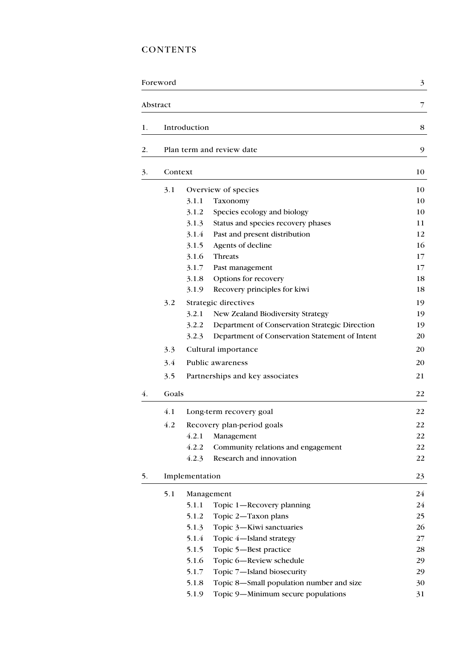# **CONTENTS**

|    | Foreword |                                                         | 3  |
|----|----------|---------------------------------------------------------|----|
|    | Abstract |                                                         | 7  |
| 1. |          | Introduction                                            | 8  |
| 2. |          | Plan term and review date                               | 9  |
| 3. | Context  |                                                         | 10 |
|    | 3.1      | Overview of species                                     | 10 |
|    |          | 3.1.1<br>Taxonomy                                       | 10 |
|    |          | 3.1.2<br>Species ecology and biology                    | 10 |
|    |          | 3.1.3<br>Status and species recovery phases             | 11 |
|    |          | 3.1.4<br>Past and present distribution                  | 12 |
|    |          | 3.1.5<br>Agents of decline                              | 16 |
|    |          | 3.1.6<br>Threats                                        | 17 |
|    |          | 3.1.7<br>Past management                                | 17 |
|    |          | 3.1.8<br>Options for recovery                           | 18 |
|    |          | 3.1.9<br>Recovery principles for kiwi                   | 18 |
|    | 3.2      | Strategic directives                                    | 19 |
|    |          | 3.2.1<br>New Zealand Biodiversity Strategy              | 19 |
|    |          | 3.2.2<br>Department of Conservation Strategic Direction | 19 |
|    |          | Department of Conservation Statement of Intent<br>3.2.3 | 20 |
|    | 3.3      | Cultural importance                                     | 20 |
|    | 3.4      | Public awareness                                        | 20 |
|    | 3.5      | Partnerships and key associates                         | 21 |
| 4. | Goals    |                                                         | 22 |
|    | 4.1      | Long-term recovery goal                                 | 22 |
|    | 4.2      |                                                         | 22 |
|    |          | Recovery plan-period goals<br>4.2.1<br>Management       | 22 |
|    |          | 4.2.2<br>Community relations and engagement             | 22 |
|    |          | 4.2.3<br>Research and innovation                        | 22 |
| 5. |          | Implementation                                          | 23 |
|    | 5.1      | Management                                              | 24 |
|    |          | 5.1.1<br>Topic 1-Recovery planning                      | 24 |
|    |          | 5.1.2<br>Topic 2-Taxon plans                            | 25 |
|    |          | 5.1.3<br>Topic 3-Kiwi sanctuaries                       | 26 |
|    |          | 5.1.4<br>Topic 4-Island strategy                        | 27 |
|    |          | 5.1.5<br>Topic 5-Best practice                          | 28 |
|    |          | 5.1.6<br>Topic 6-Review schedule                        | 29 |
|    |          | 5.1.7<br>Topic 7-Island biosecurity                     | 29 |
|    |          | Topic 8-Small population number and size<br>5.1.8       | 30 |
|    |          | 5.1.9<br>Topic 9-Minimum secure populations             | 31 |
|    |          |                                                         |    |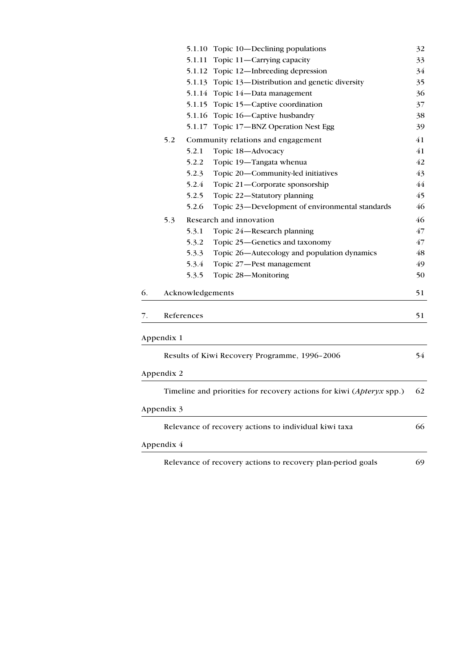|    |            | 5.1.10           | Topic 10—Declining populations                                       | 32 |
|----|------------|------------------|----------------------------------------------------------------------|----|
|    |            | 5.1.11           | Topic 11-Carrying capacity                                           | 33 |
|    |            | 5.1.12           | Topic 12—Inbreeding depression                                       | 34 |
|    |            | 5.1.13           | Topic 13-Distribution and genetic diversity                          | 35 |
|    |            | 5.1.14           | Topic 14-Data management                                             | 36 |
|    |            | 5.1.15           | Topic 15-Captive coordination                                        | 37 |
|    |            | 5.1.16           | Topic 16-Captive husbandry                                           | 38 |
|    |            | 5.1.17           | Topic 17-BNZ Operation Nest Egg                                      | 39 |
|    | 5.2        |                  | Community relations and engagement                                   | 41 |
|    |            | 5.2.1            | Topic 18-Advocacy                                                    | 41 |
|    |            | 5.2.2            | Topic 19-Tangata whenua                                              | 42 |
|    |            | 5.2.3            | Topic 20-Community-led initiatives                                   | 43 |
|    |            | 5.2.4            | Topic 21-Corporate sponsorship                                       | 44 |
|    |            | 5.2.5            | Topic 22-Statutory planning                                          | 45 |
|    |            | 5.2.6            | Topic 23-Development of environmental standards                      | 46 |
|    | 5.3        |                  | Research and innovation                                              | 46 |
|    |            | 5.3.1            | Topic 24-Research planning                                           | 47 |
|    |            | 5.3.2            | Topic 25-Genetics and taxonomy                                       | 47 |
|    |            | 5.3.3            | Topic 26-Autecology and population dynamics                          | 48 |
|    |            | 5.3.4            | Topic 27-Pest management                                             | 49 |
|    |            | 5.3.5            | Topic 28-Monitoring                                                  | 50 |
| 6. |            | Acknowledgements |                                                                      | 51 |
| 7. |            | References       |                                                                      | 51 |
|    | Appendix 1 |                  |                                                                      |    |
|    |            |                  | Results of Kiwi Recovery Programme, 1996-2006                        | 54 |
|    | Appendix 2 |                  |                                                                      |    |
|    |            |                  | Timeline and priorities for recovery actions for kiwi (Apteryx spp.) | 62 |
|    | Appendix 3 |                  |                                                                      |    |
|    |            |                  | Relevance of recovery actions to individual kiwi taxa                | 66 |
|    | Appendix 4 |                  |                                                                      |    |
|    |            |                  | Relevance of recovery actions to recovery plan-period goals          | 69 |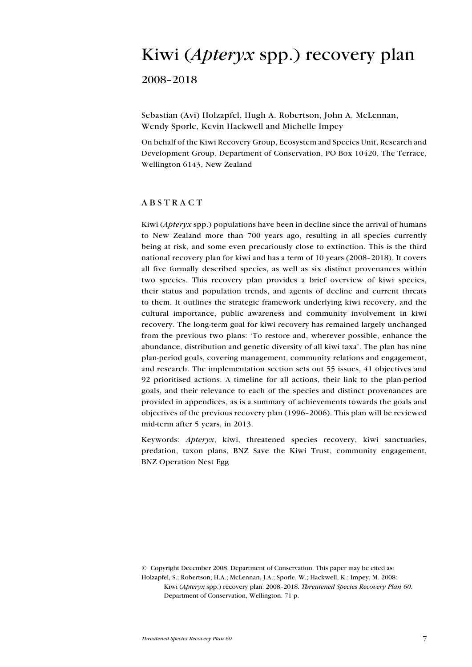# Kiwi (Apteryx spp.) recovery plan

2008–2018

Sebastian (Avi) Holzapfel, Hugh A. Robertson, John A. McLennan, Wendy Sporle, Kevin Hackwell and Michelle Impey

On behalf of the Kiwi Recovery Group, Ecosystem and Species Unit, Research and Development Group, Department of Conservation, PO Box 10420, The Terrace, Wellington 6143, New Zealand

#### **ABSTRACT**

Kiwi ( $Apteryx$  spp.) populations have been in decline since the arrival of humans to New Zealand more than 700 years ago, resulting in all species currently being at risk, and some even precariously close to extinction. This is the third national recovery plan for kiwi and has a term of 10 years (2008–2018). It covers all five formally described species, as well as six distinct provenances within two species. This recovery plan provides a brief overview of kiwi species, their status and population trends, and agents of decline and current threats to them. It outlines the strategic framework underlying kiwi recovery, and the cultural importance, public awareness and community involvement in kiwi recovery. The long-term goal for kiwi recovery has remained largely unchanged from the previous two plans: 'To restore and, wherever possible, enhance the abundance, distribution and genetic diversity of all kiwi taxa'. The plan has nine plan-period goals, covering management, community relations and engagement, and research. The implementation section sets out 55 issues, 41 objectives and 92 prioritised actions. A timeline for all actions, their link to the plan-period goals, and their relevance to each of the species and distinct provenances are provided in appendices, as is a summary of achievements towards the goals and objectives of the previous recovery plan (1996–2006). This plan will be reviewed mid-term after 5 years, in 2013.

Keywords: Apteryx, kiwi, threatened species recovery, kiwi sanctuaries, predation, taxon plans, BNZ Save the Kiwi Trust, community engagement, BNZ Operation Nest Egg

© Copyright December 2008, Department of Conservation. This paper may be cited as: Holzapfel, S.; Robertson, H.A.; McLennan, J.A.; Sporle, W.; Hackwell, K.; Impey, M. 2008: Kiwi (Apteryx spp.) recovery plan: 2008–2018. Threatened Species Recovery Plan 60. Department of Conservation, Wellington. 71 p.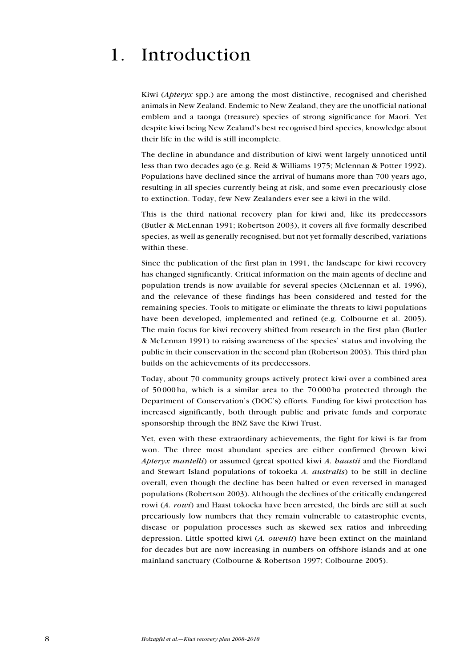# 1. Introduction

Kiwi (Apteryx spp.) are among the most distinctive, recognised and cherished animals in New Zealand. Endemic to New Zealand, they are the unofficial national emblem and a taonga (treasure) species of strong significance for Maori. Yet despite kiwi being New Zealand's best recognised bird species, knowledge about their life in the wild is still incomplete.

The decline in abundance and distribution of kiwi went largely unnoticed until less than two decades ago (e.g. Reid & Williams 1975; Mclennan & Potter 1992). Populations have declined since the arrival of humans more than 700 years ago, resulting in all species currently being at risk, and some even precariously close to extinction. Today, few New Zealanders ever see a kiwi in the wild.

This is the third national recovery plan for kiwi and, like its predecessors (Butler & McLennan 1991; Robertson 2003), it covers all five formally described species, as well as generally recognised, but not yet formally described, variations within these.

Since the publication of the first plan in 1991, the landscape for kiwi recovery has changed significantly. Critical information on the main agents of decline and population trends is now available for several species (McLennan et al. 1996), and the relevance of these findings has been considered and tested for the remaining species. Tools to mitigate or eliminate the threats to kiwi populations have been developed, implemented and refined (e.g. Colbourne et al. 2005). The main focus for kiwi recovery shifted from research in the first plan (Butler & McLennan 1991) to raising awareness of the species' status and involving the public in their conservation in the second plan (Robertson 2003). This third plan builds on the achievements of its predecessors.

Today, about 70 community groups actively protect kiwi over a combined area of 50 000 ha, which is a similar area to the 70 000 ha protected through the Department of Conservation's (DOC's) efforts. Funding for kiwi protection has increased significantly, both through public and private funds and corporate sponsorship through the BNZ Save the Kiwi Trust.

Yet, even with these extraordinary achievements, the fight for kiwi is far from won. The three most abundant species are either confirmed (brown kiwi Apteryx mantelli) or assumed (great spotted kiwi A. haastii and the Fiordland and Stewart Island populations of tokoeka A. australis) to be still in decline overall, even though the decline has been halted or even reversed in managed populations (Robertson 2003). Although the declines of the critically endangered rowi (A. rowi) and Haast tokoeka have been arrested, the birds are still at such precariously low numbers that they remain vulnerable to catastrophic events, disease or population processes such as skewed sex ratios and inbreeding depression. Little spotted kiwi  $(A.$  *owenii*) have been extinct on the mainland for decades but are now increasing in numbers on offshore islands and at one mainland sanctuary (Colbourne & Robertson 1997; Colbourne 2005).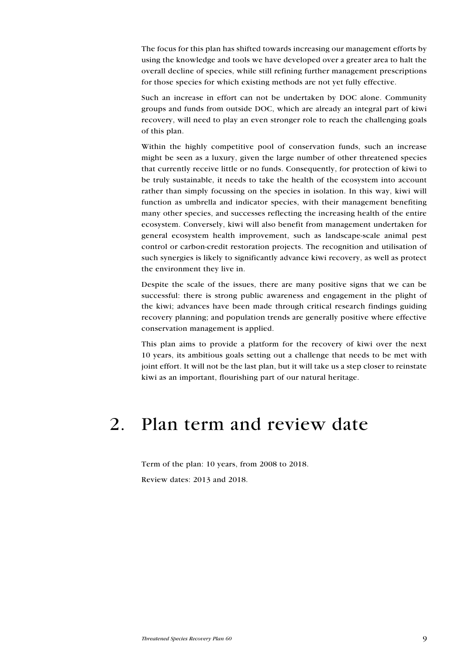The focus for this plan has shifted towards increasing our management efforts by using the knowledge and tools we have developed over a greater area to halt the overall decline of species, while still refining further management prescriptions for those species for which existing methods are not yet fully effective.

Such an increase in effort can not be undertaken by DOC alone. Community groups and funds from outside DOC, which are already an integral part of kiwi recovery, will need to play an even stronger role to reach the challenging goals of this plan.

Within the highly competitive pool of conservation funds, such an increase might be seen as a luxury, given the large number of other threatened species that currently receive little or no funds. Consequently, for protection of kiwi to be truly sustainable, it needs to take the health of the ecosystem into account rather than simply focussing on the species in isolation. In this way, kiwi will function as umbrella and indicator species, with their management benefiting many other species, and successes reflecting the increasing health of the entire ecosystem. Conversely, kiwi will also benefit from management undertaken for general ecosystem health improvement, such as landscape-scale animal pest control or carbon-credit restoration projects. The recognition and utilisation of such synergies is likely to significantly advance kiwi recovery, as well as protect the environment they live in.

Despite the scale of the issues, there are many positive signs that we can be successful: there is strong public awareness and engagement in the plight of the kiwi; advances have been made through critical research findings guiding recovery planning; and population trends are generally positive where effective conservation management is applied.

This plan aims to provide a platform for the recovery of kiwi over the next 10 years, its ambitious goals setting out a challenge that needs to be met with joint effort. It will not be the last plan, but it will take us a step closer to reinstate kiwi as an important, flourishing part of our natural heritage.

# 2. Plan term and review date

Term of the plan: 10 years, from 2008 to 2018. Review dates: 2013 and 2018.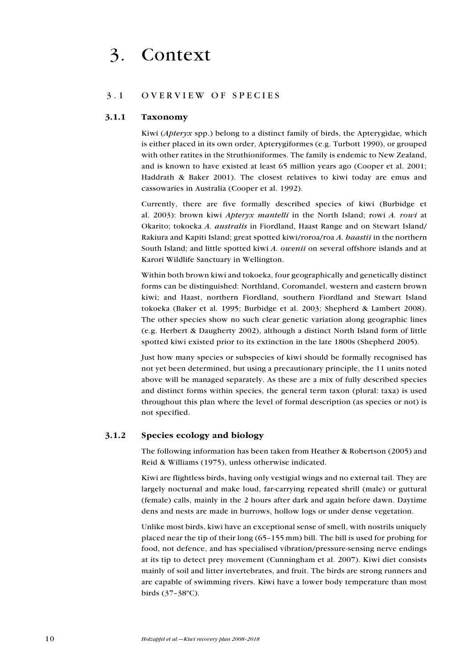# 3.1 OVERVIEW OF SPECIES

#### 3.1.1 Taxonomy

Kiwi (*Apteryx* spp.) belong to a distinct family of birds, the Apterygidae, which is either placed in its own order, Apterygiformes (e.g. Turbott 1990), or grouped with other ratites in the Struthioniformes. The family is endemic to New Zealand, and is known to have existed at least 65 million years ago (Cooper et al. 2001; Haddrath & Baker 2001). The closest relatives to kiwi today are emus and cassowaries in Australia (Cooper et al. 1992).

Currently, there are five formally described species of kiwi (Burbidge et al. 2003): brown kiwi Apteryx mantelli in the North Island; rowi A. rowi at Okarito; tokoeka A. australis in Fiordland, Haast Range and on Stewart Island/ Rakiura and Kapiti Island; great spotted kiwi/roroa/roa A. haastii in the northern South Island; and little spotted kiwi A. owenii on several offshore islands and at Karori Wildlife Sanctuary in Wellington.

Within both brown kiwi and tokoeka, four geographically and genetically distinct forms can be distinguished: Northland, Coromandel, western and eastern brown kiwi; and Haast, northern Fiordland, southern Fiordland and Stewart Island tokoeka (Baker et al. 1995; Burbidge et al. 2003; Shepherd & Lambert 2008). The other species show no such clear genetic variation along geographic lines (e.g. Herbert & Daugherty 2002), although a distinct North Island form of little spotted kiwi existed prior to its extinction in the late 1800s (Shepherd 2005).

Just how many species or subspecies of kiwi should be formally recognised has not yet been determined, but using a precautionary principle, the 11 units noted above will be managed separately. As these are a mix of fully described species and distinct forms within species, the general term taxon (plural: taxa) is used throughout this plan where the level of formal description (as species or not) is not specified.

#### 3.1.2 Species ecology and biology

The following information has been taken from Heather & Robertson (2005) and Reid & Williams (1975), unless otherwise indicated.

Kiwi are flightless birds, having only vestigial wings and no external tail. They are largely nocturnal and make loud, far-carrying repeated shrill (male) or guttural (female) calls, mainly in the 2 hours after dark and again before dawn. Daytime dens and nests are made in burrows, hollow logs or under dense vegetation.

Unlike most birds, kiwi have an exceptional sense of smell, with nostrils uniquely placed near the tip of their long (65–155 mm) bill. The bill is used for probing for food, not defence, and has specialised vibration/pressure-sensing nerve endings at its tip to detect prey movement (Cunningham et al. 2007). Kiwi diet consists mainly of soil and litter invertebrates, and fruit. The birds are strong runners and are capable of swimming rivers. Kiwi have a lower body temperature than most birds (37–38ºC).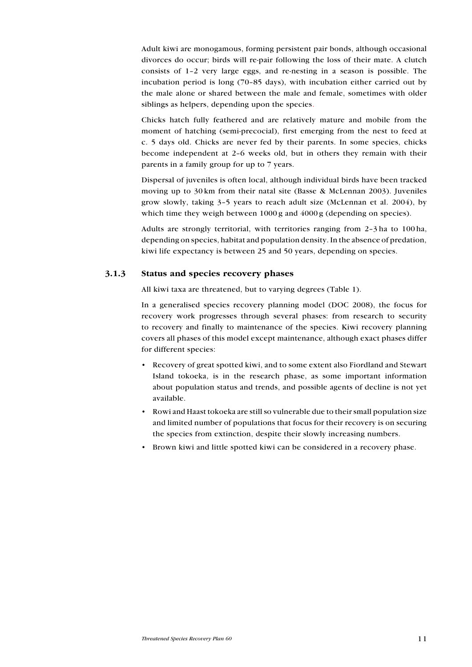Adult kiwi are monogamous, forming persistent pair bonds, although occasional divorces do occur; birds will re-pair following the loss of their mate. A clutch consists of 1–2 very large eggs, and re-nesting in a season is possible. The incubation period is long (70–85 days), with incubation either carried out by the male alone or shared between the male and female, sometimes with older siblings as helpers, depending upon the species.

Chicks hatch fully feathered and are relatively mature and mobile from the moment of hatching (semi-precocial), first emerging from the nest to feed at c. 5 days old. Chicks are never fed by their parents. In some species, chicks become independent at 2–6 weeks old, but in others they remain with their parents in a family group for up to 7 years.

Dispersal of juveniles is often local, although individual birds have been tracked moving up to 30 km from their natal site (Basse & McLennan 2003). Juveniles grow slowly, taking 3–5 years to reach adult size (McLennan et al. 2004), by which time they weigh between 1000 g and  $4000$  g (depending on species).

Adults are strongly territorial, with territories ranging from 2–3 ha to 100 ha, depending on species, habitat and population density. In the absence of predation, kiwi life expectancy is between 25 and 50 years, depending on species.

# 3.1.3 Status and species recovery phases

All kiwi taxa are threatened, but to varying degrees (Table 1).

In a generalised species recovery planning model (DOC 2008), the focus for recovery work progresses through several phases: from research to security to recovery and finally to maintenance of the species. Kiwi recovery planning covers all phases of this model except maintenance, although exact phases differ for different species:

- Recovery of great spotted kiwi, and to some extent also Fiordland and Stewart Island tokoeka, is in the research phase, as some important information about population status and trends, and possible agents of decline is not yet available.
- • Rowi and Haast tokoeka are still so vulnerable due to their small population size and limited number of populations that focus for their recovery is on securing the species from extinction, despite their slowly increasing numbers.
- Brown kiwi and little spotted kiwi can be considered in a recovery phase.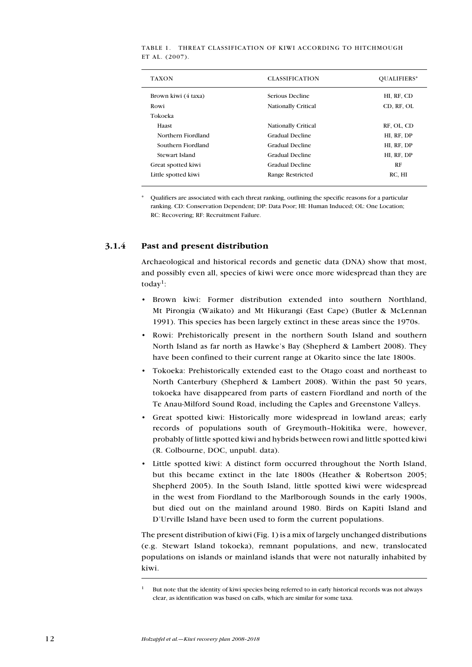| <b>TAXON</b>        | <b>CLASSIFICATION</b>      | OUALIFIERS* |
|---------------------|----------------------------|-------------|
| Brown kiwi (4 taxa) | Serious Decline            | HI, RF, CD  |
| Rowi                | <b>Nationally Critical</b> | CD, RF, OL  |
| Tokoeka             |                            |             |
| Haast               | <b>Nationally Critical</b> | RF, OL, CD  |
| Northern Fiordland  | Gradual Decline            | HI, RF, DP  |
| Southern Fiordland  | Gradual Decline            | HI, RF, DP  |
| Stewart Island      | Gradual Decline            | HI, RF, DP  |
| Great spotted kiwi  | Gradual Decline            | RF          |
| Little spotted kiwi | Range Restricted           | RC. HI      |
|                     |                            |             |

Table 1. Threat classification of kiwi according to Hitchmough ET AL. (2007).

Qualifiers are associated with each threat ranking, outlining the specific reasons for a particular ranking. CD: Conservation Dependent; DP: Data Poor; HI: Human Induced; OL: One Location; RC: Recovering; RF: Recruitment Failure.

# 3.1.4 Past and present distribution

Archaeological and historical records and genetic data (DNA) show that most, and possibly even all, species of kiwi were once more widespread than they are today<sup>1</sup>:

- • Brown kiwi: Former distribution extended into southern Northland, Mt Pirongia (Waikato) and Mt Hikurangi (East Cape) (Butler & McLennan 1991). This species has been largely extinct in these areas since the 1970s.
- • Rowi: Prehistorically present in the northern South Island and southern North Island as far north as Hawke's Bay (Shepherd & Lambert 2008). They have been confined to their current range at Okarito since the late 1800s.
- • Tokoeka: Prehistorically extended east to the Otago coast and northeast to North Canterbury (Shepherd & Lambert 2008). Within the past 50 years, tokoeka have disappeared from parts of eastern Fiordland and north of the Te Anau-Milford Sound Road, including the Caples and Greenstone Valleys.
- Great spotted kiwi: Historically more widespread in lowland areas; early records of populations south of Greymouth–Hokitika were, however, probably of little spotted kiwi and hybrids between rowi and little spotted kiwi (R. Colbourne, DOC, unpubl. data).
- • Little spotted kiwi: A distinct form occurred throughout the North Island, but this became extinct in the late 1800s (Heather & Robertson 2005; Shepherd 2005). In the South Island, little spotted kiwi were widespread in the west from Fiordland to the Marlborough Sounds in the early 1900s, but died out on the mainland around 1980. Birds on Kapiti Island and D'Urville Island have been used to form the current populations.

The present distribution of kiwi (Fig. 1) is a mix of largely unchanged distributions (e.g. Stewart Island tokoeka), remnant populations, and new, translocated populations on islands or mainland islands that were not naturally inhabited by kiwi.

<sup>1</sup> But note that the identity of kiwi species being referred to in early historical records was not always clear, as identification was based on calls, which are similar for some taxa.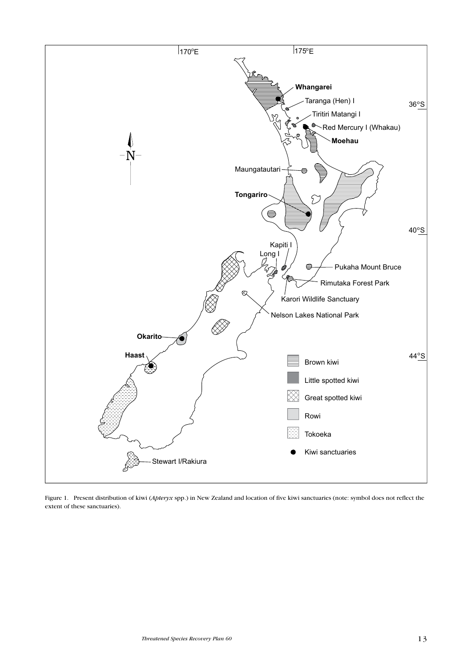

Figure 1. Present distribution of kiwi (Apteryx spp.) in New Zealand and location of five kiwi sanctuaries (note: symbol does not reflect the extent of these sanctuaries).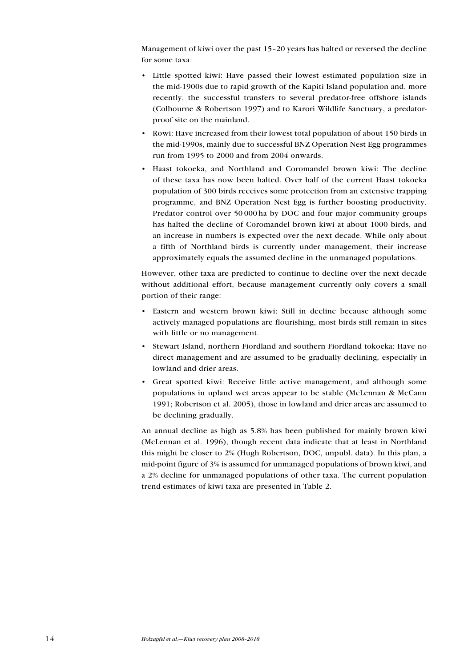Management of kiwi over the past 15–20 years has halted or reversed the decline for some taxa:

- • Little spotted kiwi: Have passed their lowest estimated population size in the mid-1900s due to rapid growth of the Kapiti Island population and, more recently, the successful transfers to several predator-free offshore islands (Colbourne & Robertson 1997) and to Karori Wildlife Sanctuary, a predatorproof site on the mainland.
- Rowi: Have increased from their lowest total population of about 150 birds in the mid-1990s, mainly due to successful BNZ Operation Nest Egg programmes run from 1995 to 2000 and from 2004 onwards.
- Haast tokoeka, and Northland and Coromandel brown kiwi: The decline of these taxa has now been halted. Over half of the current Haast tokoeka population of 300 birds receives some protection from an extensive trapping programme, and BNZ Operation Nest Egg is further boosting productivity. Predator control over 50 000 ha by DOC and four major community groups has halted the decline of Coromandel brown kiwi at about 1000 birds, and an increase in numbers is expected over the next decade. While only about a fifth of Northland birds is currently under management, their increase approximately equals the assumed decline in the unmanaged populations.

However, other taxa are predicted to continue to decline over the next decade without additional effort, because management currently only covers a small portion of their range:

- Eastern and western brown kiwi: Still in decline because although some actively managed populations are flourishing, most birds still remain in sites with little or no management.
- Stewart Island, northern Fiordland and southern Fiordland tokoeka: Have no direct management and are assumed to be gradually declining, especially in lowland and drier areas.
- • Great spotted kiwi: Receive little active management, and although some populations in upland wet areas appear to be stable (McLennan & McCann 1991; Robertson et al. 2005), those in lowland and drier areas are assumed to be declining gradually.

An annual decline as high as 5.8% has been published for mainly brown kiwi (McLennan et al. 1996), though recent data indicate that at least in Northland this might be closer to 2% (Hugh Robertson, DOC, unpubl. data). In this plan, a mid-point figure of 3% is assumed for unmanaged populations of brown kiwi, and a 2% decline for unmanaged populations of other taxa. The current population trend estimates of kiwi taxa are presented in Table 2.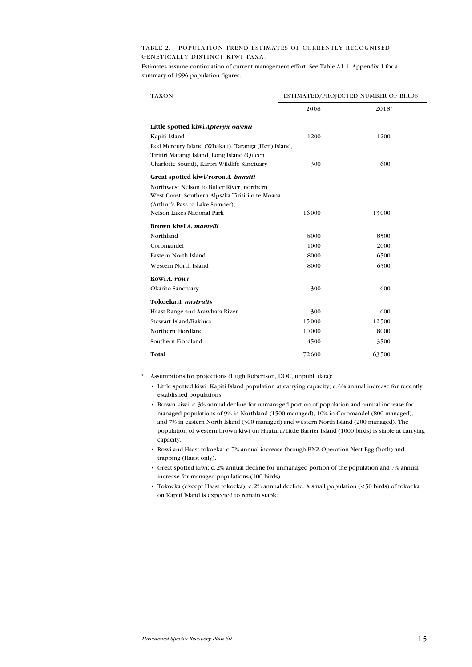#### Table 2. Population trend estimates of currently recognised genetically distinct kiwi taxa.

Estimates assume continuation of current management effort. See Table A1.1, Appendix 1 for a summary of 1996 population figures.

| <b>TAXON</b>                                                                                      | ESTIMATED/PROJECTED NUMBER OF BIRDS |       |  |
|---------------------------------------------------------------------------------------------------|-------------------------------------|-------|--|
|                                                                                                   | 2008                                | 2018* |  |
| Little spotted kiwi Apteryx owenii                                                                |                                     |       |  |
| Kapiti Island                                                                                     | 1200                                | 1200  |  |
| Red Mercury Island (Whakau), Taranga (Hen) Island,<br>Tiritiri Matangi Island, Long Island (Queen |                                     |       |  |
| Charlotte Sound), Karori Wildlife Sanctuary                                                       | 300                                 | 600   |  |
| Great spotted kiwi/roroa A. haastii                                                               |                                     |       |  |
| Northwest Nelson to Buller River, northern                                                        |                                     |       |  |
| West Coast, Southern Alps/ka Tiritiri o te Moana                                                  |                                     |       |  |
| (Arthur's Pass to Lake Sumner),                                                                   |                                     |       |  |
| Nelson Lakes National Park                                                                        | 16000                               | 13000 |  |
| Brown kiwi A. mantelli                                                                            |                                     |       |  |
| Northland                                                                                         | 8000                                | 8500  |  |
| Coromandel                                                                                        | 1000                                | 2000  |  |
| Eastern North Island                                                                              | 8000                                | 6500  |  |
| Western North Island                                                                              | 8000                                | 6500  |  |
| Rowi A. rowi                                                                                      |                                     |       |  |
| Okarito Sanctuary                                                                                 | 300                                 | 600   |  |
| Tokoeka A. australis                                                                              |                                     |       |  |
| Haast Range and Arawhata River                                                                    | 300                                 | 600   |  |
| Stewart Island/Rakiura                                                                            | 15000                               | 12500 |  |
| Northern Fiordland                                                                                | 10000                               | 8000  |  |
| Southern Fiordland                                                                                | 4500                                | 3500  |  |
| Total                                                                                             | 72600                               | 63500 |  |

\* Assumptions for projections (Hugh Robertson, DOC, unpubl. data):

• Little spotted kiwi: Kapiti Island population at carrying capacity; c.6% annual increase for recently established populations.

• Brown kiwi: c.3% annual decline for unmanaged portion of population and annual increase for managed populations of 9% in Northland (1500 managed), 10% in Coromandel (800 managed), and 7% in eastern North Island (300 managed) and western North Island (200 managed). The population of western brown kiwi on Hauturu/Little Barrier Island (1000 birds) is stable at carrying capacity.

• Rowi and Haast tokoeka: c.7% annual increase through BNZ Operation Nest Egg (both) and trapping (Haast only).

- • Great spotted kiwi: c.2% annual decline for unmanaged portion of the population and 7% annual increase for managed populations (100 birds).
- • Tokoeka (except Haast tokoeka): c.2% annual decline. A small population (<50 birds) of tokoeka on Kapiti Island is expected to remain stable.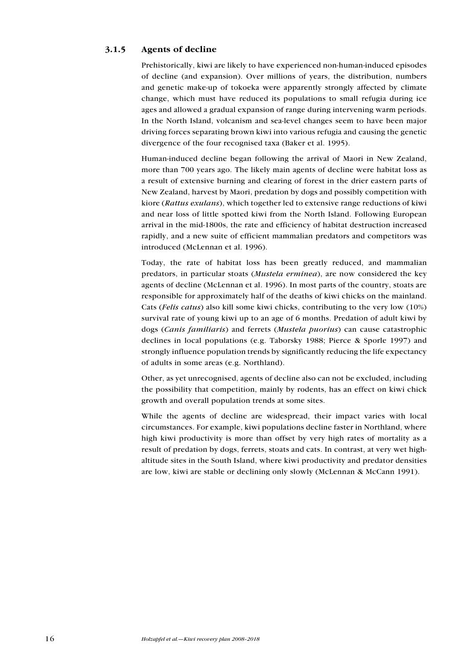# 3.1.5 Agents of decline

Prehistorically, kiwi are likely to have experienced non-human-induced episodes of decline (and expansion). Over millions of years, the distribution, numbers and genetic make-up of tokoeka were apparently strongly affected by climate change, which must have reduced its populations to small refugia during ice ages and allowed a gradual expansion of range during intervening warm periods. In the North Island, volcanism and sea-level changes seem to have been major driving forces separating brown kiwi into various refugia and causing the genetic divergence of the four recognised taxa (Baker et al. 1995).

Human-induced decline began following the arrival of Maori in New Zealand, more than 700 years ago. The likely main agents of decline were habitat loss as a result of extensive burning and clearing of forest in the drier eastern parts of New Zealand, harvest by Maori, predation by dogs and possibly competition with kiore (Rattus exulans), which together led to extensive range reductions of kiwi and near loss of little spotted kiwi from the North Island. Following European arrival in the mid-1800s, the rate and efficiency of habitat destruction increased rapidly, and a new suite of efficient mammalian predators and competitors was introduced (McLennan et al. 1996).

Today, the rate of habitat loss has been greatly reduced, and mammalian predators, in particular stoats (Mustela erminea), are now considered the key agents of decline (McLennan et al. 1996). In most parts of the country, stoats are responsible for approximately half of the deaths of kiwi chicks on the mainland. Cats (Felis catus) also kill some kiwi chicks, contributing to the very low (10%) survival rate of young kiwi up to an age of 6 months. Predation of adult kiwi by dogs (Canis familiaris) and ferrets (Mustela puorius) can cause catastrophic declines in local populations (e.g. Taborsky 1988; Pierce & Sporle 1997) and strongly influence population trends by significantly reducing the life expectancy of adults in some areas (e.g. Northland).

Other, as yet unrecognised, agents of decline also can not be excluded, including the possibility that competition, mainly by rodents, has an effect on kiwi chick growth and overall population trends at some sites.

While the agents of decline are widespread, their impact varies with local circumstances. For example, kiwi populations decline faster in Northland, where high kiwi productivity is more than offset by very high rates of mortality as a result of predation by dogs, ferrets, stoats and cats. In contrast, at very wet highaltitude sites in the South Island, where kiwi productivity and predator densities are low, kiwi are stable or declining only slowly (McLennan & McCann 1991).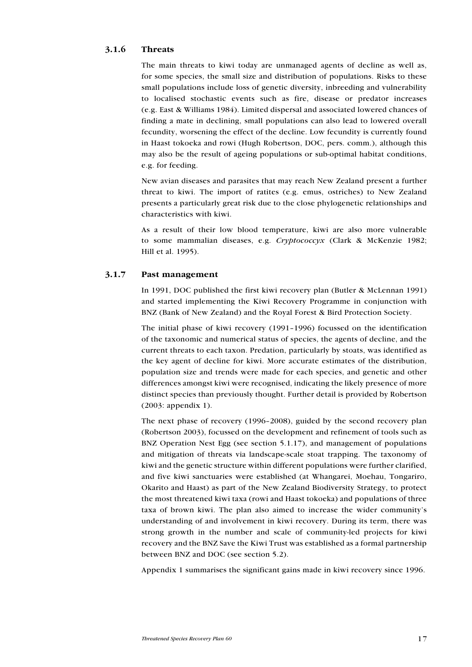# 3.1.6 Threats

The main threats to kiwi today are unmanaged agents of decline as well as, for some species, the small size and distribution of populations. Risks to these small populations include loss of genetic diversity, inbreeding and vulnerability to localised stochastic events such as fire, disease or predator increases (e.g. East & Williams 1984). Limited dispersal and associated lowered chances of finding a mate in declining, small populations can also lead to lowered overall fecundity, worsening the effect of the decline. Low fecundity is currently found in Haast tokoeka and rowi (Hugh Robertson, DOC, pers. comm.), although this may also be the result of ageing populations or sub-optimal habitat conditions, e.g. for feeding.

New avian diseases and parasites that may reach New Zealand present a further threat to kiwi. The import of ratites (e.g. emus, ostriches) to New Zealand presents a particularly great risk due to the close phylogenetic relationships and characteristics with kiwi.

As a result of their low blood temperature, kiwi are also more vulnerable to some mammalian diseases, e.g. Cryptococcyx (Clark & McKenzie 1982; Hill et al. 1995).

# 3.1.7 Past management

In 1991, DOC published the first kiwi recovery plan (Butler & McLennan 1991) and started implementing the Kiwi Recovery Programme in conjunction with BNZ (Bank of New Zealand) and the Royal Forest & Bird Protection Society.

The initial phase of kiwi recovery (1991–1996) focussed on the identification of the taxonomic and numerical status of species, the agents of decline, and the current threats to each taxon. Predation, particularly by stoats, was identified as the key agent of decline for kiwi. More accurate estimates of the distribution, population size and trends were made for each species, and genetic and other differences amongst kiwi were recognised, indicating the likely presence of more distinct species than previously thought. Further detail is provided by Robertson (2003: appendix 1).

The next phase of recovery (1996–2008), guided by the second recovery plan (Robertson 2003), focussed on the development and refinement of tools such as BNZ Operation Nest Egg (see section 5.1.17), and management of populations and mitigation of threats via landscape-scale stoat trapping. The taxonomy of kiwi and the genetic structure within different populations were further clarified, and five kiwi sanctuaries were established (at Whangarei, Moehau, Tongariro, Okarito and Haast) as part of the New Zealand Biodiversity Strategy, to protect the most threatened kiwi taxa (rowi and Haast tokoeka) and populations of three taxa of brown kiwi. The plan also aimed to increase the wider community's understanding of and involvement in kiwi recovery. During its term, there was strong growth in the number and scale of community-led projects for kiwi recovery and the BNZ Save the Kiwi Trust was established as a formal partnership between BNZ and DOC (see section 5.2).

Appendix 1 summarises the significant gains made in kiwi recovery since 1996.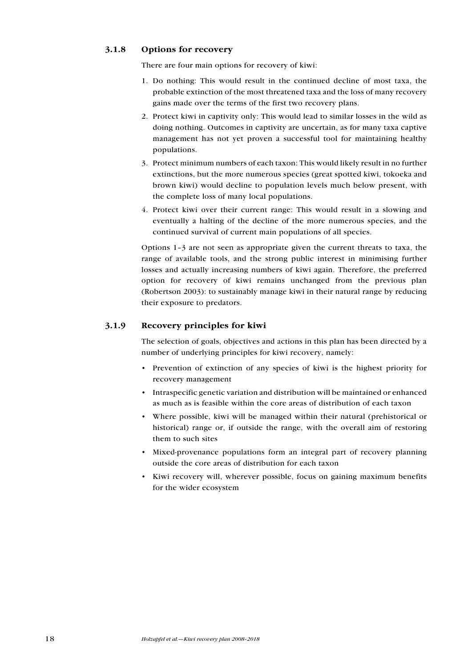# 3.1.8 Options for recovery

There are four main options for recovery of kiwi:

- 1. Do nothing: This would result in the continued decline of most taxa, the probable extinction of the most threatened taxa and the loss of many recovery gains made over the terms of the first two recovery plans.
- 2. Protect kiwi in captivity only: This would lead to similar losses in the wild as doing nothing. Outcomes in captivity are uncertain, as for many taxa captive management has not yet proven a successful tool for maintaining healthy populations.
- 3. Protect minimum numbers of each taxon: This would likely result in no further extinctions, but the more numerous species (great spotted kiwi, tokoeka and brown kiwi) would decline to population levels much below present, with the complete loss of many local populations.
- 4. Protect kiwi over their current range: This would result in a slowing and eventually a halting of the decline of the more numerous species, and the continued survival of current main populations of all species.

Options 1–3 are not seen as appropriate given the current threats to taxa, the range of available tools, and the strong public interest in minimising further losses and actually increasing numbers of kiwi again. Therefore, the preferred option for recovery of kiwi remains unchanged from the previous plan (Robertson 2003): to sustainably manage kiwi in their natural range by reducing their exposure to predators.

# 3.1.9 Recovery principles for kiwi

The selection of goals, objectives and actions in this plan has been directed by a number of underlying principles for kiwi recovery, namely:

- • Prevention of extinction of any species of kiwi is the highest priority for recovery management
- • Intraspecific genetic variation and distribution will be maintained or enhanced as much as is feasible within the core areas of distribution of each taxon
- Where possible, kiwi will be managed within their natural (prehistorical or historical) range or, if outside the range, with the overall aim of restoring them to such sites
- Mixed-provenance populations form an integral part of recovery planning outside the core areas of distribution for each taxon
- • Kiwi recovery will, wherever possible, focus on gaining maximum benefits for the wider ecosystem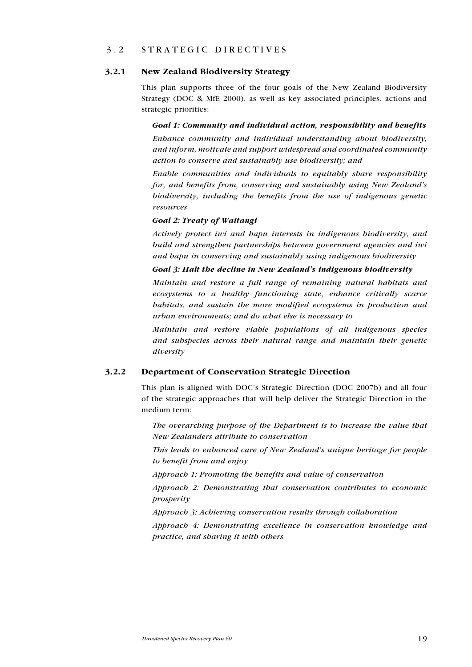# 3.2 S trategic directi v es

#### 3.2.1 New Zealand Biodiversity Strategy

This plan supports three of the four goals of the New Zealand Biodiversity Strategy (DOC & MfE 2000), as well as key associated principles, actions and strategic priorities:

Goal 1: Community and individual action, responsibility and benefits Enhance community and individual understanding about biodiversity, and inform, motivate and support widespread and coordinated community action to conserve and sustainably use biodiversity; and

Enable communities and individuals to equitably share responsibility for, and benefits from, conserving and sustainably using New Zealand's biodiversity, including the benefits from the use of indigenous genetic resources

#### Goal 2: Treaty of Waitangi

Actively protect iwi and hapu interests in indigenous biodiversity, and build and strengthen partnerships between government agencies and iwi and hapu in conserving and sustainably using indigenous biodiversity

#### Goal 3: Halt the decline in New Zealand's indigenous biodiversity

Maintain and restore a full range of remaining natural habitats and ecosystems to a healthy functioning state, enhance critically scarce habitats, and sustain the more modified ecosystems in production and urban environments; and do what else is necessary to

Maintain and restore viable populations of all indigenous species and subspecies across their natural range and maintain their genetic diversity

#### 3.2.2 Department of Conservation Strategic Direction

This plan is aligned with DOC's Strategic Direction (DOC 2007b) and all four of the strategic approaches that will help deliver the Strategic Direction in the medium term:

The overarching purpose of the Department is to increase the value that New Zealanders attribute to conservation

This leads to enhanced care of New Zealand's unique heritage for people to benefit from and enjoy

Approach 1: Promoting the benefits and value of conservation

Approach 2: Demonstrating that conservation contributes to economic prosperity

Approach 3: Achieving conservation results through collaboration

Approach 4: Demonstrating excellence in conservation knowledge and practice, and sharing it with others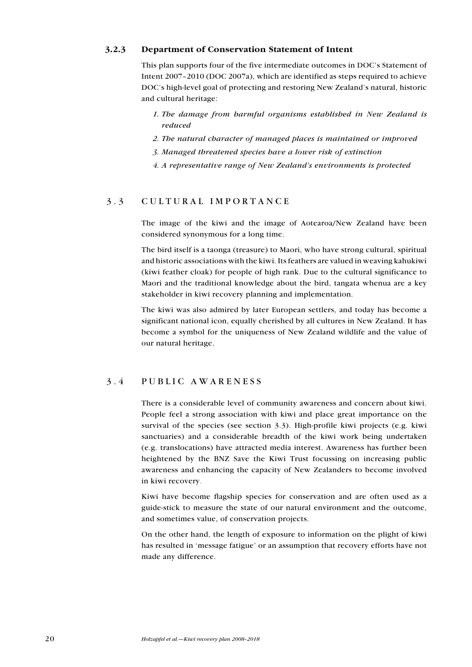# 3.2.3 Department of Conservation Statement of Intent

This plan supports four of the five intermediate outcomes in DOC's Statement of Intent 2007–2010 (DOC 2007a), which are identified as steps required to achieve DOC's high-level goal of protecting and restoring New Zealand's natural, historic and cultural heritage:

- 1. The damage from harmful organisms established in New Zealand is reduced
- 2. The natural character of managed places is maintained or improved
- 3. Managed threatened species have a lower risk of extinction
- 4. A representative range of New Zealand's environments is protected

# 3.3 CULTURAL IMPORTANCE

The image of the kiwi and the image of Aotearoa/New Zealand have been considered synonymous for a long time.

The bird itself is a taonga (treasure) to Maori, who have strong cultural, spiritual and historic associations with the kiwi. Its feathers are valued in weaving kahukiwi (kiwi feather cloak) for people of high rank. Due to the cultural significance to Maori and the traditional knowledge about the bird, tangata whenua are a key stakeholder in kiwi recovery planning and implementation.

The kiwi was also admired by later European settlers, and today has become a significant national icon, equally cherished by all cultures in New Zealand. It has become a symbol for the uniqueness of New Zealand wildlife and the value of our natural heritage.

# 3.4 P ublic awareness

There is a considerable level of community awareness and concern about kiwi. People feel a strong association with kiwi and place great importance on the survival of the species (see section 3.3). High-profile kiwi projects (e.g. kiwi sanctuaries) and a considerable breadth of the kiwi work being undertaken (e.g. translocations) have attracted media interest. Awareness has further been heightened by the BNZ Save the Kiwi Trust focussing on increasing public awareness and enhancing the capacity of New Zealanders to become involved in kiwi recovery.

Kiwi have become flagship species for conservation and are often used as a guide-stick to measure the state of our natural environment and the outcome, and sometimes value, of conservation projects.

On the other hand, the length of exposure to information on the plight of kiwi has resulted in 'message fatigue' or an assumption that recovery efforts have not made any difference.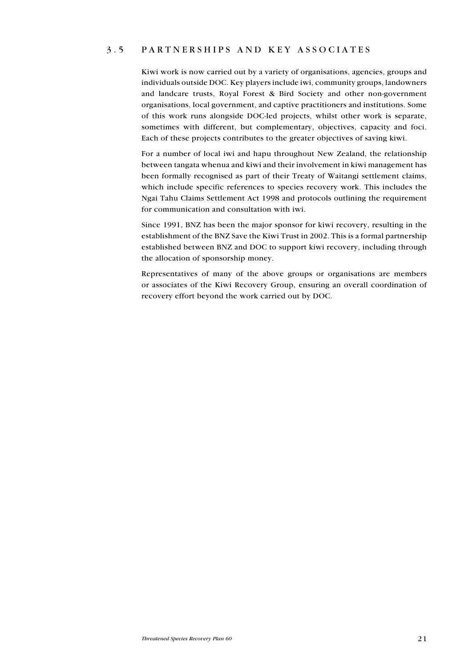# 3.5 P artnerships and key associates

Kiwi work is now carried out by a variety of organisations, agencies, groups and individuals outside DOC. Key players include iwi, community groups, landowners and landcare trusts, Royal Forest & Bird Society and other non-government organisations, local government, and captive practitioners and institutions. Some of this work runs alongside DOC-led projects, whilst other work is separate, sometimes with different, but complementary, objectives, capacity and foci. Each of these projects contributes to the greater objectives of saving kiwi.

For a number of local iwi and hapu throughout New Zealand, the relationship between tangata whenua and kiwi and their involvement in kiwi management has been formally recognised as part of their Treaty of Waitangi settlement claims, which include specific references to species recovery work. This includes the Ngai Tahu Claims Settlement Act 1998 and protocols outlining the requirement for communication and consultation with iwi.

Since 1991, BNZ has been the major sponsor for kiwi recovery, resulting in the establishment of the BNZ Save the Kiwi Trust in 2002. This is a formal partnership established between BNZ and DOC to support kiwi recovery, including through the allocation of sponsorship money.

Representatives of many of the above groups or organisations are members or associates of the Kiwi Recovery Group, ensuring an overall coordination of recovery effort beyond the work carried out by DOC.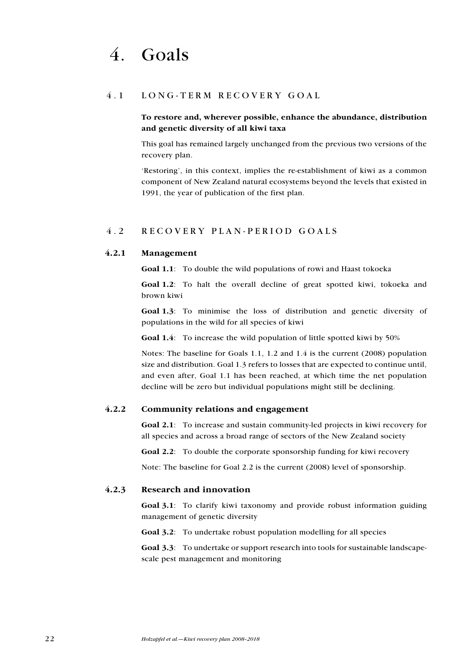# 4.1 LONG-TERM RECOVERY GOAL

# To restore and, wherever possible, enhance the abundance, distribution and genetic diversity of all kiwi taxa

This goal has remained largely unchanged from the previous two versions of the recovery plan.

'Restoring', in this context, implies the re-establishment of kiwi as a common component of New Zealand natural ecosystems beyond the levels that existed in 1991, the year of publication of the first plan.

# 4.2 R eco v ery plan - period goals

# 4.2.1 Management

Goal 1.1: To double the wild populations of rowi and Haast tokoeka

Goal 1.2: To halt the overall decline of great spotted kiwi, tokoeka and brown kiwi

Goal 1.3: To minimise the loss of distribution and genetic diversity of populations in the wild for all species of kiwi

Goal 1.4: To increase the wild population of little spotted kiwi by 50%

Notes: The baseline for Goals 1.1, 1.2 and 1.4 is the current (2008) population size and distribution. Goal 1.3 refers to losses that are expected to continue until, and even after, Goal 1.1 has been reached, at which time the net population decline will be zero but individual populations might still be declining.

#### 4.2.2 Community relations and engagement

Goal 2.1: To increase and sustain community-led projects in kiwi recovery for all species and across a broad range of sectors of the New Zealand society

Goal 2.2: To double the corporate sponsorship funding for kiwi recovery

Note: The baseline for Goal 2.2 is the current (2008) level of sponsorship.

# 4.2.3 Research and innovation

Goal 3.1: To clarify kiwi taxonomy and provide robust information guiding management of genetic diversity

Goal 3.2: To undertake robust population modelling for all species

Goal 3.3: To undertake or support research into tools for sustainable landscapescale pest management and monitoring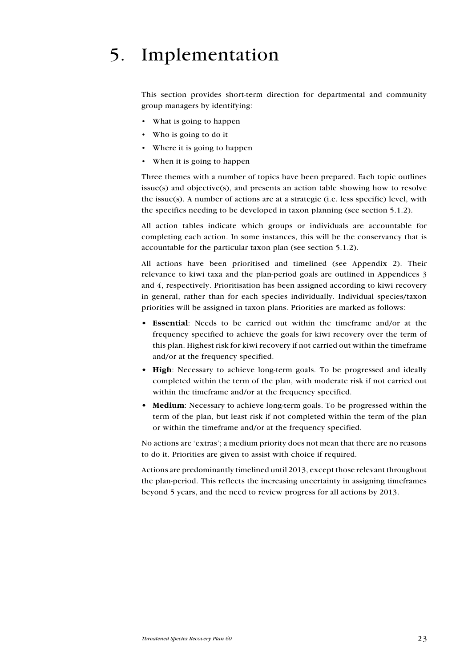# 5. Implementation

This section provides short-term direction for departmental and community group managers by identifying:

- What is going to happen
- Who is going to do it
- Where it is going to happen
- When it is going to happen

Three themes with a number of topics have been prepared. Each topic outlines issue(s) and objective(s), and presents an action table showing how to resolve the issue(s). A number of actions are at a strategic (i.e. less specific) level, with the specifics needing to be developed in taxon planning (see section 5.1.2).

All action tables indicate which groups or individuals are accountable for completing each action. In some instances, this will be the conservancy that is accountable for the particular taxon plan (see section 5.1.2).

All actions have been prioritised and timelined (see Appendix 2). Their relevance to kiwi taxa and the plan-period goals are outlined in Appendices 3 and 4, respectively. Prioritisation has been assigned according to kiwi recovery in general, rather than for each species individually. Individual species/taxon priorities will be assigned in taxon plans. Priorities are marked as follows:

- **Essential**: Needs to be carried out within the timeframe and/or at the frequency specified to achieve the goals for kiwi recovery over the term of this plan. Highest risk for kiwi recovery if not carried out within the timeframe and/or at the frequency specified.
- High: Necessary to achieve long-term goals. To be progressed and ideally completed within the term of the plan, with moderate risk if not carried out within the timeframe and/or at the frequency specified.
- Medium: Necessary to achieve long-term goals. To be progressed within the term of the plan, but least risk if not completed within the term of the plan or within the timeframe and/or at the frequency specified.

No actions are 'extras'; a medium priority does not mean that there are no reasons to do it. Priorities are given to assist with choice if required.

Actions are predominantly timelined until 2013, except those relevant throughout the plan-period. This reflects the increasing uncertainty in assigning timeframes beyond 5 years, and the need to review progress for all actions by 2013.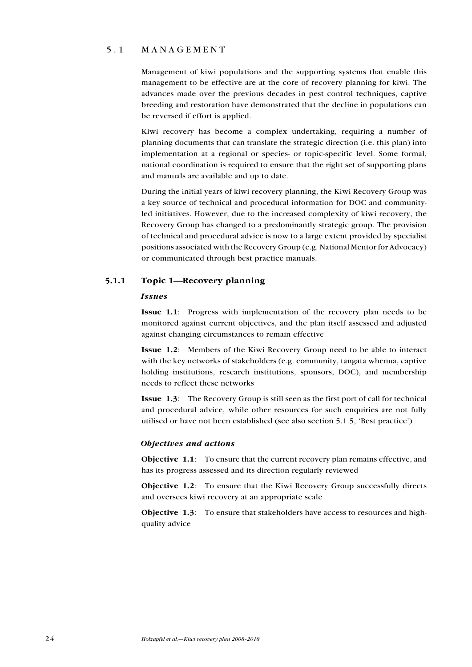# 5.1 MANAGEMENT

Management of kiwi populations and the supporting systems that enable this management to be effective are at the core of recovery planning for kiwi. The advances made over the previous decades in pest control techniques, captive breeding and restoration have demonstrated that the decline in populations can be reversed if effort is applied.

Kiwi recovery has become a complex undertaking, requiring a number of planning documents that can translate the strategic direction (i.e. this plan) into implementation at a regional or species- or topic-specific level. Some formal, national coordination is required to ensure that the right set of supporting plans and manuals are available and up to date.

During the initial years of kiwi recovery planning, the Kiwi Recovery Group was a key source of technical and procedural information for DOC and communityled initiatives. However, due to the increased complexity of kiwi recovery, the Recovery Group has changed to a predominantly strategic group. The provision of technical and procedural advice is now to a large extent provided by specialist positions associated with the Recovery Group (e.g. National Mentor for Advocacy) or communicated through best practice manuals.

# 5.1.1 Topic 1—Recovery planning

#### Issues

Issue 1.1: Progress with implementation of the recovery plan needs to be monitored against current objectives, and the plan itself assessed and adjusted against changing circumstances to remain effective

Issue 1.2: Members of the Kiwi Recovery Group need to be able to interact with the key networks of stakeholders (e.g. community, tangata whenua, captive holding institutions, research institutions, sponsors, DOC), and membership needs to reflect these networks

Issue 1.3: The Recovery Group is still seen as the first port of call for technical and procedural advice, while other resources for such enquiries are not fully utilised or have not been established (see also section 5.1.5, 'Best practice')

#### Objectives and actions

Objective 1.1: To ensure that the current recovery plan remains effective, and has its progress assessed and its direction regularly reviewed

Objective 1.2: To ensure that the Kiwi Recovery Group successfully directs and oversees kiwi recovery at an appropriate scale

Objective 1.3: To ensure that stakeholders have access to resources and highquality advice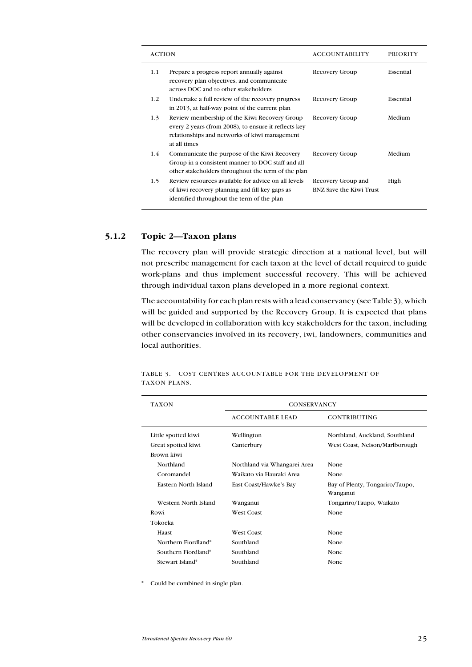| <b>ACTION</b> |                                                                                                                                                                       | <b>ACCOUNTABILITY</b>                         | <b>PRIORITY</b> |
|---------------|-----------------------------------------------------------------------------------------------------------------------------------------------------------------------|-----------------------------------------------|-----------------|
| 1.1           | Prepare a progress report annually against<br>recovery plan objectives, and communicate<br>across DOC and to other stakeholders                                       | Recovery Group                                | Essential       |
| $1.2^{\circ}$ | Undertake a full review of the recovery progress<br>in 2013, at half-way point of the current plan                                                                    | Recovery Group                                | Essential       |
| 1.3           | Review membership of the Kiwi Recovery Group<br>every 2 years (from 2008), to ensure it reflects key<br>relationships and networks of kiwi management<br>at all times | Recovery Group                                | Medium          |
| 1.4           | Communicate the purpose of the Kiwi Recovery<br>Group in a consistent manner to DOC staff and all<br>other stakeholders throughout the term of the plan               | Recovery Group                                | Medium          |
| $1.5\,$       | Review resources available for advice on all levels<br>of kiwi recovery planning and fill key gaps as<br>identified throughout the term of the plan                   | Recovery Group and<br>BNZ Save the Kiwi Trust | High            |

# 5.1.2 Topic 2—Taxon plans

The recovery plan will provide strategic direction at a national level, but will not prescribe management for each taxon at the level of detail required to guide work-plans and thus implement successful recovery. This will be achieved through individual taxon plans developed in a more regional context.

The accountability for each plan rests with a lead conservancy (see Table 3), which will be guided and supported by the Recovery Group. It is expected that plans will be developed in collaboration with key stakeholders for the taxon, including other conservancies involved in its recovery, iwi, landowners, communities and local authorities.

| <b>TAXON</b>                | <b>CONSERVANCY</b>           |                                 |
|-----------------------------|------------------------------|---------------------------------|
|                             | <b>ACCOUNTABLE LEAD</b>      | <b>CONTRIBUTING</b>             |
| Little spotted kiwi         | Wellington                   | Northland, Auckland, Southland  |
| Great spotted kiwi          | Canterbury                   | West Coast, Nelson/Marlborough  |
| Brown kiwi                  |                              |                                 |
| Northland                   | Northland via Whangarei Area | None                            |
| Coromandel                  | Waikato via Hauraki Area     | None                            |
| <b>Eastern North Island</b> | East Coast/Hawke's Bay       | Bay of Plenty, Tongariro/Taupo, |
|                             |                              | Wanganui                        |
| Western North Island        | Wanganui                     | Tongariro/Taupo, Waikato        |
| Rowi                        | <b>West Coast</b>            | None                            |
| Tokoeka                     |                              |                                 |
| Haast                       | <b>West Coast</b>            | None                            |
| Northern Fiordland*         | Southland                    | None                            |
| Southern Fiordland*         | Southland                    | None                            |
| Stewart Island*             | Southland                    | None                            |

Table 3. Cost centres accountable for the development of taxon plans.

Could be combined in single plan.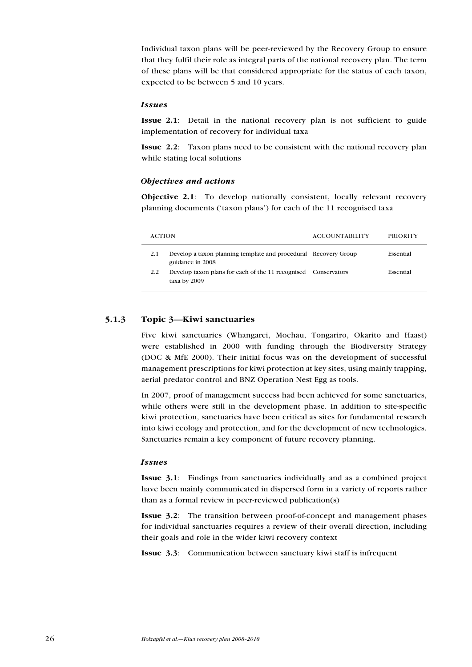Individual taxon plans will be peer-reviewed by the Recovery Group to ensure that they fulfil their role as integral parts of the national recovery plan. The term of these plans will be that considered appropriate for the status of each taxon, expected to be between 5 and 10 years.

#### Issues

Issue 2.1: Detail in the national recovery plan is not sufficient to guide implementation of recovery for individual taxa

Issue 2.2: Taxon plans need to be consistent with the national recovery plan while stating local solutions

#### Objectives and actions

Objective 2.1: To develop nationally consistent, locally relevant recovery planning documents ('taxon plans') for each of the 11 recognised taxa

| <b>ACTION</b> |                                                                                     | <b>ACCOUNTABILITY</b> | PRIORITY  |
|---------------|-------------------------------------------------------------------------------------|-----------------------|-----------|
| 2.1           | Develop a taxon planning template and procedural Recovery Group<br>guidance in 2008 |                       | Essential |
| 2.2           | Develop taxon plans for each of the 11 recognised Conservators<br>taxa by 2009      |                       | Essential |

# 5.1.3 Topic 3—Kiwi sanctuaries

Five kiwi sanctuaries (Whangarei, Moehau, Tongariro, Okarito and Haast) were established in 2000 with funding through the Biodiversity Strategy (DOC & MfE 2000). Their initial focus was on the development of successful management prescriptions for kiwi protection at key sites, using mainly trapping, aerial predator control and BNZ Operation Nest Egg as tools.

In 2007, proof of management success had been achieved for some sanctuaries, while others were still in the development phase. In addition to site-specific kiwi protection, sanctuaries have been critical as sites for fundamental research into kiwi ecology and protection, and for the development of new technologies. Sanctuaries remain a key component of future recovery planning.

#### Issues

Issue 3.1: Findings from sanctuaries individually and as a combined project have been mainly communicated in dispersed form in a variety of reports rather than as a formal review in peer-reviewed publication(s)

Issue 3.2: The transition between proof-of-concept and management phases for individual sanctuaries requires a review of their overall direction, including their goals and role in the wider kiwi recovery context

Issue 3.3: Communication between sanctuary kiwi staff is infrequent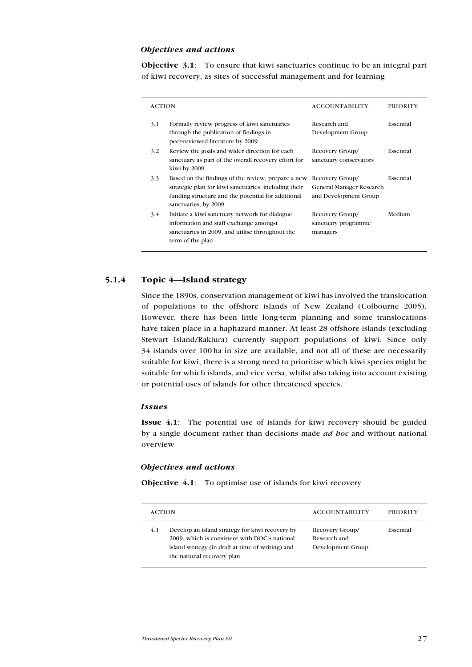#### Objectives and actions

Objective 3.1: To ensure that kiwi sanctuaries continue to be an integral part of kiwi recovery, as sites of successful management and for learning

| <b>ACTION</b> |                                                                                                                                                                                          | <b>ACCOUNTABILITY</b>                                                | <b>PRIORITY</b> |
|---------------|------------------------------------------------------------------------------------------------------------------------------------------------------------------------------------------|----------------------------------------------------------------------|-----------------|
| 3.1           | Formally review progress of kiwi sanctuaries<br>through the publication of findings in<br>peer-reviewed literature by 2009                                                               | Research and<br>Development Group                                    | Essential       |
| 3.2           | Review the goals and wider direction for each<br>sanctuary as part of the overall recovery effort for<br>kiwi by 2009                                                                    | Recovery Group/<br>sanctuary conservators                            | Essential       |
| 3.3           | Based on the findings of the review, prepare a new<br>strategic plan for kiwi sanctuaries, including their<br>funding structure and the potential for additional<br>sanctuaries, by 2009 | Recovery Group/<br>General Manager Research<br>and Development Group | Essential       |
| 3.4           | Initiate a kiwi sanctuary network for dialogue,<br>information and staff exchange amongst<br>sanctuaries in 2009, and utilise throughout the<br>term of the plan                         | Recovery Group/<br>sanctuary programme<br>managers                   | Medium          |

# 5.1.4 Topic 4—Island strategy

Since the 1890s, conservation management of kiwi has involved the translocation of populations to the offshore islands of New Zealand (Colbourne 2005). However, there has been little long-term planning and some translocations have taken place in a haphazard manner. At least 28 offshore islands (excluding Stewart Island/Rakiura) currently support populations of kiwi. Since only 34 islands over 100 ha in size are available, and not all of these are necessarily suitable for kiwi, there is a strong need to prioritise which kiwi species might be suitable for which islands, and vice versa, whilst also taking into account existing or potential uses of islands for other threatened species.

#### Issues

Issue 4.1: The potential use of islands for kiwi recovery should be guided by a single document rather than decisions made *ad hoc* and without national overview

#### Objectives and actions

Objective 4.1: To optimise use of islands for kiwi recovery

|     | <b>ACTION</b>                                                                                                                                                                       | <b>ACCOUNTABILITY</b>                                | <b>PRIORITY</b> |
|-----|-------------------------------------------------------------------------------------------------------------------------------------------------------------------------------------|------------------------------------------------------|-----------------|
| 4.1 | Develop an island strategy for kiwi recovery by<br>2009, which is consistent with DOC's national<br>island strategy (in draft at time of writing) and<br>the national recovery plan | Recovery Group/<br>Research and<br>Development Group | Essential       |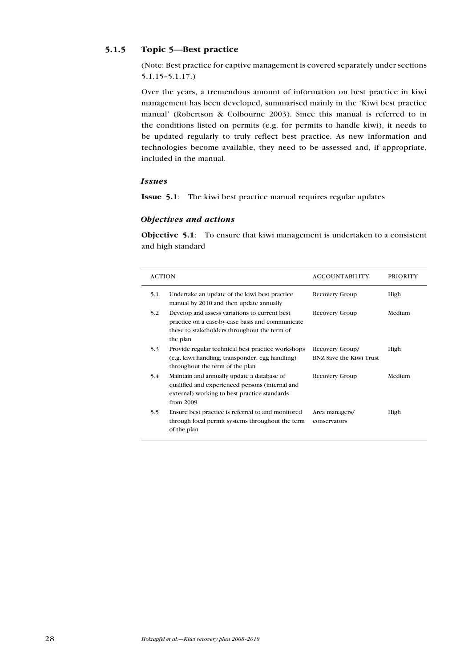# 5.1.5 Topic 5—Best practice

(Note: Best practice for captive management is covered separately under sections 5.1.15–5.1.17.)

Over the years, a tremendous amount of information on best practice in kiwi management has been developed, summarised mainly in the 'Kiwi best practice manual' (Robertson & Colbourne 2003). Since this manual is referred to in the conditions listed on permits (e.g. for permits to handle kiwi), it needs to be updated regularly to truly reflect best practice. As new information and technologies become available, they need to be assessed and, if appropriate, included in the manual.

# Issues

Issue 5.1: The kiwi best practice manual requires regular updates

# Objectives and actions

Objective 5.1: To ensure that kiwi management is undertaken to a consistent and high standard

| <b>ACTION</b> |                                                                                                                                                               | <b>ACCOUNTABILITY</b>                             | <b>PRIORITY</b> |
|---------------|---------------------------------------------------------------------------------------------------------------------------------------------------------------|---------------------------------------------------|-----------------|
| 5.1           | Undertake an update of the kiwi best practice<br>manual by 2010 and then update annually                                                                      | Recovery Group                                    | High            |
| 5.2           | Develop and assess variations to current best<br>practice on a case-by-case basis and communicate<br>these to stakeholders throughout the term of<br>the plan | Recovery Group                                    | Medium          |
| 5.3           | Provide regular technical best practice workshops<br>(e.g. kiwi handling, transponder, egg handling)<br>throughout the term of the plan                       | Recovery Group/<br><b>BNZ Save the Kiwi Trust</b> | High            |
| 5.4           | Maintain and annually update a database of<br>qualified and experienced persons (internal and<br>external) working to best practice standards<br>from $2009$  | Recovery Group                                    | Medium          |
| 5.5           | Ensure best practice is referred to and monitored<br>through local permit systems throughout the term<br>of the plan                                          | Area managers/<br>conservators                    | High            |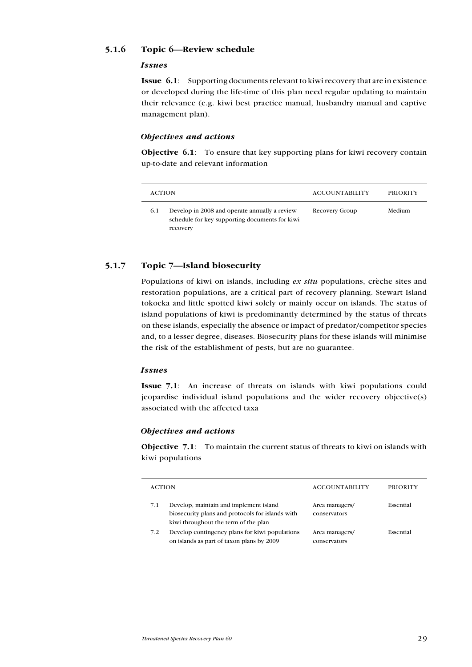# 5.1.6 Topic 6—Review schedule

#### Issues

Issue 6.1: Supporting documents relevant to kiwi recovery that are in existence or developed during the life-time of this plan need regular updating to maintain their relevance (e.g. kiwi best practice manual, husbandry manual and captive management plan).

#### Objectives and actions

Objective 6.1: To ensure that key supporting plans for kiwi recovery contain up-to-date and relevant information

| <b>ACTION</b> |                                                                                                             | <b>ACCOUNTABILITY</b> | <b>PRIORITY</b> |
|---------------|-------------------------------------------------------------------------------------------------------------|-----------------------|-----------------|
| 6.1           | Develop in 2008 and operate annually a review<br>schedule for key supporting documents for kiwi<br>recovery | Recovery Group        | Medium          |

# 5.1.7 Topic 7—Island biosecurity

Populations of kiwi on islands, including ex situ populations, crèche sites and restoration populations, are a critical part of recovery planning. Stewart Island tokoeka and little spotted kiwi solely or mainly occur on islands. The status of island populations of kiwi is predominantly determined by the status of threats on these islands, especially the absence or impact of predator/competitor species and, to a lesser degree, diseases. Biosecurity plans for these islands will minimise the risk of the establishment of pests, but are no guarantee.

#### Issues

Issue 7.1: An increase of threats on islands with kiwi populations could jeopardise individual island populations and the wider recovery objective(s) associated with the affected taxa

#### Objectives and actions

Objective 7.1: To maintain the current status of threats to kiwi on islands with kiwi populations

| <b>ACTION</b> |                                                                                                                                    | <b>ACCOUNTABILITY</b>          | PRIORITY  |
|---------------|------------------------------------------------------------------------------------------------------------------------------------|--------------------------------|-----------|
| 7.1           | Develop, maintain and implement island<br>biosecurity plans and protocols for islands with<br>kiwi throughout the term of the plan | Area managers/<br>conservators | Essential |
| 7.2           | Develop contingency plans for kiwi populations<br>on islands as part of taxon plans by 2009                                        | Area managers/<br>conservators | Essential |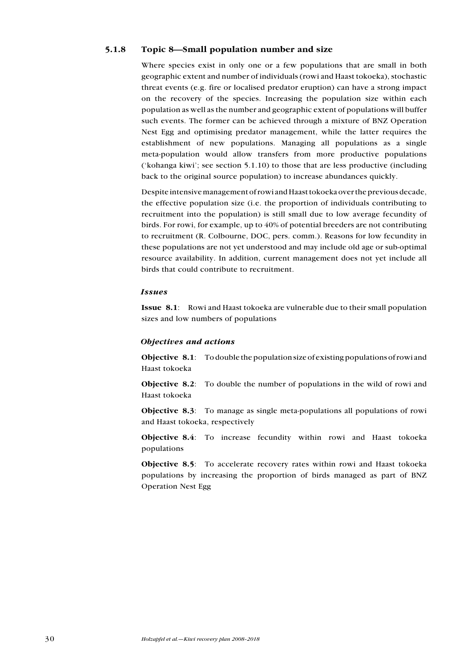# 5.1.8 Topic 8—Small population number and size

Where species exist in only one or a few populations that are small in both geographic extent and number of individuals (rowi and Haast tokoeka), stochastic threat events (e.g. fire or localised predator eruption) can have a strong impact on the recovery of the species. Increasing the population size within each population as well as the number and geographic extent of populations will buffer such events. The former can be achieved through a mixture of BNZ Operation Nest Egg and optimising predator management, while the latter requires the establishment of new populations. Managing all populations as a single meta-population would allow transfers from more productive populations ('kohanga kiwi'; see section 5.1.10) to those that are less productive (including back to the original source population) to increase abundances quickly.

Despite intensive management of rowi and Haast tokoeka over the previous decade, the effective population size (i.e. the proportion of individuals contributing to recruitment into the population) is still small due to low average fecundity of birds. For rowi, for example, up to 40% of potential breeders are not contributing to recruitment (R. Colbourne, DOC, pers. comm.). Reasons for low fecundity in these populations are not yet understood and may include old age or sub-optimal resource availability. In addition, current management does not yet include all birds that could contribute to recruitment.

#### Issues

Issue 8.1: Rowi and Haast tokoeka are vulnerable due to their small population sizes and low numbers of populations

#### Objectives and actions

Objective 8.1: To double the population size of existing populations of rowi and Haast tokoeka

Objective 8.2: To double the number of populations in the wild of rowi and Haast tokoeka

Objective 8.3: To manage as single meta-populations all populations of rowi and Haast tokoeka, respectively

Objective 8.4: To increase fecundity within rowi and Haast tokoeka populations

Objective 8.5: To accelerate recovery rates within rowi and Haast tokoeka populations by increasing the proportion of birds managed as part of BNZ Operation Nest Egg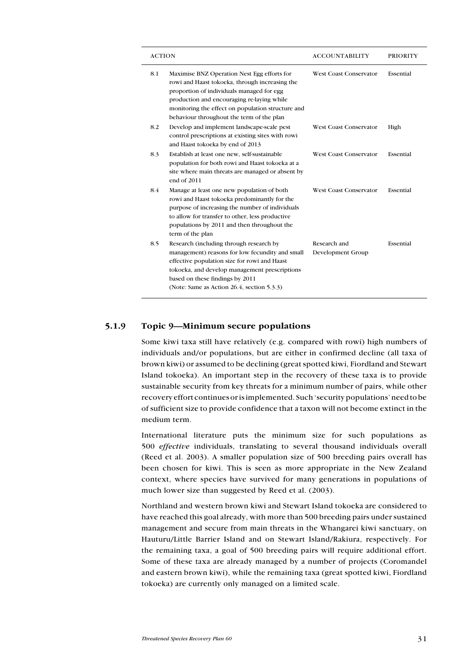| <b>ACTION</b> |                                                                                                                                                                                                                                                                                            | ACCOUNTABILITY                    | <b>PRIORITY</b> |
|---------------|--------------------------------------------------------------------------------------------------------------------------------------------------------------------------------------------------------------------------------------------------------------------------------------------|-----------------------------------|-----------------|
| 8.1           | Maximise BNZ Operation Nest Egg efforts for<br>rowi and Haast tokoeka, through increasing the<br>proportion of individuals managed for egg<br>production and encouraging re-laying while<br>monitoring the effect on population structure and<br>behaviour throughout the term of the plan | <b>West Coast Conservator</b>     | Essential       |
| 8.2           | Develop and implement landscape-scale pest<br>control prescriptions at existing sites with rowi<br>and Haast tokoeka by end of 2013                                                                                                                                                        | <b>West Coast Conservator</b>     | High            |
| 8.3           | Establish at least one new, self-sustainable<br>population for both rowi and Haast tokoeka at a<br>site where main threats are managed or absent by<br>end of 2011                                                                                                                         | <b>West Coast Conservator</b>     | Essential       |
| 8.4           | Manage at least one new population of both<br>rowi and Haast tokoeka predominantly for the<br>purpose of increasing the number of individuals<br>to allow for transfer to other, less productive<br>populations by 2011 and then throughout the<br>term of the plan                        | <b>West Coast Conservator</b>     | Essential       |
| 8.5           | Research (including through research by<br>management) reasons for low fecundity and small<br>effective population size for rowi and Haast<br>tokoeka, and develop management prescriptions<br>based on these findings by 2011<br>(Note: Same as Action 26.4, section 5.3.3)               | Research and<br>Development Group | Essential       |

# 5.1.9 Topic 9—Minimum secure populations

Some kiwi taxa still have relatively (e.g. compared with rowi) high numbers of individuals and/or populations, but are either in confirmed decline (all taxa of brown kiwi) or assumed to be declining (great spotted kiwi, Fiordland and Stewart Island tokoeka). An important step in the recovery of these taxa is to provide sustainable security from key threats for a minimum number of pairs, while other recovery effort continues or is implemented. Such 'security populations' need to be of sufficient size to provide confidence that a taxon will not become extinct in the medium term.

International literature puts the minimum size for such populations as 500 effective individuals, translating to several thousand individuals overall (Reed et al. 2003). A smaller population size of 500 breeding pairs overall has been chosen for kiwi. This is seen as more appropriate in the New Zealand context, where species have survived for many generations in populations of much lower size than suggested by Reed et al. (2003).

Northland and western brown kiwi and Stewart Island tokoeka are considered to have reached this goal already, with more than 500 breeding pairs under sustained management and secure from main threats in the Whangarei kiwi sanctuary, on Hauturu/Little Barrier Island and on Stewart Island/Rakiura, respectively. For the remaining taxa, a goal of 500 breeding pairs will require additional effort. Some of these taxa are already managed by a number of projects (Coromandel and eastern brown kiwi), while the remaining taxa (great spotted kiwi, Fiordland tokoeka) are currently only managed on a limited scale.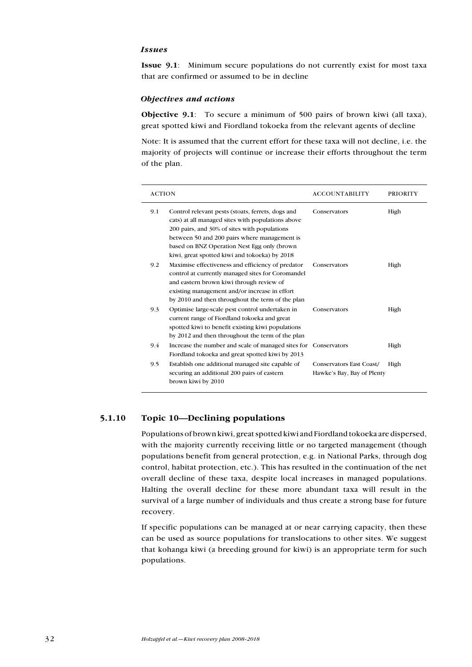#### Issues

Issue 9.1: Minimum secure populations do not currently exist for most taxa that are confirmed or assumed to be in decline

#### Objectives and actions

Objective 9.1: To secure a minimum of 500 pairs of brown kiwi (all taxa), great spotted kiwi and Fiordland tokoeka from the relevant agents of decline

Note: It is assumed that the current effort for these taxa will not decline, i.e. the majority of projects will continue or increase their efforts throughout the term of the plan.

| <b>ACTION</b> |                                                                                                                                                                                                                                                                                                        | <b>ACCOUNTABILITY</b>                                  | <b>PRIORITY</b> |
|---------------|--------------------------------------------------------------------------------------------------------------------------------------------------------------------------------------------------------------------------------------------------------------------------------------------------------|--------------------------------------------------------|-----------------|
| 9.1           | Control relevant pests (stoats, ferrets, dogs and<br>cats) at all managed sites with populations above<br>200 pairs, and 30% of sites with populations<br>between 50 and 200 pairs where management is<br>based on BNZ Operation Nest Egg only (brown<br>kiwi, great spotted kiwi and tokoeka) by 2018 | Conservators                                           | High            |
| 9.2           | Maximise effectiveness and efficiency of predator<br>control at currently managed sites for Coromandel<br>and eastern brown kiwi through review of<br>existing management and/or increase in effort<br>by 2010 and then throughout the term of the plan                                                | Conservators                                           | High            |
| 9.3           | Optimise large-scale pest control undertaken in<br>current range of Fiordland tokoeka and great<br>spotted kiwi to benefit existing kiwi populations<br>by 2012 and then throughout the term of the plan                                                                                               | Conservators                                           | High            |
| 9.4           | Increase the number and scale of managed sites for<br>Fiordland tokoeka and great spotted kiwi by 2013                                                                                                                                                                                                 | Conservators                                           | High            |
| 9.5           | Establish one additional managed site capable of<br>securing an additional 200 pairs of eastern<br>brown kiwi by 2010                                                                                                                                                                                  | Conservators East Coast/<br>Hawke's Bay, Bay of Plenty | High            |

# 5.1.10 Topic 10—Declining populations

Populations of brown kiwi, great spotted kiwi and Fiordland tokoeka are dispersed, with the majority currently receiving little or no targeted management (though populations benefit from general protection, e.g. in National Parks, through dog control, habitat protection, etc.). This has resulted in the continuation of the net overall decline of these taxa, despite local increases in managed populations. Halting the overall decline for these more abundant taxa will result in the survival of a large number of individuals and thus create a strong base for future recovery.

If specific populations can be managed at or near carrying capacity, then these can be used as source populations for translocations to other sites. We suggest that kohanga kiwi (a breeding ground for kiwi) is an appropriate term for such populations.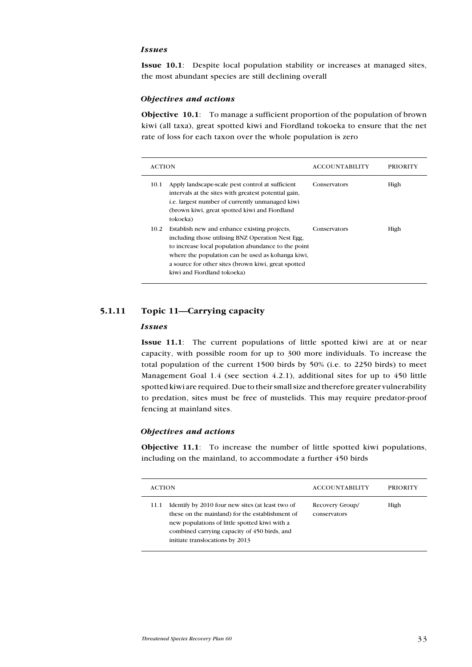#### Issues

Issue 10.1: Despite local population stability or increases at managed sites, the most abundant species are still declining overall

#### Objectives and actions

Objective 10.1: To manage a sufficient proportion of the population of brown kiwi (all taxa), great spotted kiwi and Fiordland tokoeka to ensure that the net rate of loss for each taxon over the whole population is zero

| <b>ACTION</b> |                                                                                                                                                                                                                                                                                                     | <b>ACCOUNTABILITY</b> | PRIORITY |
|---------------|-----------------------------------------------------------------------------------------------------------------------------------------------------------------------------------------------------------------------------------------------------------------------------------------------------|-----------------------|----------|
| 10.1          | Apply landscape-scale pest control at sufficient<br>intervals at the sites with greatest potential gain,<br><i>i.e.</i> largest number of currently unmanaged kiwi<br>(brown kiwi, great spotted kiwi and Fiordland<br>tokoeka)                                                                     | Conservators          | High     |
| 10.2          | Establish new and enhance existing projects,<br>including those utilising BNZ Operation Nest Egg.<br>to increase local population abundance to the point<br>where the population can be used as kohanga kiwi.<br>a source for other sites (brown kiwi, great spotted<br>kiwi and Fiordland tokoeka) | Conservators          | High     |

# 5.1.11 Topic 11—Carrying capacity

#### Issues

Issue 11.1: The current populations of little spotted kiwi are at or near capacity, with possible room for up to 300 more individuals. To increase the total population of the current 1500 birds by 50% (i.e. to 2250 birds) to meet Management Goal 1.4 (see section 4.2.1), additional sites for up to 450 little spotted kiwi are required. Due to their small size and therefore greater vulnerability to predation, sites must be free of mustelids. This may require predator-proof fencing at mainland sites.

#### Objectives and actions

Objective 11.1: To increase the number of little spotted kiwi populations, including on the mainland, to accommodate a further 450 birds

| <b>ACTION</b> |                                                                                                                                                                                                                                         | <b>ACCOUNTABILITY</b>           | <b>PRIORITY</b> |
|---------------|-----------------------------------------------------------------------------------------------------------------------------------------------------------------------------------------------------------------------------------------|---------------------------------|-----------------|
| 11.1          | Identify by 2010 four new sites (at least two of<br>these on the mainland) for the establishment of<br>new populations of little spotted kiwi with a<br>combined carrying capacity of 450 birds, and<br>initiate translocations by 2013 | Recovery Group/<br>conservators | High            |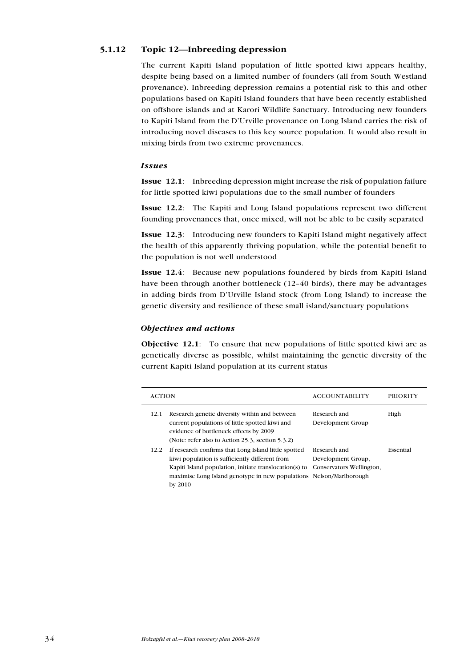# 5.1.12 Topic 12—Inbreeding depression

The current Kapiti Island population of little spotted kiwi appears healthy, despite being based on a limited number of founders (all from South Westland provenance). Inbreeding depression remains a potential risk to this and other populations based on Kapiti Island founders that have been recently established on offshore islands and at Karori Wildlife Sanctuary. Introducing new founders to Kapiti Island from the D'Urville provenance on Long Island carries the risk of introducing novel diseases to this key source population. It would also result in mixing birds from two extreme provenances.

#### Issues

Issue 12.1: Inbreeding depression might increase the risk of population failure for little spotted kiwi populations due to the small number of founders

Issue 12.2: The Kapiti and Long Island populations represent two different founding provenances that, once mixed, will not be able to be easily separated

Issue 12.3: Introducing new founders to Kapiti Island might negatively affect the health of this apparently thriving population, while the potential benefit to the population is not well understood

Issue 12.4: Because new populations foundered by birds from Kapiti Island have been through another bottleneck (12–40 birds), there may be advantages in adding birds from D'Urville Island stock (from Long Island) to increase the genetic diversity and resilience of these small island/sanctuary populations

#### Objectives and actions

Objective 12.1: To ensure that new populations of little spotted kiwi are as genetically diverse as possible, whilst maintaining the genetic diversity of the current Kapiti Island population at its current status

| <b>ACTION</b> |                                                                                                                                                                                                                                                    | <b>ACCOUNTABILITY</b>                                          | <b>PRIORITY</b> |
|---------------|----------------------------------------------------------------------------------------------------------------------------------------------------------------------------------------------------------------------------------------------------|----------------------------------------------------------------|-----------------|
| 12.1          | Research genetic diversity within and between<br>current populations of little spotted kiwi and<br>evidence of bottleneck effects by 2009<br>(Note: refer also to Action 25.3, section 5.3.2)                                                      | Research and<br>Development Group                              | High            |
| 12.2          | If research confirms that Long Island little spotted<br>kiwi population is sufficiently different from<br>Kapiti Island population, initiate translocation(s) to<br>maximise Long Island genotype in new populations Nelson/Marlborough<br>by 2010 | Research and<br>Development Group,<br>Conservators Wellington, | Essential       |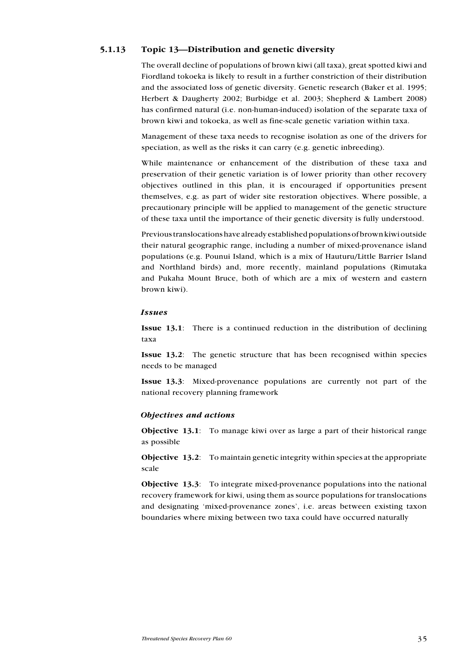# 5.1.13 Topic 13—Distribution and genetic diversity

The overall decline of populations of brown kiwi (all taxa), great spotted kiwi and Fiordland tokoeka is likely to result in a further constriction of their distribution and the associated loss of genetic diversity. Genetic research (Baker et al. 1995; Herbert & Daugherty 2002; Burbidge et al. 2003; Shepherd & Lambert 2008) has confirmed natural (i.e. non-human-induced) isolation of the separate taxa of brown kiwi and tokoeka, as well as fine-scale genetic variation within taxa.

Management of these taxa needs to recognise isolation as one of the drivers for speciation, as well as the risks it can carry (e.g. genetic inbreeding).

While maintenance or enhancement of the distribution of these taxa and preservation of their genetic variation is of lower priority than other recovery objectives outlined in this plan, it is encouraged if opportunities present themselves, e.g. as part of wider site restoration objectives. Where possible, a precautionary principle will be applied to management of the genetic structure of these taxa until the importance of their genetic diversity is fully understood.

Previous translocations have already established populations of brown kiwi outside their natural geographic range, including a number of mixed-provenance island populations (e.g. Pounui Island, which is a mix of Hauturu/Little Barrier Island and Northland birds) and, more recently, mainland populations (Rimutaka and Pukaha Mount Bruce, both of which are a mix of western and eastern brown kiwi).

#### Issues

Issue 13.1: There is a continued reduction in the distribution of declining taxa

Issue 13.2: The genetic structure that has been recognised within species needs to be managed

Issue 13.3: Mixed-provenance populations are currently not part of the national recovery planning framework

#### Objectives and actions

Objective 13.1: To manage kiwi over as large a part of their historical range as possible

Objective 13.2: To maintain genetic integrity within species at the appropriate scale

Objective 13.3: To integrate mixed-provenance populations into the national recovery framework for kiwi, using them as source populations for translocations and designating 'mixed-provenance zones', i.e. areas between existing taxon boundaries where mixing between two taxa could have occurred naturally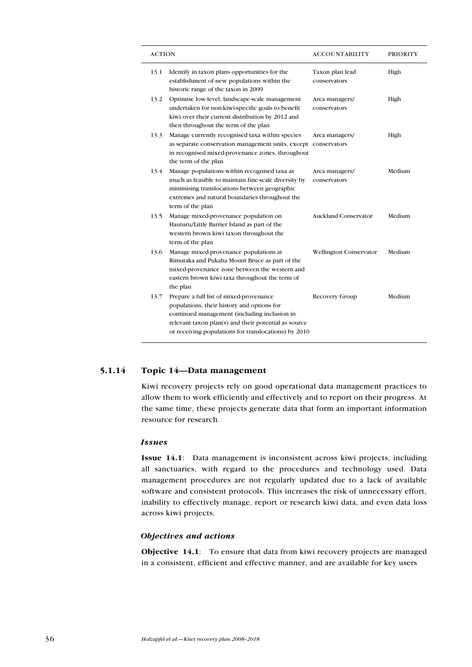| <b>ACTION</b> |                                                                                                                                                                                                                                                       | <b>ACCOUNTABILITY</b>           | <b>PRIORITY</b> |
|---------------|-------------------------------------------------------------------------------------------------------------------------------------------------------------------------------------------------------------------------------------------------------|---------------------------------|-----------------|
| 13.1          | Identify in taxon plans opportunities for the<br>establishment of new populations within the<br>historic range of the taxon in 2009                                                                                                                   | Taxon plan lead<br>conservators | High            |
| 13.2          | Optimise low-level, landscape-scale management<br>undertaken for non-kiwi-specific goals to benefit<br>kiwi over their current distribution by 2012 and<br>then throughout the term of the plan                                                       | Area managers/<br>conservators  | High            |
| 13.3          | Manage currently recognised taxa within species<br>as separate conservation management units, except<br>in recognised mixed-provenance zones, throughout<br>the term of the plan                                                                      | Area managers/<br>conservators  | High            |
| 13.4          | Manage populations within recognised taxa as<br>much as feasible to maintain fine-scale diversity by<br>minimising translocations between geographic<br>extremes and natural boundaries throughout the<br>term of the plan                            | Area managers/<br>conservators  | Medium          |
| 13.5          | Manage mixed-provenance population on<br>Hauturu/Little Barrier Island as part of the<br>western brown kiwi taxon throughout the<br>term of the plan                                                                                                  | <b>Auckland Conservator</b>     | Medium          |
| 13.6          | Manage mixed-provenance populations at<br>Rimutaka and Pukaha Mount Bruce as part of the<br>mixed-provenance zone between the western and<br>eastern brown kiwi taxa throughout the term of<br>the plan                                               | <b>Wellington Conservator</b>   | Medium          |
| 13.7          | Prepare a full list of mixed-provenance<br>populations, their history and options for<br>continued management (including inclusion in<br>relevant taxon plan(s) and their potential as source<br>or receiving populations for translocations) by 2010 | Recovery Group                  | Medium          |

# 5.1.14 Topic 14—Data management

Kiwi recovery projects rely on good operational data management practices to allow them to work efficiently and effectively and to report on their progress. At the same time, these projects generate data that form an important information resource for research.

#### Issues

Issue 14.1: Data management is inconsistent across kiwi projects, including all sanctuaries, with regard to the procedures and technology used. Data management procedures are not regularly updated due to a lack of available software and consistent protocols. This increases the risk of unnecessary effort, inability to effectively manage, report or research kiwi data, and even data loss across kiwi projects.

### Objectives and actions

Objective 14.1: To ensure that data from kiwi recovery projects are managed in a consistent, efficient and effective manner, and are available for key users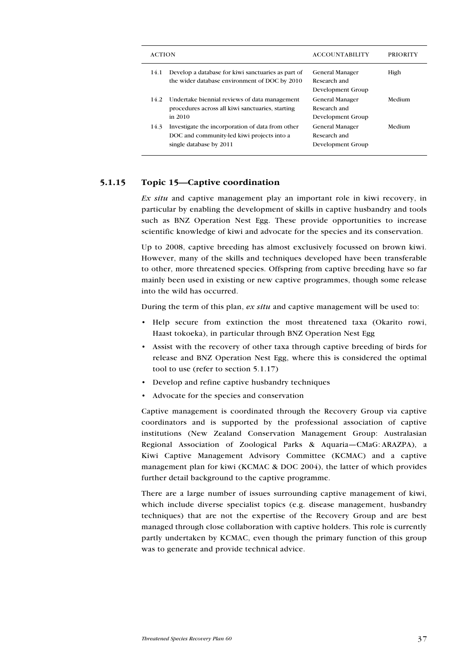| <b>ACTION</b> |                                                                                                                           | <b>ACCOUNTABILITY</b>                                       | PRIORITY |
|---------------|---------------------------------------------------------------------------------------------------------------------------|-------------------------------------------------------------|----------|
| 14.1          | Develop a database for kiwi sanctuaries as part of<br>the wider database environment of DOC by 2010                       | <b>General Manager</b><br>Research and<br>Development Group | High     |
| 14.2          | Undertake biennial reviews of data management<br>procedures across all kiwi sanctuaries, starting<br>in $2010$            | <b>General Manager</b><br>Research and<br>Development Group | Medium   |
| 14.3          | Investigate the incorporation of data from other<br>DOC and community-led kiwi projects into a<br>single database by 2011 | <b>General Manager</b><br>Research and<br>Development Group | Medium   |

# 5.1.15 Topic 15—Captive coordination

Ex situ and captive management play an important role in kiwi recovery, in particular by enabling the development of skills in captive husbandry and tools such as BNZ Operation Nest Egg. These provide opportunities to increase scientific knowledge of kiwi and advocate for the species and its conservation.

Up to 2008, captive breeding has almost exclusively focussed on brown kiwi. However, many of the skills and techniques developed have been transferable to other, more threatened species. Offspring from captive breeding have so far mainly been used in existing or new captive programmes, though some release into the wild has occurred.

During the term of this plan, ex situ and captive management will be used to:

- • Help secure from extinction the most threatened taxa (Okarito rowi, Haast tokoeka), in particular through BNZ Operation Nest Egg
- • Assist with the recovery of other taxa through captive breeding of birds for release and BNZ Operation Nest Egg, where this is considered the optimal tool to use (refer to section 5.1.17)
- Develop and refine captive husbandry techniques
- Advocate for the species and conservation

Captive management is coordinated through the Recovery Group via captive coordinators and is supported by the professional association of captive institutions (New Zealand Conservation Management Group: Australasian Regional Association of Zoological Parks & Aquaria—CMaG: ARAZPA), a Kiwi Captive Management Advisory Committee (KCMAC) and a captive management plan for kiwi (KCMAC & DOC 2004), the latter of which provides further detail background to the captive programme.

There are a large number of issues surrounding captive management of kiwi, which include diverse specialist topics (e.g. disease management, husbandry techniques) that are not the expertise of the Recovery Group and are best managed through close collaboration with captive holders. This role is currently partly undertaken by KCMAC, even though the primary function of this group was to generate and provide technical advice.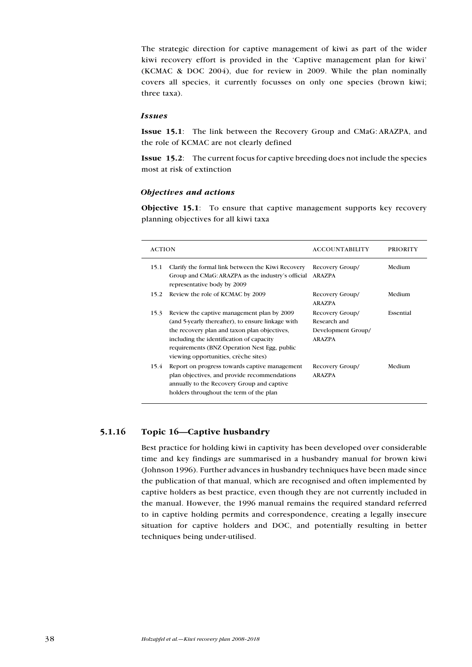The strategic direction for captive management of kiwi as part of the wider kiwi recovery effort is provided in the 'Captive management plan for kiwi' (KCMAC & DOC 2004), due for review in 2009. While the plan nominally covers all species, it currently focusses on only one species (brown kiwi; three taxa).

#### Issues

Issue 15.1: The link between the Recovery Group and CMaG: ARAZPA, and the role of KCMAC are not clearly defined

Issue 15.2: The current focus for captive breeding does not include the species most at risk of extinction

#### Objectives and actions

Objective 15.1: To ensure that captive management supports key recovery planning objectives for all kiwi taxa

| <b>ACTION</b> |                                                                                                                                                                                                                                                                                     | <b>ACCOUNTABILITY</b>                                                  | <b>PRIORITY</b> |
|---------------|-------------------------------------------------------------------------------------------------------------------------------------------------------------------------------------------------------------------------------------------------------------------------------------|------------------------------------------------------------------------|-----------------|
| 15.1          | Clarify the formal link between the Kiwi Recovery<br>Group and CMaG: ARAZPA as the industry's official<br>representative body by 2009                                                                                                                                               | Recovery Group/<br><b>ARAZPA</b>                                       | Medium          |
| 15.2          | Review the role of KCMAC by 2009                                                                                                                                                                                                                                                    | Recovery Group/<br><b>ARAZPA</b>                                       | Medium          |
| 15.3          | Review the captive management plan by 2009<br>(and 5-yearly thereafter), to ensure linkage with<br>the recovery plan and taxon plan objectives,<br>including the identification of capacity<br>requirements (BNZ Operation Nest Egg, public<br>viewing opportunities, crèche sites) | Recovery Group/<br>Research and<br>Development Group/<br><b>ARAZPA</b> | Essential       |
| 15.4          | Report on progress towards captive management<br>plan objectives, and provide recommendations<br>annually to the Recovery Group and captive<br>holders throughout the term of the plan                                                                                              | Recovery Group/<br><b>ARAZPA</b>                                       | Medium          |

# 5.1.16 Topic 16—Captive husbandry

Best practice for holding kiwi in captivity has been developed over considerable time and key findings are summarised in a husbandry manual for brown kiwi (Johnson 1996). Further advances in husbandry techniques have been made since the publication of that manual, which are recognised and often implemented by captive holders as best practice, even though they are not currently included in the manual. However, the 1996 manual remains the required standard referred to in captive holding permits and correspondence, creating a legally insecure situation for captive holders and DOC, and potentially resulting in better techniques being under-utilised.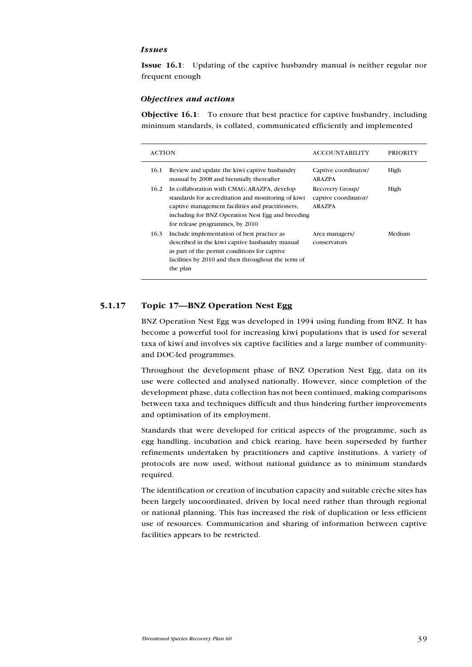#### Issues

Issue 16.1: Updating of the captive husbandry manual is neither regular nor frequent enough

#### Objectives and actions

Objective 16.1: To ensure that best practice for captive husbandry, including minimum standards, is collated, communicated efficiently and implemented

| <b>ACTION</b> |                                                                                                                                                                                                                                               | <b>ACCOUNTABILITY</b>                                    | <b>PRIORITY</b> |
|---------------|-----------------------------------------------------------------------------------------------------------------------------------------------------------------------------------------------------------------------------------------------|----------------------------------------------------------|-----------------|
| 16.1          | Review and update the kiwi captive husbandry<br>manual by 2008 and biennially thereafter                                                                                                                                                      | Captive coordinator/<br><b>ARAZPA</b>                    | High            |
| 16.2          | In collaboration with CMAG: ARAZPA, develop<br>standards for accreditation and monitoring of kiwi<br>captive management facilities and practitioners.<br>including for BNZ Operation Nest Egg and breeding<br>for release programmes, by 2010 | Recovery Group/<br>captive coordinator/<br><b>ARAZPA</b> | High            |
| 16.3          | Include implementation of best practice as<br>described in the kiwi captive husbandry manual<br>as part of the permit conditions for captive<br>facilities by 2010 and then throughout the term of<br>the plan                                | Area managers/<br>conservators                           | Medium          |

#### 5.1.17 Topic 17—BNZ Operation Nest Egg

BNZ Operation Nest Egg was developed in 1994 using funding from BNZ. It has become a powerful tool for increasing kiwi populations that is used for several taxa of kiwi and involves six captive facilities and a large number of communityand DOC-led programmes.

Throughout the development phase of BNZ Operation Nest Egg, data on its use were collected and analysed nationally. However, since completion of the development phase, data collection has not been continued, making comparisons between taxa and techniques difficult and thus hindering further improvements and optimisation of its employment.

Standards that were developed for critical aspects of the programme, such as egg handling, incubation and chick rearing, have been superseded by further refinements undertaken by practitioners and captive institutions. A variety of protocols are now used, without national guidance as to minimum standards required.

The identification or creation of incubation capacity and suitable crèche sites has been largely uncoordinated, driven by local need rather than through regional or national planning. This has increased the risk of duplication or less efficient use of resources. Communication and sharing of information between captive facilities appears to be restricted.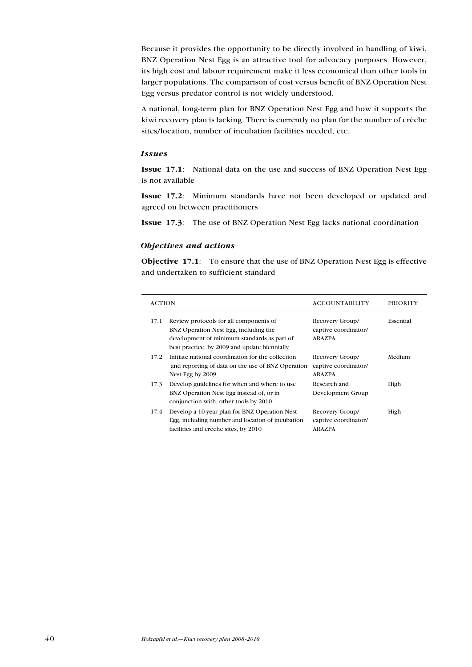Because it provides the opportunity to be directly involved in handling of kiwi, BNZ Operation Nest Egg is an attractive tool for advocacy purposes. However, its high cost and labour requirement make it less economical than other tools in larger populations. The comparison of cost versus benefit of BNZ Operation Nest Egg versus predator control is not widely understood.

A national, long-term plan for BNZ Operation Nest Egg and how it supports the kiwi recovery plan is lacking. There is currently no plan for the number of crèche sites/location, number of incubation facilities needed, etc.

#### Issues

Issue 17.1: National data on the use and success of BNZ Operation Nest Egg is not available

Issue 17.2: Minimum standards have not been developed or updated and agreed on between practitioners

Issue 17.3: The use of BNZ Operation Nest Egg lacks national coordination

#### Objectives and actions

Objective 17.1: To ensure that the use of BNZ Operation Nest Egg is effective and undertaken to sufficient standard

| <b>ACTION</b> |                                                                                                                                                                                | <b>ACCOUNTABILITY</b>                                    | <b>PRIORITY</b> |
|---------------|--------------------------------------------------------------------------------------------------------------------------------------------------------------------------------|----------------------------------------------------------|-----------------|
| 17.1          | Review protocols for all components of<br>BNZ Operation Nest Egg, including the<br>development of minimum standards as part of<br>best practice, by 2009 and update biennially | Recovery Group/<br>captive coordinator/<br><b>ARAZPA</b> | Essential       |
| 17.2          | Initiate national coordination for the collection<br>and reporting of data on the use of BNZ Operation<br>Nest Egg by 2009                                                     | Recovery Group/<br>captive coordinator/<br>ARAZPA        | Medium          |
| 17.3          | Develop guidelines for when and where to use<br>BNZ Operation Nest Egg instead of, or in<br>conjunction with, other tools by 2010                                              | Research and<br>Development Group                        | High            |
| 17.4          | Develop a 10-year plan for BNZ Operation Nest<br>Egg, including number and location of incubation<br>facilities and crèche sites, by 2010                                      | Recovery Group/<br>captive coordinator/<br><b>ARAZPA</b> | High            |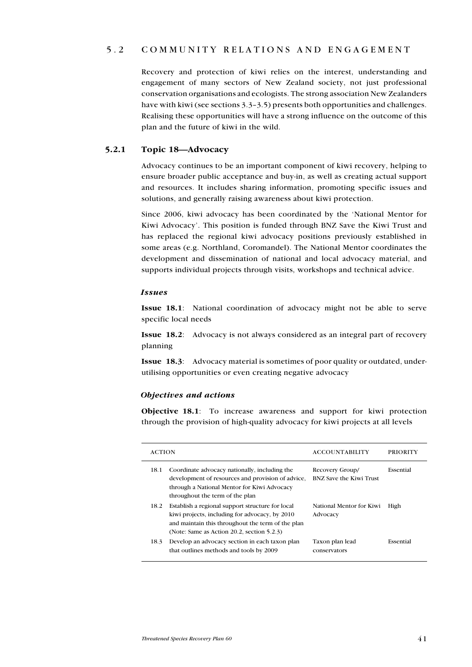# 5.2 C ommunity relations and engagement

Recovery and protection of kiwi relies on the interest, understanding and engagement of many sectors of New Zealand society, not just professional conservation organisations and ecologists. The strong association New Zealanders have with kiwi (see sections 3.3–3.5) presents both opportunities and challenges. Realising these opportunities will have a strong influence on the outcome of this plan and the future of kiwi in the wild.

# 5.2.1 Topic 18—Advocacy

Advocacy continues to be an important component of kiwi recovery, helping to ensure broader public acceptance and buy-in, as well as creating actual support and resources. It includes sharing information, promoting specific issues and solutions, and generally raising awareness about kiwi protection.

Since 2006, kiwi advocacy has been coordinated by the 'National Mentor for Kiwi Advocacy'. This position is funded through BNZ Save the Kiwi Trust and has replaced the regional kiwi advocacy positions previously established in some areas (e.g. Northland, Coromandel). The National Mentor coordinates the development and dissemination of national and local advocacy material, and supports individual projects through visits, workshops and technical advice.

#### Issues

Issue 18.1: National coordination of advocacy might not be able to serve specific local needs

Issue 18.2: Advocacy is not always considered as an integral part of recovery planning

Issue 18.3: Advocacy material is sometimes of poor quality or outdated, underutilising opportunities or even creating negative advocacy

### Objectives and actions

Objective 18.1: To increase awareness and support for kiwi protection through the provision of high-quality advocacy for kiwi projects at all levels

| <b>ACTION</b>                                                                                                                                                                                                    | <b>ACCOUNTABILITY</b>                      | PRIORITY  |
|------------------------------------------------------------------------------------------------------------------------------------------------------------------------------------------------------------------|--------------------------------------------|-----------|
| Coordinate advocacy nationally, including the<br>18.1<br>development of resources and provision of advice,<br>through a National Mentor for Kiwi Advocacy<br>throughout the term of the plan                     | Recovery Group/<br>BNZ Save the Kiwi Trust | Essential |
| 18.2<br>Establish a regional support structure for local<br>kiwi projects, including for advocacy, by 2010<br>and maintain this throughout the term of the plan<br>(Note: Same as Action 20.2, section $5.2.3$ ) | National Mentor for Kiwi<br>Advocacy       | High      |
| Develop an advocacy section in each taxon plan<br>18.3<br>that outlines methods and tools by 2009                                                                                                                | Taxon plan lead<br>conservators            | Essential |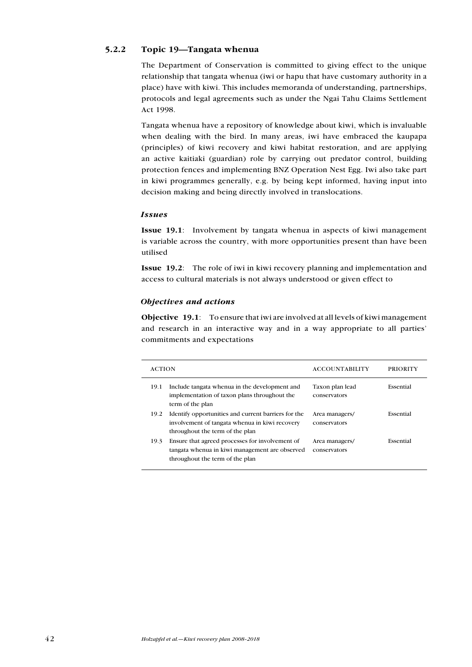# 5.2.2 Topic 19—Tangata whenua

The Department of Conservation is committed to giving effect to the unique relationship that tangata whenua (iwi or hapu that have customary authority in a place) have with kiwi. This includes memoranda of understanding, partnerships, protocols and legal agreements such as under the Ngai Tahu Claims Settlement Act 1998.

Tangata whenua have a repository of knowledge about kiwi, which is invaluable when dealing with the bird. In many areas, iwi have embraced the kaupapa (principles) of kiwi recovery and kiwi habitat restoration, and are applying an active kaitiaki (guardian) role by carrying out predator control, building protection fences and implementing BNZ Operation Nest Egg. Iwi also take part in kiwi programmes generally, e.g. by being kept informed, having input into decision making and being directly involved in translocations.

#### Issues

Issue 19.1: Involvement by tangata whenua in aspects of kiwi management is variable across the country, with more opportunities present than have been utilised

Issue 19.2: The role of iwi in kiwi recovery planning and implementation and access to cultural materials is not always understood or given effect to

#### Objectives and actions

Objective 19.1: To ensure that iwi are involved at all levels of kiwi management and research in an interactive way and in a way appropriate to all parties' commitments and expectations

| <b>ACTION</b> |                                                                                                                                          | <b>ACCOUNTABILITY</b>           | PRIORITY  |
|---------------|------------------------------------------------------------------------------------------------------------------------------------------|---------------------------------|-----------|
| 19.1          | Include tangata whenua in the development and<br>implementation of taxon plans throughout the<br>term of the plan                        | Taxon plan lead<br>conservators | Essential |
| 19.2          | Identify opportunities and current barriers for the<br>involvement of tangata whenua in kiwi recovery<br>throughout the term of the plan | Area managers/<br>conservators  | Essential |
| 19.3          | Ensure that agreed processes for involvement of<br>tangata whenua in kiwi management are observed<br>throughout the term of the plan     | Area managers/<br>conservators  | Essential |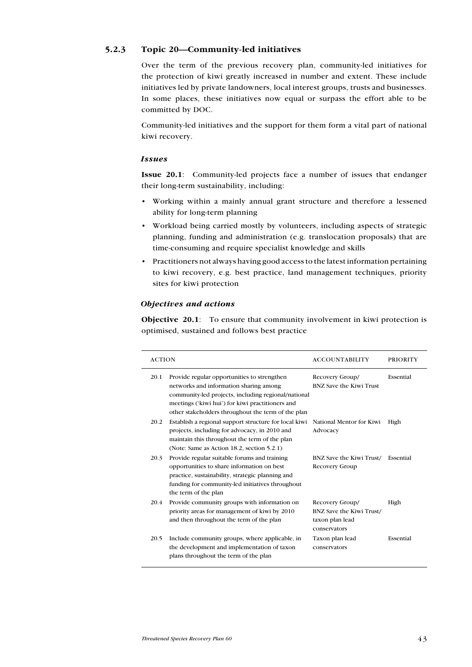# 5.2.3 Topic 20—Community-led initiatives

Over the term of the previous recovery plan, community-led initiatives for the protection of kiwi greatly increased in number and extent. These include initiatives led by private landowners, local interest groups, trusts and businesses. In some places, these initiatives now equal or surpass the effort able to be committed by DOC.

Community-led initiatives and the support for them form a vital part of national kiwi recovery.

#### Issues

Issue 20.1: Community-led projects face a number of issues that endanger their long-term sustainability, including:

- • Working within a mainly annual grant structure and therefore a lessened ability for long-term planning
- • Workload being carried mostly by volunteers, including aspects of strategic planning, funding and administration (e.g. translocation proposals) that are time-consuming and require specialist knowledge and skills
- • Practitioners not always having good access to the latest information pertaining to kiwi recovery, e.g. best practice, land management techniques, priority sites for kiwi protection

#### Objectives and actions

Objective 20.1: To ensure that community involvement in kiwi protection is optimised, sustained and follows best practice

| <b>ACTION</b>                                                                                                                                                                                                                                                  | <b>ACCOUNTABILITY</b>                                                          | <b>PRIORITY</b> |
|----------------------------------------------------------------------------------------------------------------------------------------------------------------------------------------------------------------------------------------------------------------|--------------------------------------------------------------------------------|-----------------|
| Provide regular opportunities to strengthen<br>20.1<br>networks and information sharing among<br>community-led projects, including regional/national<br>meetings ('kiwi hui') for kiwi practitioners and<br>other stakeholders throughout the term of the plan | Recovery Group/<br><b>BNZ Save the Kiwi Trust</b>                              | Essential       |
| Establish a regional support structure for local kiwi<br>20.2<br>projects, including for advocacy, in 2010 and<br>maintain this throughout the term of the plan<br>(Note: Same as Action 18.2, section 5.2.1)                                                  | National Mentor for Kiwi<br>Advocacy                                           | High            |
| Provide regular suitable forums and training<br>20.3<br>opportunities to share information on best<br>practice, sustainability, strategic planning and<br>funding for community-led initiatives throughout<br>the term of the plan                             | <b>BNZ Save the Kiwi Trust/</b><br>Recovery Group                              | Essential       |
| Provide community groups with information on<br>20.4<br>priority areas for management of kiwi by 2010<br>and then throughout the term of the plan                                                                                                              | Recovery Group/<br>BNZ Save the Kiwi Trust/<br>taxon plan lead<br>conservators | High            |
| 20.5<br>Include community groups, where applicable, in<br>the development and implementation of taxon<br>plans throughout the term of the plan                                                                                                                 | Taxon plan lead<br>conservators                                                | Essential       |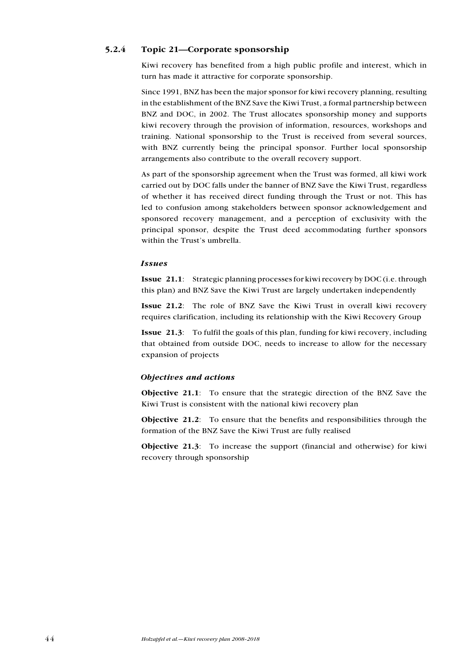# 5.2.4 Topic 21—Corporate sponsorship

Kiwi recovery has benefited from a high public profile and interest, which in turn has made it attractive for corporate sponsorship.

Since 1991, BNZ has been the major sponsor for kiwi recovery planning, resulting in the establishment of the BNZ Save the Kiwi Trust, a formal partnership between BNZ and DOC, in 2002. The Trust allocates sponsorship money and supports kiwi recovery through the provision of information, resources, workshops and training. National sponsorship to the Trust is received from several sources, with BNZ currently being the principal sponsor. Further local sponsorship arrangements also contribute to the overall recovery support.

As part of the sponsorship agreement when the Trust was formed, all kiwi work carried out by DOC falls under the banner of BNZ Save the Kiwi Trust, regardless of whether it has received direct funding through the Trust or not. This has led to confusion among stakeholders between sponsor acknowledgement and sponsored recovery management, and a perception of exclusivity with the principal sponsor, despite the Trust deed accommodating further sponsors within the Trust's umbrella.

#### Issues

Issue 21.1: Strategic planning processes for kiwi recovery by DOC (i.e. through this plan) and BNZ Save the Kiwi Trust are largely undertaken independently

Issue 21.2: The role of BNZ Save the Kiwi Trust in overall kiwi recovery requires clarification, including its relationship with the Kiwi Recovery Group

Issue 21.3: To fulfil the goals of this plan, funding for kiwi recovery, including that obtained from outside DOC, needs to increase to allow for the necessary expansion of projects

#### Objectives and actions

Objective 21.1: To ensure that the strategic direction of the BNZ Save the Kiwi Trust is consistent with the national kiwi recovery plan

Objective 21.2: To ensure that the benefits and responsibilities through the formation of the BNZ Save the Kiwi Trust are fully realised

Objective 21.3: To increase the support (financial and otherwise) for kiwi recovery through sponsorship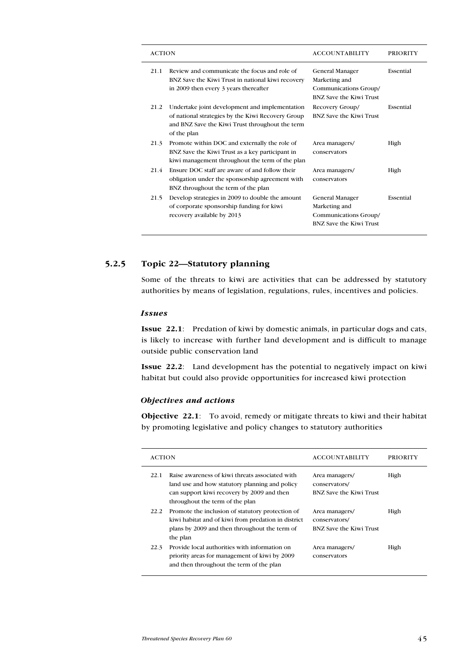| <b>ACTION</b> |                                                                                                                                                                       | <b>ACCOUNTABILITY</b>                                                                | <b>PRIORITY</b> |
|---------------|-----------------------------------------------------------------------------------------------------------------------------------------------------------------------|--------------------------------------------------------------------------------------|-----------------|
| 21.1          | Review and communicate the focus and role of<br>BNZ Save the Kiwi Trust in national kiwi recovery<br>in 2009 then every 3 years thereafter                            | General Manager<br>Marketing and<br>Communications Group/<br>BNZ Save the Kiwi Trust | Essential       |
| 21.2          | Undertake joint development and implementation<br>of national strategies by the Kiwi Recovery Group<br>and BNZ Save the Kiwi Trust throughout the term<br>of the plan | Recovery Group/<br>BNZ Save the Kiwi Trust                                           | Essential       |
| 21.3          | Promote within DOC and externally the role of<br>BNZ Save the Kiwi Trust as a key participant in<br>kiwi management throughout the term of the plan                   | Area managers/<br>conservators                                                       | High            |
| 21.4          | Ensure DOC staff are aware of and follow their<br>obligation under the sponsorship agreement with<br>BNZ throughout the term of the plan                              | Area managers/<br>conservators                                                       | High            |
| 21.5          | Develop strategies in 2009 to double the amount<br>of corporate sponsorship funding for kiwi<br>recovery available by 2013                                            | General Manager<br>Marketing and<br>Communications Group/<br>BNZ Save the Kiwi Trust | Essential       |

# 5.2.5 Topic 22—Statutory planning

Some of the threats to kiwi are activities that can be addressed by statutory authorities by means of legislation, regulations, rules, incentives and policies.

#### Issues

Issue 22.1: Predation of kiwi by domestic animals, in particular dogs and cats, is likely to increase with further land development and is difficult to manage outside public conservation land

Issue 22.2: Land development has the potential to negatively impact on kiwi habitat but could also provide opportunities for increased kiwi protection

### Objectives and actions

Objective 22.1: To avoid, remedy or mitigate threats to kiwi and their habitat by promoting legislative and policy changes to statutory authorities

| <b>ACTION</b>                                                                                                                                                                      | <b>ACCOUNTABILITY</b>                                             | <b>PRIORITY</b> |
|------------------------------------------------------------------------------------------------------------------------------------------------------------------------------------|-------------------------------------------------------------------|-----------------|
| Raise awareness of kiwi threats associated with<br>land use and how statutory planning and policy<br>can support kiwi recovery by 2009 and then<br>throughout the term of the plan | Area managers/<br>conservators/<br><b>BNZ Save the Kiwi Trust</b> | High            |
| Promote the inclusion of statutory protection of<br>kiwi habitat and of kiwi from predation in district<br>plans by 2009 and then throughout the term of<br>the plan               | Area managers/<br>conservators/<br>BNZ Save the Kiwi Trust        | High            |
| Provide local authorities with information on<br>priority areas for management of kiwi by 2009<br>and then throughout the term of the plan                                         | Area managers/<br>conservators                                    | High            |
|                                                                                                                                                                                    |                                                                   |                 |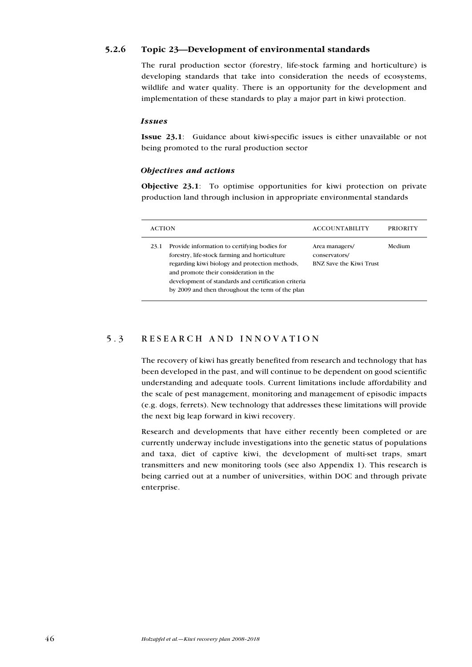# 5.2.6 Topic 23—Development of environmental standards

The rural production sector (forestry, life-stock farming and horticulture) is developing standards that take into consideration the needs of ecosystems, wildlife and water quality. There is an opportunity for the development and implementation of these standards to play a major part in kiwi protection.

#### Issues

Issue 23.1: Guidance about kiwi-specific issues is either unavailable or not being promoted to the rural production sector

#### Objectives and actions

Objective 23.1: To optimise opportunities for kiwi protection on private production land through inclusion in appropriate environmental standards

| <b>ACTION</b> |                                                                                                                                                                                                                                                                                                      | <b>ACCOUNTABILITY</b>                                      | <b>PRIORITY</b> |
|---------------|------------------------------------------------------------------------------------------------------------------------------------------------------------------------------------------------------------------------------------------------------------------------------------------------------|------------------------------------------------------------|-----------------|
| 23.1          | Provide information to certifying bodies for<br>forestry, life-stock farming and horticulture<br>regarding kiwi biology and protection methods,<br>and promote their consideration in the<br>development of standards and certification criteria<br>by 2009 and then throughout the term of the plan | Area managers/<br>conservators/<br>BNZ Save the Kiwi Trust | Medium          |

# 5.3 RESEARCH AND INNOVATION

The recovery of kiwi has greatly benefited from research and technology that has been developed in the past, and will continue to be dependent on good scientific understanding and adequate tools. Current limitations include affordability and the scale of pest management, monitoring and management of episodic impacts (e.g. dogs, ferrets). New technology that addresses these limitations will provide the next big leap forward in kiwi recovery.

Research and developments that have either recently been completed or are currently underway include investigations into the genetic status of populations and taxa, diet of captive kiwi, the development of multi-set traps, smart transmitters and new monitoring tools (see also Appendix 1). This research is being carried out at a number of universities, within DOC and through private enterprise.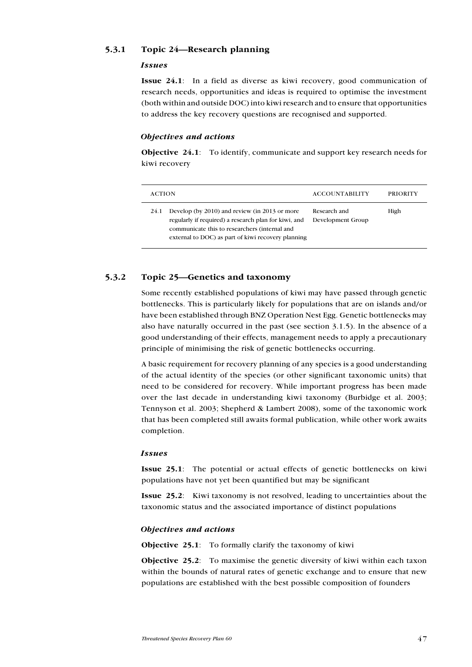## 5.3.1 Topic 24—Research planning

#### Issues

Issue 24.1: In a field as diverse as kiwi recovery, good communication of research needs, opportunities and ideas is required to optimise the investment (both within and outside DOC) into kiwi research and to ensure that opportunities to address the key recovery questions are recognised and supported.

#### Objectives and actions

Objective 24.1: To identify, communicate and support key research needs for kiwi recovery

| <b>ACTION</b>                                                                                                                                                                                                        | <b>ACCOUNTABILITY</b>             | <b>PRIORITY</b> |
|----------------------------------------------------------------------------------------------------------------------------------------------------------------------------------------------------------------------|-----------------------------------|-----------------|
| Develop (by 2010) and review (in 2013 or more<br>24.1<br>regularly if required) a research plan for kiwi, and<br>communicate this to researchers (internal and<br>external to DOC) as part of kiwi recovery planning | Research and<br>Development Group | High            |

# 5.3.2 Topic 25—Genetics and taxonomy

Some recently established populations of kiwi may have passed through genetic bottlenecks. This is particularly likely for populations that are on islands and/or have been established through BNZ Operation Nest Egg. Genetic bottlenecks may also have naturally occurred in the past (see section 3.1.5). In the absence of a good understanding of their effects, management needs to apply a precautionary principle of minimising the risk of genetic bottlenecks occurring.

A basic requirement for recovery planning of any species is a good understanding of the actual identity of the species (or other significant taxonomic units) that need to be considered for recovery. While important progress has been made over the last decade in understanding kiwi taxonomy (Burbidge et al. 2003; Tennyson et al. 2003; Shepherd & Lambert 2008), some of the taxonomic work that has been completed still awaits formal publication, while other work awaits completion.

#### Issues

Issue 25.1: The potential or actual effects of genetic bottlenecks on kiwi populations have not yet been quantified but may be significant

Issue 25.2: Kiwi taxonomy is not resolved, leading to uncertainties about the taxonomic status and the associated importance of distinct populations

#### Objectives and actions

Objective 25.1: To formally clarify the taxonomy of kiwi

Objective 25.2: To maximise the genetic diversity of kiwi within each taxon within the bounds of natural rates of genetic exchange and to ensure that new populations are established with the best possible composition of founders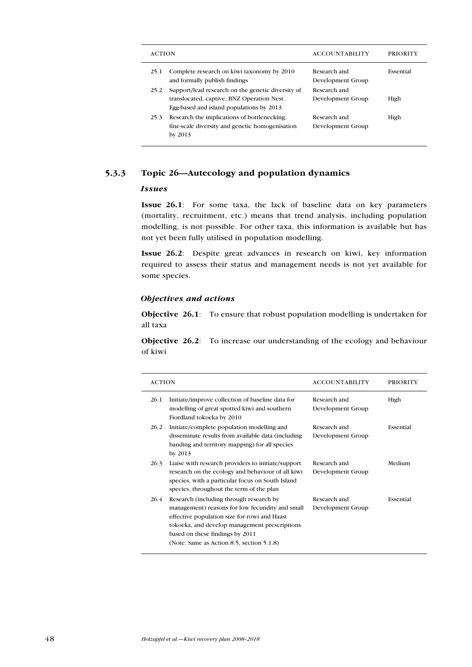| <b>ACTION</b>     |                                                                                                                                            | <b>ACCOUNTABILITY</b>             | <b>PRIORITY</b> |
|-------------------|--------------------------------------------------------------------------------------------------------------------------------------------|-----------------------------------|-----------------|
| 25.1              | Complete research on kiwi taxonomy by 2010<br>and formally publish findings                                                                | Research and<br>Development Group | Essential       |
| 25.2              | Support/lead research on the genetic diversity of<br>translocated, captive, BNZ Operation Nest<br>Egg-based and island populations by 2013 | Research and<br>Development Group | High            |
| 25.3<br>by $2013$ | Research the implications of bottlenecking,<br>fine-scale diversity and genetic homogenisation                                             | Research and<br>Development Group | High            |

# 5.3.3 Topic 26—Autecology and population dynamics

## Issues

Issue 26.1: For some taxa, the lack of baseline data on key parameters (mortality, recruitment, etc.) means that trend analysis, including population modelling, is not possible. For other taxa, this information is available but has not yet been fully utilised in population modelling.

Issue 26.2: Despite great advances in research on kiwi, key information required to assess their status and management needs is not yet available for some species.

# Objectives and actions

Objective 26.1: To ensure that robust population modelling is undertaken for all taxa

Objective 26.2: To increase our understanding of the ecology and behaviour of kiwi

| <b>ACTION</b>                                                                                                                                                                                                                                                                       | <b>ACCOUNTABILITY</b>             | <b>PRIORITY</b> |
|-------------------------------------------------------------------------------------------------------------------------------------------------------------------------------------------------------------------------------------------------------------------------------------|-----------------------------------|-----------------|
| 26.1<br>Initiate/improve collection of baseline data for<br>modelling of great spotted kiwi and southern<br>Fiordland tokoeka by 2010                                                                                                                                               | Research and<br>Development Group | High            |
| 26.2<br>Initiate/complete population modelling and<br>disseminate results from available data (including)<br>banding and territory mapping) for all species<br>by 2013                                                                                                              | Research and<br>Development Group | Essential       |
| 26.3<br>Liaise with research providers to initiate/support<br>research on the ecology and behaviour of all kiwi<br>species, with a particular focus on South Island<br>species, throughout the term of the plan                                                                     | Research and<br>Development Group | Medium          |
| 26.4<br>Research (including through research by<br>management) reasons for low fecundity and small<br>effective population size for rowi and Haast<br>tokoeka, and develop management prescriptions<br>based on these findings by 2011<br>(Note: Same as Action 8.5, section 5.1.8) | Research and<br>Development Group | Essential       |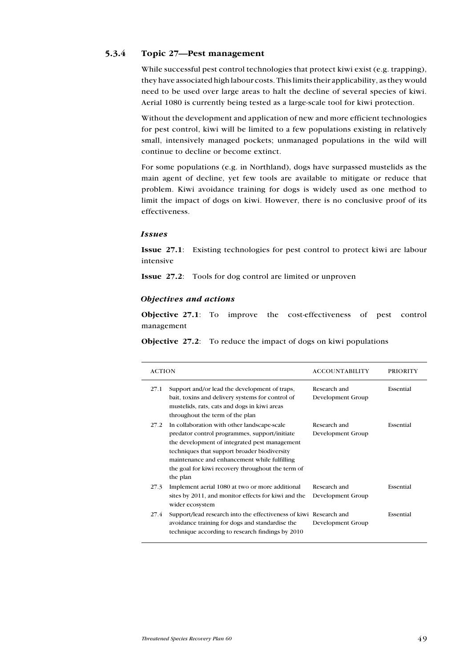# 5.3.4 Topic 27—Pest management

While successful pest control technologies that protect kiwi exist (e.g. trapping), they have associated high labour costs. This limits their applicability, as they would need to be used over large areas to halt the decline of several species of kiwi. Aerial 1080 is currently being tested as a large-scale tool for kiwi protection.

Without the development and application of new and more efficient technologies for pest control, kiwi will be limited to a few populations existing in relatively small, intensively managed pockets; unmanaged populations in the wild will continue to decline or become extinct.

For some populations (e.g. in Northland), dogs have surpassed mustelids as the main agent of decline, yet few tools are available to mitigate or reduce that problem. Kiwi avoidance training for dogs is widely used as one method to limit the impact of dogs on kiwi. However, there is no conclusive proof of its effectiveness.

#### Issues

Issue 27.1: Existing technologies for pest control to protect kiwi are labour intensive

Issue 27.2: Tools for dog control are limited or unproven

#### Objectives and actions

Objective 27.1: To improve the cost-effectiveness of pest control management

Objective 27.2: To reduce the impact of dogs on kiwi populations

| <b>ACTION</b> |                                                                                                                                                                                                                                                                                                                | <b>ACCOUNTABILITY</b>             | PRIORITY  |
|---------------|----------------------------------------------------------------------------------------------------------------------------------------------------------------------------------------------------------------------------------------------------------------------------------------------------------------|-----------------------------------|-----------|
| 27.1          | Support and/or lead the development of traps,<br>bait, toxins and delivery systems for control of<br>mustelids, rats, cats and dogs in kiwi areas<br>throughout the term of the plan                                                                                                                           | Research and<br>Development Group | Essential |
| 27.2          | In collaboration with other landscape-scale<br>predator control programmes, support/initiate<br>the development of integrated pest management<br>techniques that support broader biodiversity<br>maintenance and enhancement while fulfilling<br>the goal for kiwi recovery throughout the term of<br>the plan | Research and<br>Development Group | Essential |
| 27.3          | Implement aerial 1080 at two or more additional<br>sites by 2011, and monitor effects for kiwi and the<br>wider ecosystem                                                                                                                                                                                      | Research and<br>Development Group | Essential |
| 27.4          | Support/lead research into the effectiveness of kiwi Research and<br>avoidance training for dogs and standardise the<br>technique according to research findings by 2010                                                                                                                                       | Development Group                 | Essential |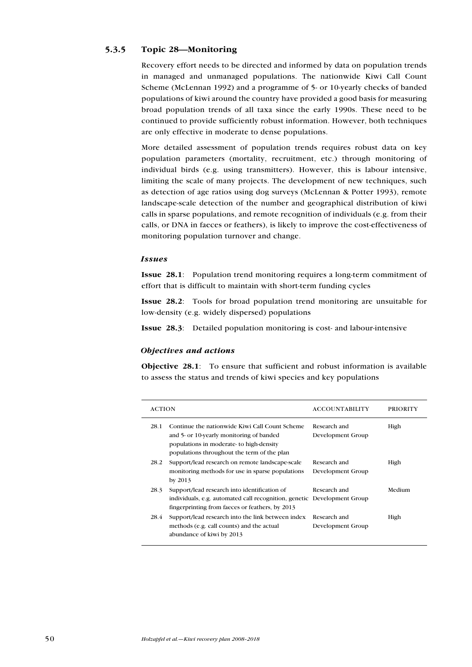# 5.3.5 Topic 28—Monitoring

Recovery effort needs to be directed and informed by data on population trends in managed and unmanaged populations. The nationwide Kiwi Call Count Scheme (McLennan 1992) and a programme of 5- or 10-yearly checks of banded populations of kiwi around the country have provided a good basis for measuring broad population trends of all taxa since the early 1990s. These need to be continued to provide sufficiently robust information. However, both techniques are only effective in moderate to dense populations.

More detailed assessment of population trends requires robust data on key population parameters (mortality, recruitment, etc.) through monitoring of individual birds (e.g. using transmitters). However, this is labour intensive, limiting the scale of many projects. The development of new techniques, such as detection of age ratios using dog surveys (McLennan & Potter 1993), remote landscape-scale detection of the number and geographical distribution of kiwi calls in sparse populations, and remote recognition of individuals (e.g. from their calls, or DNA in faeces or feathers), is likely to improve the cost-effectiveness of monitoring population turnover and change.

#### Issues

Issue 28.1: Population trend monitoring requires a long-term commitment of effort that is difficult to maintain with short-term funding cycles

Issue 28.2: Tools for broad population trend monitoring are unsuitable for low-density (e.g. widely dispersed) populations

Issue 28.3: Detailed population monitoring is cost- and labour-intensive

#### Objectives and actions

Objective 28.1: To ensure that sufficient and robust information is available to assess the status and trends of kiwi species and key populations

| <b>ACTION</b> |                                                                                                                                                                                      | <b>ACCOUNTABILITY</b>             | <b>PRIORITY</b> |
|---------------|--------------------------------------------------------------------------------------------------------------------------------------------------------------------------------------|-----------------------------------|-----------------|
| 28.1          | Continue the nationwide Kiwi Call Count Scheme<br>and 5- or 10-yearly monitoring of banded<br>populations in moderate-to high-density<br>populations throughout the term of the plan | Research and<br>Development Group | High            |
| 28.2          | Support/lead research on remote landscape-scale<br>monitoring methods for use in sparse populations<br>by 2013                                                                       | Research and<br>Development Group | High            |
| 28.3          | Support/lead research into identification of<br>individuals, e.g. automated call recognition, genetic Development Group<br>fingerprinting from faeces or feathers, by 2013           | Research and                      | Medium          |
| 28.4          | Support/lead research into the link between index<br>methods (e.g. call counts) and the actual<br>abundance of kiwi by 2013                                                          | Research and<br>Development Group | High            |
|               |                                                                                                                                                                                      |                                   |                 |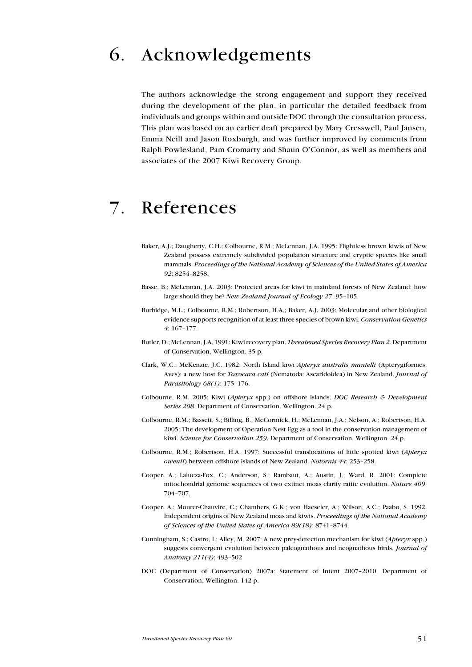# 6. Acknowledgements

The authors acknowledge the strong engagement and support they received during the development of the plan, in particular the detailed feedback from individuals and groups within and outside DOC through the consultation process. This plan was based on an earlier draft prepared by Mary Cresswell, Paul Jansen, Emma Neill and Jason Roxburgh, and was further improved by comments from Ralph Powlesland, Pam Cromarty and Shaun O'Connor, as well as members and associates of the 2007 Kiwi Recovery Group.

# 7. References

- Baker, A.J.; Daugherty, C.H.; Colbourne, R.M.; McLennan, J.A. 1995: Flightless brown kiwis of New Zealand possess extremely subdivided population structure and cryptic species like small mammals. Proceedings of the National Academy of Sciences of the United States of America 92: 8254–8258.
- Basse, B.; McLennan, J.A. 2003: Protected areas for kiwi in mainland forests of New Zealand: how large should they be? New Zealand Journal of Ecology 27: 95–105.
- Burbidge, M.L.; Colbourne, R.M.; Robertson, H.A.; Baker, A.J. 2003: Molecular and other biological evidence supports recognition of at least three species of brown kiwi. Conservation Genetics 4: 167–177.
- Butler, D.; McLennan, J.A. 1991: Kiwi recovery plan. Threatened Species Recovery Plan 2. Department of Conservation, Wellington. 35 p.
- Clark, W.C.; McKenzie, J.C. 1982: North Island kiwi Apteryx australis mantelli (Apterygiformes: Aves): a new host for Toxocara cati (Nematoda: Ascaridoidea) in New Zealand. Journal of Parasitology 68(1): 175-176.
- Colbourne, R.M. 2005: Kiwi (Apteryx spp.) on offshore islands. DOC Research & Development Series 208. Department of Conservation, Wellington. 24 p.
- Colbourne, R.M.; Bassett, S.; Billing, B.; McCormick, H.; McLennan, J.A.; Nelson, A.; Robertson, H.A. 2005: The development of Operation Nest Egg as a tool in the conservation management of kiwi. Science for Conservation 259. Department of Conservation, Wellington. 24 p.
- Colbourne, R.M.; Robertson, H.A. 1997: Successful translocations of little spotted kiwi (Apteryx owenii) between offshore islands of New Zealand. Notornis 44: 253-258.
- Cooper, A.; Lalueza-Fox, C.; Anderson, S.; Rambaut, A.; Austin, J.; Ward, R. 2001: Complete mitochondrial genome sequences of two extinct moas clarify ratite evolution. Nature 409: 704–707.
- Cooper, A.; Mourer-Chauvire, C.; Chambers, G.K.; von Haeseler, A.; Wilson, A.C.; Paabo, S. 1992: Independent origins of New Zealand moas and kiwis. Proceedings of the National Academy of Sciences of the United States of America 89(18): 8741–8744.
- Cunningham, S.; Castro, I.; Alley, M. 2007: A new prey-detection mechanism for kiwi (Apteryx spp.) suggests convergent evolution between paleognathous and neognathous birds. Journal of Anatomy 211(4): 493–502
- DOC (Department of Conservation) 2007a: Statement of Intent 2007–2010. Department of Conservation, Wellington. 142 p.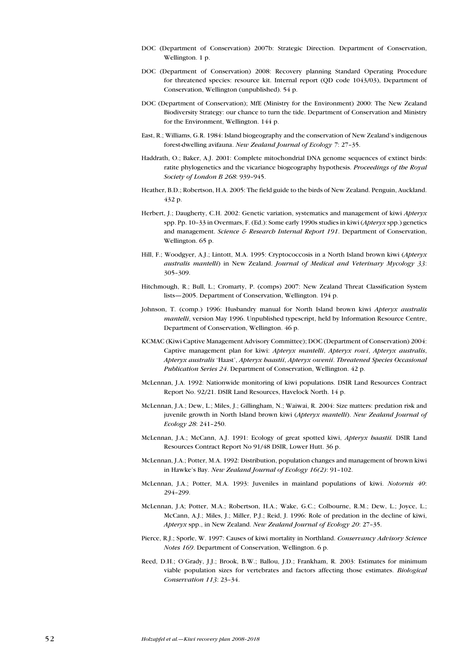- DOC (Department of Conservation) 2007b: Strategic Direction. Department of Conservation, Wellington. 1 p.
- DOC (Department of Conservation) 2008: Recovery planning Standard Operating Procedure for threatened species: resource kit. Internal report (QD code 1043/03), Department of Conservation, Wellington (unpublished). 54 p.
- DOC (Department of Conservation); MfE (Ministry for the Environment) 2000: The New Zealand Biodiversity Strategy: our chance to turn the tide. Department of Conservation and Ministry for the Environment, Wellington. 144 p.
- East, R.; Williams, G.R. 1984: Island biogeography and the conservation of New Zealand's indigenous forest-dwelling avifauna. New Zealand Journal of Ecology 7: 27–35.
- Haddrath, O.; Baker, A.J. 2001: Complete mitochondrial DNA genome sequences of extinct birds: ratite phylogenetics and the vicariance biogeography hypothesis. Proceedings of the Royal Society of London B 268: 939–945.
- Heather, B.D.; Robertson, H.A. 2005: The field guide to the birds of New Zealand. Penguin, Auckland. 432 p.
- Herbert, J.; Daugherty, C.H. 2002: Genetic variation, systematics and management of kiwi *Apteryx* spp. Pp. 10–33 in Overmars, F. (Ed.): Some early 1990s studies in kiwi (Apteryx spp.) genetics and management. Science & Research Internal Report 191. Department of Conservation, Wellington. 65 p.
- Hill, F.; Woodgyer, A.J.; Lintott, M.A. 1995: Cryptococcosis in a North Island brown kiwi (Apteryx australis mantelli) in New Zealand. Journal of Medical and Veterinary Mycology 33: 305–309.
- Hitchmough, R.; Bull, L.; Cromarty, P. (comps) 2007: New Zealand Threat Classification System lists—2005. Department of Conservation, Wellington. 194 p.
- Johnson, T. (comp.) 1996: Husbandry manual for North Island brown kiwi Apteryx australis mantelli, version May 1996. Unpublished typescript, held by Information Resource Centre, Department of Conservation, Wellington. 46 p.
- KCMAC (Kiwi Captive Management Advisory Committee); DOC (Department of Conservation) 2004: Captive management plan for kiwi: Apteryx mantelli, Apteryx rowi, Apteryx australis, Apteryx australis 'Haast', Apteryx haastii, Apteryx owenii. Threatened Species Occasional Publication Series 24. Department of Conservation, Wellington. 42 p.
- McLennan, J.A. 1992: Nationwide monitoring of kiwi populations. DSIR Land Resources Contract Report No. 92/21. DSIR Land Resources, Havelock North. 14 p.
- McLennan, J.A.; Dew, L.; Miles, J.; Gillingham, N.; Waiwai, R. 2004: Size matters: predation risk and juvenile growth in North Island brown kiwi (Apteryx mantelli). New Zealand Journal of Ecology 28: 241–250.
- McLennan, J.A.; McCann, A.J. 1991: Ecology of great spotted kiwi, Apteryx haastii. DSIR Land Resources Contract Report No 91/48 DSIR, Lower Hutt. 36 p.
- McLennan, J.A.; Potter, M.A. 1992: Distribution, population changes and management of brown kiwi in Hawke's Bay. New Zealand Journal of Ecology 16(2): 91–102.
- McLennan, J.A.; Potter, M.A. 1993: Juveniles in mainland populations of kiwi. Notornis 40: 294–299.
- McLennan, J.A; Potter, M.A.; Robertson, H.A.; Wake, G.C.; Colbourne, R.M.; Dew, L.; Joyce, L.; McCann, A.J.; Miles, J.; Miller, P.J.; Reid, J. 1996: Role of predation in the decline of kiwi, Apteryx spp., in New Zealand. New Zealand Journal of Ecology 20: 27-35.
- Pierce, R.J.; Sporle, W. 1997: Causes of kiwi mortality in Northland. Conservancy Advisory Science Notes 169. Department of Conservation, Wellington. 6 p.
- Reed, D.H.; O'Grady, J.J.; Brook, B.W.; Ballou, J.D.; Frankham, R. 2003: Estimates for minimum viable population sizes for vertebrates and factors affecting those estimates. Biological Conservation 113: 23–34.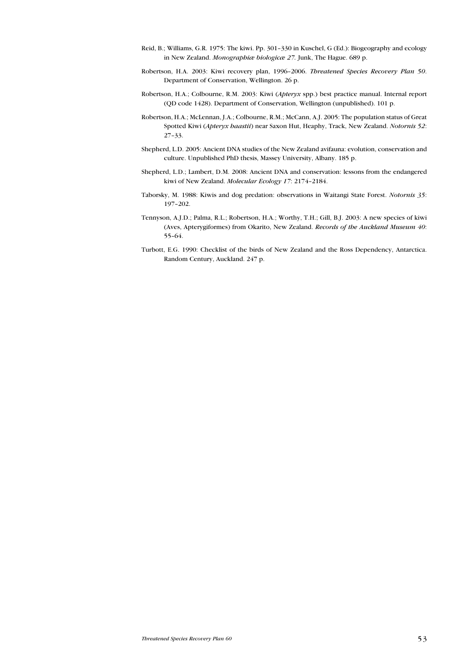- Reid, B.; Williams, G.R. 1975: The kiwi. Pp. 301–330 in Kuschel, G (Ed.): Biogeography and ecology in New Zealand. Monographiæ biologicæ 27. Junk, The Hague. 689 p.
- Robertson, H.A. 2003: Kiwi recovery plan, 1996–2006. Threatened Species Recovery Plan 50. Department of Conservation, Wellington. 26 p.
- Robertson, H.A.; Colbourne, R.M. 2003: Kiwi (Apteryx spp.) best practice manual. Internal report (QD code 1428). Department of Conservation, Wellington (unpublished). 101 p.
- Robertson, H.A.; McLennan, J.A.; Colbourne, R.M.; McCann, A.J. 2005: The population status of Great Spotted Kiwi (Apteryx haastii) near Saxon Hut, Heaphy, Track, New Zealand. Notornis 52: 27–33.
- Shepherd, L.D. 2005: Ancient DNA studies of the New Zealand avifauna: evolution, conservation and culture. Unpublished PhD thesis, Massey University, Albany. 185 p.
- Shepherd, L.D.; Lambert, D.M. 2008: Ancient DNA and conservation: lessons from the endangered kiwi of New Zealand. Molecular Ecology 17: 2174–2184.
- Taborsky, M. 1988: Kiwis and dog predation: observations in Waitangi State Forest. Notornis 35: 197–202.
- Tennyson, A.J.D.; Palma, R.L.; Robertson, H.A.; Worthy, T.H.; Gill, B.J. 2003: A new species of kiwi (Aves, Apterygiformes) from Okarito, New Zealand. Records of the Auckland Museum 40: 55–64.
- Turbott, E.G. 1990: Checklist of the birds of New Zealand and the Ross Dependency, Antarctica. Random Century, Auckland. 247 p.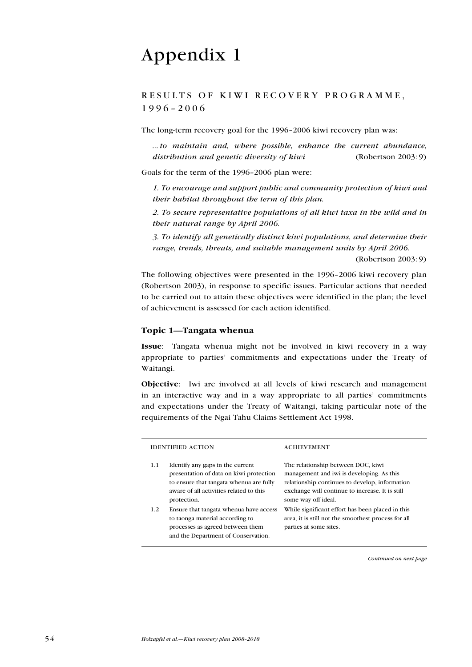# Appendix 1

# RESULTS OF KIWI RECOVERY PROGRAMME, 1996–2006

The long-term recovery goal for the 1996–2006 kiwi recovery plan was:

... to maintain and, where possible, enhance the current abundance, distribution and genetic diversity of kiwi (Robertson 2003: 9)

Goals for the term of the 1996–2006 plan were:

1. To encourage and support public and community protection of kiwi and their habitat throughout the term of this plan.

2. To secure representative populations of all kiwi taxa in the wild and in their natural range by April 2006.

3. To identify all genetically distinct kiwi populations, and determine their range, trends, threats, and suitable management units by April 2006.

(Robertson 2003: 9)

The following objectives were presented in the 1996–2006 kiwi recovery plan (Robertson 2003), in response to specific issues. Particular actions that needed to be carried out to attain these objectives were identified in the plan; the level of achievement is assessed for each action identified.

#### Topic 1—Tangata whenua

Issue: Tangata whenua might not be involved in kiwi recovery in a way appropriate to parties' commitments and expectations under the Treaty of Waitangi.

Objective: Iwi are involved at all levels of kiwi research and management in an interactive way and in a way appropriate to all parties' commitments and expectations under the Treaty of Waitangi, taking particular note of the requirements of the Ngai Tahu Claims Settlement Act 1998.

| <b>IDENTIFIED ACTION</b> |                                                                                                                                                                                  | <b>ACHIEVEMENT</b>                                                                                                                                                                                          |
|--------------------------|----------------------------------------------------------------------------------------------------------------------------------------------------------------------------------|-------------------------------------------------------------------------------------------------------------------------------------------------------------------------------------------------------------|
| 1.1                      | Identify any gaps in the current<br>presentation of data on kiwi protection<br>to ensure that tangata whenua are fully<br>aware of all activities related to this<br>protection. | The relationship between DOC, kiwi<br>management and iwi is developing. As this<br>relationship continues to develop, information<br>exchange will continue to increase. It is still<br>some way off ideal. |
| 1.2                      | Ensure that tangata whenua have access<br>to taonga material according to<br>processes as agreed between them<br>and the Department of Conservation.                             | While significant effort has been placed in this<br>area, it is still not the smoothest process for all<br>parties at some sites.                                                                           |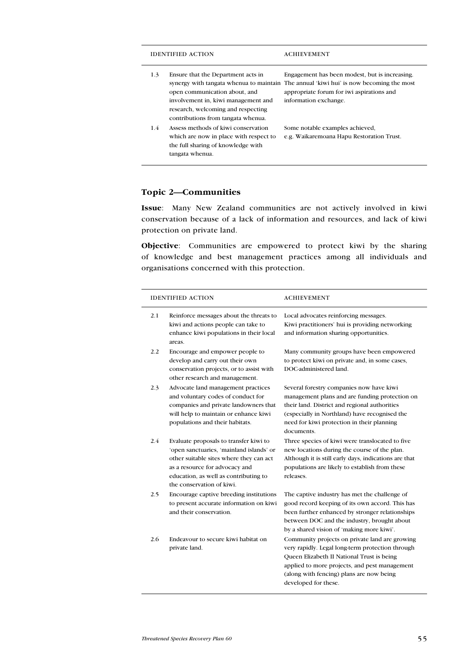|     | IDENTIFIED ACTION                                                                                                                                                                      | <b>ACHIEVEMENT</b>                                                                                                                                                                                              |
|-----|----------------------------------------------------------------------------------------------------------------------------------------------------------------------------------------|-----------------------------------------------------------------------------------------------------------------------------------------------------------------------------------------------------------------|
| 1.3 | Ensure that the Department acts in<br>open communication about, and<br>involvement in, kiwi management and<br>research, welcoming and respecting<br>contributions from tangata whenua. | Engagement has been modest, but is increasing.<br>synergy with tangata whenua to maintain. The annual 'kiwi hui' is now becoming the most<br>appropriate forum for iwi aspirations and<br>information exchange. |
| 1.4 | Assess methods of kiwi conservation<br>which are now in place with respect to<br>the full sharing of knowledge with<br>tangata whenua.                                                 | Some notable examples achieved,<br>e.g. Waikaremoana Hapu Restoration Trust.                                                                                                                                    |

# Topic 2—Communities

Issue: Many New Zealand communities are not actively involved in kiwi conservation because of a lack of information and resources, and lack of kiwi protection on private land.

Objective: Communities are empowered to protect kiwi by the sharing of knowledge and best management practices among all individuals and organisations concerned with this protection.

| <b>IDENTIFIED ACTION</b> |                                                                                                                                                                                                                                       | <b>ACHIEVEMENT</b>                                                                                                                                                                                                                                                    |
|--------------------------|---------------------------------------------------------------------------------------------------------------------------------------------------------------------------------------------------------------------------------------|-----------------------------------------------------------------------------------------------------------------------------------------------------------------------------------------------------------------------------------------------------------------------|
| 2.1                      | Reinforce messages about the threats to<br>kiwi and actions people can take to<br>enhance kiwi populations in their local<br>areas.                                                                                                   | Local advocates reinforcing messages.<br>Kiwi practitioners' hui is providing networking<br>and information sharing opportunities.                                                                                                                                    |
| 2.2                      | Encourage and empower people to<br>develop and carry out their own<br>conservation projects, or to assist with<br>other research and management.                                                                                      | Many community groups have been empowered<br>to protect kiwi on private and, in some cases,<br>DOC-administered land.                                                                                                                                                 |
| 2.3                      | Advocate land management practices<br>and voluntary codes of conduct for<br>companies and private landowners that<br>will help to maintain or enhance kiwi<br>populations and their habitats.                                         | Several forestry companies now have kiwi<br>management plans and are funding protection on<br>their land. District and regional authorities<br>(especially in Northland) have recognised the<br>need for kiwi protection in their planning<br>documents.              |
| 2.4                      | Evaluate proposals to transfer kiwi to<br>'open sanctuaries, 'mainland islands' or<br>other suitable sites where they can act<br>as a resource for advocacy and<br>education, as well as contributing to<br>the conservation of kiwi. | Three species of kiwi were translocated to five<br>new locations during the course of the plan.<br>Although it is still early days, indications are that<br>populations are likely to establish from these<br>releases.                                               |
| 2.5                      | Encourage captive breeding institutions<br>to present accurate information on kiwi<br>and their conservation.                                                                                                                         | The captive industry has met the challenge of<br>good record keeping of its own accord. This has<br>been further enhanced by stronger relationships<br>between DOC and the industry, brought about<br>by a shared vision of 'making more kiwi'.                       |
| 2.6                      | Endeavour to secure kiwi habitat on<br>private land.                                                                                                                                                                                  | Community projects on private land are growing<br>very rapidly. Legal long-term protection through<br>Queen Elizabeth II National Trust is being<br>applied to more projects, and pest management<br>(along with fencing) plans are now being<br>developed for these. |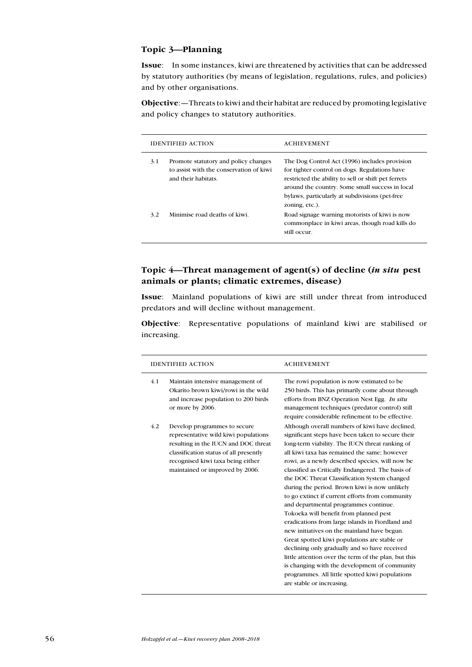### Topic 3—Planning

Issue: In some instances, kiwi are threatened by activities that can be addressed by statutory authorities (by means of legislation, regulations, rules, and policies) and by other organisations.

Objective:—Threats to kiwi and their habitat are reduced by promoting legislative and policy changes to statutory authorities.

|     | IDENTIFIED ACTION                                                                                      | <b>ACHIEVEMENT</b>                                                                                                                                                                                                                                                           |
|-----|--------------------------------------------------------------------------------------------------------|------------------------------------------------------------------------------------------------------------------------------------------------------------------------------------------------------------------------------------------------------------------------------|
| 3.1 | Promote statutory and policy changes<br>to assist with the conservation of kiwi<br>and their habitats. | The Dog Control Act (1996) includes provision<br>for tighter control on dogs. Regulations have<br>restricted the ability to sell or shift pet ferrets<br>around the country. Some small success in local<br>bylaws, particularly at subdivisions (pet-free<br>zoning, etc.). |
| 3.2 | Minimise road deaths of kiwi.                                                                          | Road signage warning motorists of kiwi is now<br>commonplace in kiwi areas, though road kills do<br>still occur.                                                                                                                                                             |

# Topic 4—Threat management of agent(s) of decline (in situ pest animals or plants; climatic extremes, disease)

Issue: Mainland populations of kiwi are still under threat from introduced predators and will decline without management.

Objective: Representative populations of mainland kiwi are stabilised or increasing.

| <b>IDENTIFIED ACTION</b>                                                                                                                                                                                                              | <b>ACHIEVEMENT</b>                                                                                                                                                                                                                                                                                                                                                                                                                                                                                                                                                                                                                                                                                                                                                                                                                                                                                                                                  |
|---------------------------------------------------------------------------------------------------------------------------------------------------------------------------------------------------------------------------------------|-----------------------------------------------------------------------------------------------------------------------------------------------------------------------------------------------------------------------------------------------------------------------------------------------------------------------------------------------------------------------------------------------------------------------------------------------------------------------------------------------------------------------------------------------------------------------------------------------------------------------------------------------------------------------------------------------------------------------------------------------------------------------------------------------------------------------------------------------------------------------------------------------------------------------------------------------------|
| 4.1<br>Maintain intensive management of<br>Okarito brown kiwi/rowi in the wild<br>and increase population to 200 birds<br>or more by 2006.                                                                                            | The rowi population is now estimated to be.<br>250 birds. This has primarily come about through<br>efforts from BNZ Operation Nest Egg. In situ<br>management techniques (predator control) still<br>require considerable refinement to be effective.                                                                                                                                                                                                                                                                                                                                                                                                                                                                                                                                                                                                                                                                                               |
| 4.2<br>Develop programmes to secure<br>representative wild kiwi populations<br>resulting in the IUCN and DOC threat<br>classification status of all presently<br>recognised kiwi taxa being either<br>maintained or improved by 2006. | Although overall numbers of kiwi have declined,<br>significant steps have been taken to secure their<br>long-term viability. The IUCN threat ranking of<br>all kiwi taxa has remained the same; however<br>rowi, as a newly described species, will now be<br>classified as Critically Endangered. The basis of<br>the DOC Threat Classification System changed<br>during the period. Brown kiwi is now unlikely<br>to go extinct if current efforts from community<br>and departmental programmes continue.<br>Tokoeka will benefit from planned pest<br>eradications from large islands in Fiordland and<br>new initiatives on the mainland have begun.<br>Great spotted kiwi populations are stable or<br>declining only gradually and so have received<br>little attention over the term of the plan, but this<br>is changing with the development of community<br>programmes. All little spotted kiwi populations<br>are stable or increasing. |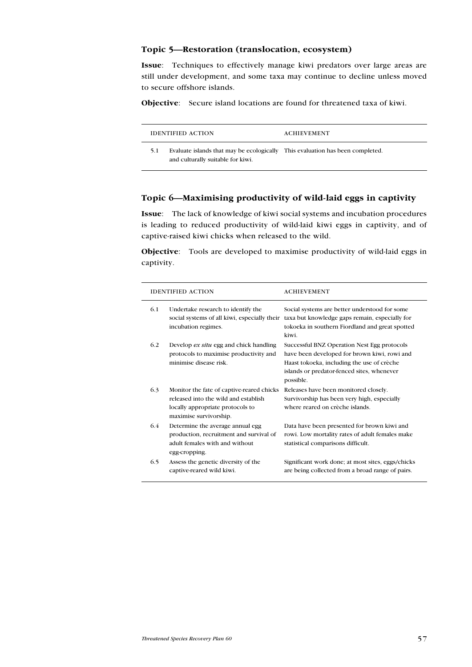# Topic 5—Restoration (translocation, ecosystem)

Issue: Techniques to effectively manage kiwi predators over large areas are still under development, and some taxa may continue to decline unless moved to secure offshore islands.

Objective: Secure island locations are found for threatened taxa of kiwi.

|     | <b>IDENTIFIED ACTION</b>                                                                                           | <b>ACHIEVEMENT</b> |
|-----|--------------------------------------------------------------------------------------------------------------------|--------------------|
| 5.1 | Evaluate islands that may be ecologically This evaluation has been completed.<br>and culturally suitable for kiwi. |                    |

# Topic 6—Maximising productivity of wild-laid eggs in captivity

Issue: The lack of knowledge of kiwi social systems and incubation procedures is leading to reduced productivity of wild-laid kiwi eggs in captivity, and of captive-raised kiwi chicks when released to the wild.

Objective: Tools are developed to maximise productivity of wild-laid eggs in captivity.

| <b>IDENTIFIED ACTION</b> |                                                                                                                                                 | <b>ACHIEVEMENT</b>                                                                                                                                                                                   |
|--------------------------|-------------------------------------------------------------------------------------------------------------------------------------------------|------------------------------------------------------------------------------------------------------------------------------------------------------------------------------------------------------|
| 6.1                      | Undertake research to identify the<br>social systems of all kiwi, especially their<br>incubation regimes.                                       | Social systems are better understood for some<br>taxa but knowledge gaps remain, especially for<br>tokoeka in southern Fiordland and great spotted<br>kiwi.                                          |
| 6.2                      | Develop ex situ egg and chick handling<br>protocols to maximise productivity and<br>minimise disease risk.                                      | Successful BNZ Operation Nest Egg protocols<br>have been developed for brown kiwi, rowi and<br>Haast tokoeka, including the use of crèche<br>islands or predator-fenced sites, whenever<br>possible. |
| 6.3                      | Monitor the fate of captive-reared chicks<br>released into the wild and establish<br>locally appropriate protocols to<br>maximise survivorship. | Releases have been monitored closely.<br>Survivorship has been very high, especially<br>where reared on crèche islands.                                                                              |
| 6.4                      | Determine the average annual egg<br>production, recruitment and survival of<br>adult females with and without<br>egg-cropping.                  | Data have been presented for brown kiwi and<br>rowi. Low mortality rates of adult females make<br>statistical comparisons difficult.                                                                 |
| 6.5                      | Assess the genetic diversity of the<br>captive-reared wild kiwi.                                                                                | Significant work done; at most sites, eggs/chicks<br>are being collected from a broad range of pairs.                                                                                                |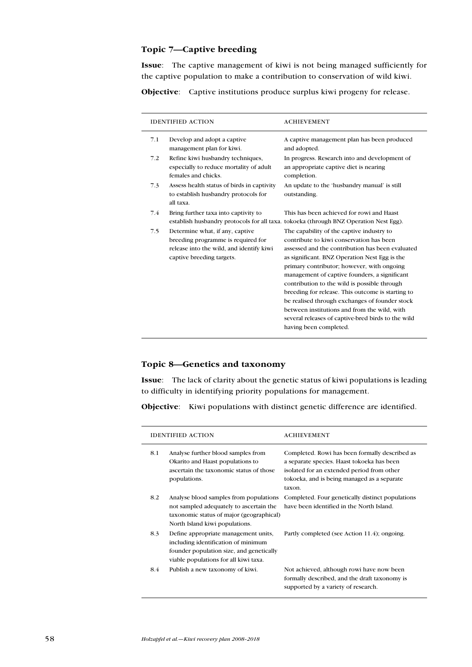# Topic 7—Captive breeding

Issue: The captive management of kiwi is not being managed sufficiently for the captive population to make a contribution to conservation of wild kiwi.

Objective: Captive institutions produce surplus kiwi progeny for release.

|     | <b>IDENTIFIED ACTION</b>                                                                                                                       | <b>ACHIEVEMENT</b>                                                                                                                                                                                                                                                                                                                                                                                                                                                                                                                                                               |
|-----|------------------------------------------------------------------------------------------------------------------------------------------------|----------------------------------------------------------------------------------------------------------------------------------------------------------------------------------------------------------------------------------------------------------------------------------------------------------------------------------------------------------------------------------------------------------------------------------------------------------------------------------------------------------------------------------------------------------------------------------|
| 7.1 | Develop and adopt a captive<br>management plan for kiwi.                                                                                       | A captive management plan has been produced<br>and adopted.                                                                                                                                                                                                                                                                                                                                                                                                                                                                                                                      |
| 7.2 | Refine kiwi husbandry techniques,<br>especially to reduce mortality of adult<br>females and chicks.                                            | In progress. Research into and development of<br>an appropriate captive diet is nearing<br>completion.                                                                                                                                                                                                                                                                                                                                                                                                                                                                           |
| 7.3 | Assess health status of birds in captivity<br>to establish husbandry protocols for<br>all taxa.                                                | An update to the 'husbandry manual' is still<br>outstanding.                                                                                                                                                                                                                                                                                                                                                                                                                                                                                                                     |
| 7.4 | Bring further taxa into captivity to                                                                                                           | This has been achieved for rowi and Haast<br>establish husbandry protocols for all taxa. tokoeka (through BNZ Operation Nest Egg).                                                                                                                                                                                                                                                                                                                                                                                                                                               |
| 7.5 | Determine what, if any, captive<br>breeding programme is required for<br>release into the wild, and identify kiwi<br>captive breeding targets. | The capability of the captive industry to<br>contribute to kiwi conservation has been<br>assessed and the contribution has been evaluated<br>as significant. BNZ Operation Nest Egg is the<br>primary contributor; however, with ongoing<br>management of captive founders, a significant<br>contribution to the wild is possible through<br>breeding for release. This outcome is starting to<br>be realised through exchanges of founder stock<br>between institutions and from the wild, with<br>several releases of captive-bred birds to the wild<br>having been completed. |

# Topic 8—Genetics and taxonomy

Issue: The lack of clarity about the genetic status of kiwi populations is leading to difficulty in identifying priority populations for management.

Objective: Kiwi populations with distinct genetic difference are identified.

| <b>IDENTIFIED ACTION</b><br>8.1<br>Analyse further blood samples from<br>Okarito and Haast populations to<br>ascertain the taxonomic status of those<br>populations.<br>8.2<br>Analyse blood samples from populations<br>not sampled adequately to ascertain the<br>taxonomic status of major (geographical)<br>North Island kiwi populations.<br>8.3<br>Define appropriate management units,<br>including identification of minimum<br>founder population size, and genetically<br>viable populations for all kiwi taxa.<br>8.4<br>Publish a new taxonomy of kiwi. |  | <b>ACHIEVEMENT</b>                                                                                                                                                                                  |  |  |  |  |  |  |  |
|---------------------------------------------------------------------------------------------------------------------------------------------------------------------------------------------------------------------------------------------------------------------------------------------------------------------------------------------------------------------------------------------------------------------------------------------------------------------------------------------------------------------------------------------------------------------|--|-----------------------------------------------------------------------------------------------------------------------------------------------------------------------------------------------------|--|--|--|--|--|--|--|
|                                                                                                                                                                                                                                                                                                                                                                                                                                                                                                                                                                     |  | Completed. Rowi has been formally described as<br>a separate species. Haast tokoeka has been<br>isolated for an extended period from other<br>tokoeka, and is being managed as a separate<br>taxon. |  |  |  |  |  |  |  |
|                                                                                                                                                                                                                                                                                                                                                                                                                                                                                                                                                                     |  | Completed. Four genetically distinct populations<br>have been identified in the North Island.                                                                                                       |  |  |  |  |  |  |  |
|                                                                                                                                                                                                                                                                                                                                                                                                                                                                                                                                                                     |  | Partly completed (see Action 11.4); ongoing.                                                                                                                                                        |  |  |  |  |  |  |  |
|                                                                                                                                                                                                                                                                                                                                                                                                                                                                                                                                                                     |  | Not achieved, although rowi have now been<br>formally described, and the draft taxonomy is<br>supported by a variety of research.                                                                   |  |  |  |  |  |  |  |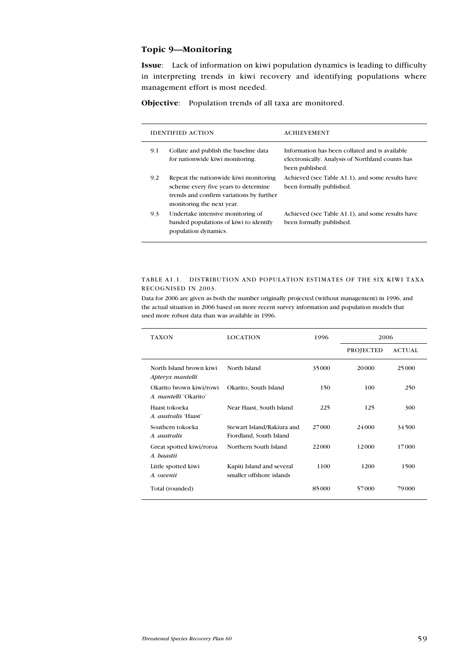## Topic 9—Monitoring

Issue: Lack of information on kiwi population dynamics is leading to difficulty in interpreting trends in kiwi recovery and identifying populations where management effort is most needed.

Objective: Population trends of all taxa are monitored.

|     | <b>IDENTIFIED ACTION</b>                                                                                                                               | <b>ACHIEVEMENT</b>                                                                                                    |
|-----|--------------------------------------------------------------------------------------------------------------------------------------------------------|-----------------------------------------------------------------------------------------------------------------------|
| 9.1 | Collate and publish the baseline data<br>for nationwide kiwi monitoring.                                                                               | Information has been collated and is available<br>electronically. Analysis of Northland counts has<br>been published. |
| 9.2 | Repeat the nationwide kiwi monitoring<br>scheme every five years to determine<br>trends and confirm variations by further<br>monitoring the next year. | Achieved (see Table A1.1), and some results have<br>been formally published.                                          |
| 9.3 | Undertake intensive monitoring of<br>banded populations of kiwi to identify<br>population dynamics.                                                    | Achieved (see Table A1.1), and some results have<br>been formally published.                                          |

#### Table A1.1. Distribution and population estimates of the six kiwi taxa recognised in 2003.

Data for 2006 are given as both the number originally projected (without management) in 1996, and the actual situation in 2006 based on more recent survey information and population models that used more robust data than was available in 1996.

| TAXON                                                   | <b>LOCATION</b>                                       | 1996  | 2006             |               |
|---------------------------------------------------------|-------------------------------------------------------|-------|------------------|---------------|
|                                                         |                                                       |       | <b>PROJECTED</b> | <b>ACTUAL</b> |
| North Island brown kiwi<br>Apteryx mantelli             | North Island                                          | 35000 | 20000            | 25000         |
| Okarito brown kiwi/rowi<br>A. <i>mantelli</i> 'Okarito' | Okarito, South Island                                 | 150   | 100              | 250           |
| Haast tokoeka<br><i>A. australis 'Haast'</i>            | Near Haast, South Island                              | 225   | 125              | 300           |
| Southern tokoeka<br>A. australis                        | Stewart Island/Rakiura and<br>Fiordland, South Island | 27000 | 24 000           | 34500         |
| Great spotted kiwi/roroa<br>A. haastii                  | Northern South Island                                 | 22000 | 12000            | 17000         |
| Little spotted kiwi<br>A. owenii                        | Kapiti Island and several<br>smaller offshore islands | 1100  | 1200             | 1500          |
| Total (rounded)                                         |                                                       | 85000 | 57000            | 79000         |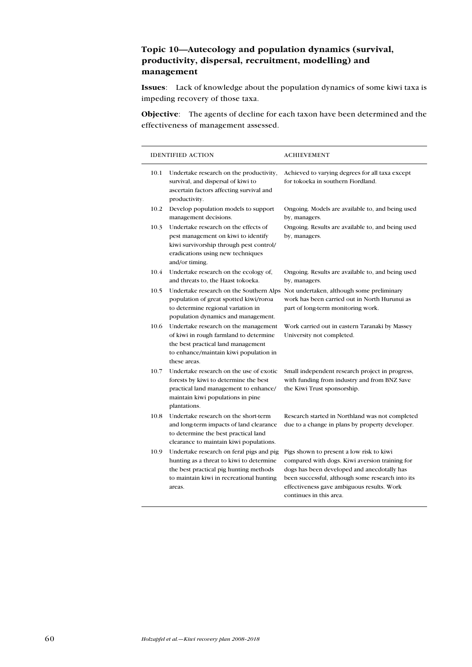# Topic 10—Autecology and population dynamics (survival, productivity, dispersal, recruitment, modelling) and management

Issues: Lack of knowledge about the population dynamics of some kiwi taxa is impeding recovery of those taxa.

Objective: The agents of decline for each taxon have been determined and the effectiveness of management assessed.

|      | <b>IDENTIFIED ACTION</b>                                                                                                                                                             | <b>ACHIEVEMENT</b>                                                                                                                                                                                                                                                     |
|------|--------------------------------------------------------------------------------------------------------------------------------------------------------------------------------------|------------------------------------------------------------------------------------------------------------------------------------------------------------------------------------------------------------------------------------------------------------------------|
| 10.1 | Undertake research on the productivity,<br>survival, and dispersal of kiwi to<br>ascertain factors affecting survival and<br>productivity.                                           | Achieved to varying degrees for all taxa except<br>for tokoeka in southern Fiordland.                                                                                                                                                                                  |
| 10.2 | Develop population models to support<br>management decisions.                                                                                                                        | Ongoing. Models are available to, and being used<br>by, managers.                                                                                                                                                                                                      |
| 10.3 | Undertake research on the effects of<br>pest management on kiwi to identify<br>kiwi survivorship through pest control/<br>eradications using new techniques<br>and/or timing.        | Ongoing. Results are available to, and being used<br>by, managers.                                                                                                                                                                                                     |
| 10.4 | Undertake research on the ecology of,<br>and threats to, the Haast tokoeka.                                                                                                          | Ongoing. Results are available to, and being used<br>by, managers.                                                                                                                                                                                                     |
| 10.5 | population of great spotted kiwi/roroa<br>to determine regional variation in<br>population dynamics and management.                                                                  | Undertake research on the Southern Alps Not undertaken, although some preliminary<br>work has been carried out in North Hurunui as<br>part of long-term monitoring work.                                                                                               |
| 10.6 | Undertake research on the management<br>of kiwi in rough farmland to determine<br>the best practical land management<br>to enhance/maintain kiwi population in<br>these areas.       | Work carried out in eastern Taranaki by Massey<br>University not completed.                                                                                                                                                                                            |
| 10.7 | Undertake research on the use of exotic<br>forests by kiwi to determine the best<br>practical land management to enhance/<br>maintain kiwi populations in pine<br>plantations.       | Small independent research project in progress,<br>with funding from industry and from BNZ Save<br>the Kiwi Trust sponsorship.                                                                                                                                         |
| 10.8 | Undertake research on the short-term<br>and long-term impacts of land clearance<br>to determine the best practical land<br>clearance to maintain kiwi populations.                   | Research started in Northland was not completed<br>due to a change in plans by property developer.                                                                                                                                                                     |
| 10.9 | Undertake research on feral pigs and pig<br>hunting as a threat to kiwi to determine<br>the best practical pig hunting methods<br>to maintain kiwi in recreational hunting<br>areas. | Pigs shown to present a low risk to kiwi<br>compared with dogs. Kiwi aversion training for<br>dogs has been developed and anecdotally has<br>been successful, although some research into its<br>effectiveness gave ambiguous results. Work<br>continues in this area. |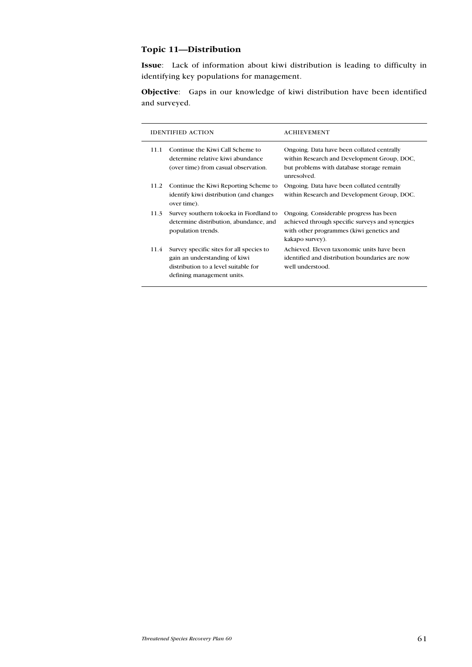# Topic 11—Distribution

Issue: Lack of information about kiwi distribution is leading to difficulty in identifying key populations for management.

Objective: Gaps in our knowledge of kiwi distribution have been identified and surveyed.

|      | <b>IDENTIFIED ACTION</b>                                                                                                                        | <b>ACHIEVEMENT</b>                                                                                                                                        |
|------|-------------------------------------------------------------------------------------------------------------------------------------------------|-----------------------------------------------------------------------------------------------------------------------------------------------------------|
| 11.1 | Continue the Kiwi Call Scheme to<br>determine relative kiwi abundance<br>(over time) from casual observation.                                   | Ongoing. Data have been collated centrally<br>within Research and Development Group, DOC,<br>but problems with database storage remain<br>unresolved.     |
| 11.2 | Continue the Kiwi Reporting Scheme to<br>identify kiwi distribution (and changes<br>over time).                                                 | Ongoing. Data have been collated centrally<br>within Research and Development Group, DOC.                                                                 |
| 11.3 | Survey southern tokoeka in Fiordland to<br>determine distribution, abundance, and<br>population trends.                                         | Ongoing. Considerable progress has been<br>achieved through specific surveys and synergies<br>with other programmes (kiwi genetics and<br>kakapo survey). |
| 11.4 | Survey specific sites for all species to<br>gain an understanding of kiwi<br>distribution to a level suitable for<br>defining management units. | Achieved. Eleven taxonomic units have been<br>identified and distribution boundaries are now<br>well understood.                                          |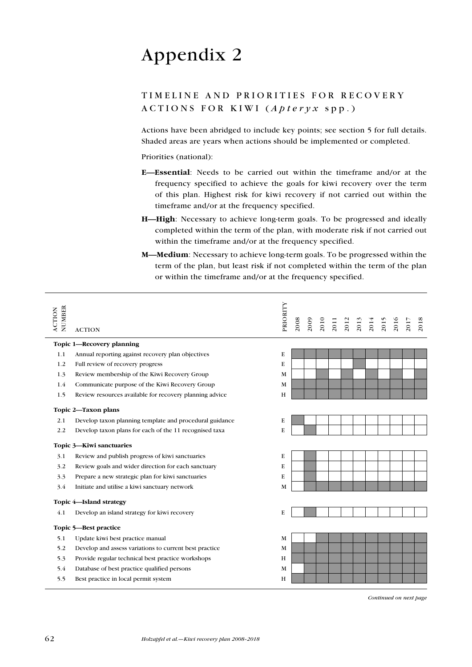# Appendix 2

# TIMELINE AND PRIORITIES FOR RECOVERY  $\land$  CTIONS FOR KIWI (*Apteryx* spp.)

Actions have been abridged to include key points; see section 5 for full details. Shaded areas are years when actions should be implemented or completed.

Priorities (national):

- E—Essential: Needs to be carried out within the timeframe and/or at the frequency specified to achieve the goals for kiwi recovery over the term of this plan. Highest risk for kiwi recovery if not carried out within the timeframe and/or at the frequency specified.
- H-High: Necessary to achieve long-term goals. To be progressed and ideally completed within the term of the plan, with moderate risk if not carried out within the timeframe and/or at the frequency specified.
- M—Medium: Necessary to achieve long-term goals. To be progressed within the term of the plan, but least risk if not completed within the term of the plan or within the timeframe and/or at the frequency specified.

| NUMBER<br><b>ACTION</b> | <b>ACTION</b>                                           | PRIORITY | 2008 | 2009 | 2010 | 2011 | 2012 | 2013 | 2014 | 2015 | 2016 | 201 | 2018 |
|-------------------------|---------------------------------------------------------|----------|------|------|------|------|------|------|------|------|------|-----|------|
|                         | Topic 1-Recovery planning                               |          |      |      |      |      |      |      |      |      |      |     |      |
| 1.1                     | Annual reporting against recovery plan objectives       | E        |      |      |      |      |      |      |      |      |      |     |      |
| 1.2                     | Full review of recovery progress                        | E        |      |      |      |      |      |      |      |      |      |     |      |
| 1.3                     | Review membership of the Kiwi Recovery Group            | M        |      |      |      |      |      |      |      |      |      |     |      |
| 1.4                     | Communicate purpose of the Kiwi Recovery Group          | M        |      |      |      |      |      |      |      |      |      |     |      |
| 1.5                     | Review resources available for recovery planning advice | H        |      |      |      |      |      |      |      |      |      |     |      |
|                         | Topic 2-Taxon plans                                     |          |      |      |      |      |      |      |      |      |      |     |      |
| 2.1                     | Develop taxon planning template and procedural guidance | E        |      |      |      |      |      |      |      |      |      |     |      |
| 2.2                     | Develop taxon plans for each of the 11 recognised taxa  | E        |      |      |      |      |      |      |      |      |      |     |      |
|                         | Topic 3-Kiwi sanctuaries                                |          |      |      |      |      |      |      |      |      |      |     |      |
| 3.1                     | Review and publish progress of kiwi sanctuaries         | E        |      |      |      |      |      |      |      |      |      |     |      |
| 3.2                     | Review goals and wider direction for each sanctuary     | E        |      |      |      |      |      |      |      |      |      |     |      |
| 3.3                     | Prepare a new strategic plan for kiwi sanctuaries       | E        |      |      |      |      |      |      |      |      |      |     |      |
| 3.4                     | Initiate and utilise a kiwi sanctuary network           | M        |      |      |      |      |      |      |      |      |      |     |      |
|                         | Topic 4-Island strategy                                 |          |      |      |      |      |      |      |      |      |      |     |      |
| 4.1                     | Develop an island strategy for kiwi recovery            | E        |      |      |      |      |      |      |      |      |      |     |      |
|                         | Topic 5-Best practice                                   |          |      |      |      |      |      |      |      |      |      |     |      |
| 5.1                     | Update kiwi best practice manual                        | M        |      |      |      |      |      |      |      |      |      |     |      |
| 5.2                     | Develop and assess variations to current best practice  | M        |      |      |      |      |      |      |      |      |      |     |      |
| 5.3                     | Provide regular technical best practice workshops       | H        |      |      |      |      |      |      |      |      |      |     |      |
| 5.4                     | Database of best practice qualified persons             | M        |      |      |      |      |      |      |      |      |      |     |      |
| 5.5                     | Best practice in local permit system                    | H        |      |      |      |      |      |      |      |      |      |     |      |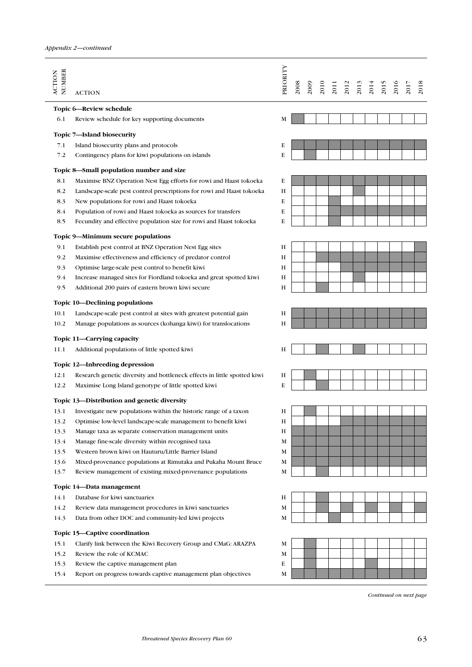| NUMBER<br><b>ACTION</b> | <b>ACTION</b>                                                            | PRIORITY | 2008 | 2009 | 2010 | 2011 | 2012 | 2013 | 2014 | 2015                   | 2016 | 2017 | 2018 |
|-------------------------|--------------------------------------------------------------------------|----------|------|------|------|------|------|------|------|------------------------|------|------|------|
|                         | Topic 6—Review schedule                                                  |          |      |      |      |      |      |      |      |                        |      |      |      |
| 6.1                     | Review schedule for key supporting documents                             | M        |      |      |      |      |      |      |      |                        |      |      |      |
|                         | Topic 7-Island biosecurity                                               |          |      |      |      |      |      |      |      |                        |      |      |      |
| 7.1                     | Island biosecurity plans and protocols                                   | E        |      |      |      |      |      |      |      |                        |      |      |      |
| 7.2                     | Contingency plans for kiwi populations on islands                        | E        |      |      |      |      |      |      |      |                        |      |      |      |
|                         | Topic 8—Small population number and size                                 |          |      |      |      |      |      |      |      |                        |      |      |      |
| 8.1                     | Maximise BNZ Operation Nest Egg efforts for rowi and Haast tokoeka       | E        |      |      |      |      |      |      |      |                        |      |      |      |
| 8.2                     | Landscape-scale pest control prescriptions for rowi and Haast tokoeka    | Η        |      |      |      |      |      |      |      |                        |      |      |      |
| 8.3                     | New populations for rowi and Haast tokoeka                               | E        |      |      |      |      |      |      |      |                        |      |      |      |
| 8.4                     | Population of rowi and Haast tokoeka as sources for transfers            | E        |      |      |      |      |      |      |      |                        |      |      |      |
| 8.5                     | Fecundity and effective population size for rowi and Haast tokoeka       | E        |      |      |      |      |      |      |      |                        |      |      |      |
|                         | Topic 9-Minimum secure populations                                       |          |      |      |      |      |      |      |      |                        |      |      |      |
| 9.1                     | Establish pest control at BNZ Operation Nest Egg sites                   | Н        |      |      |      |      |      |      |      |                        |      |      |      |
| 9.2                     | Maximise effectiveness and efficiency of predator control                | Η        |      |      |      |      |      |      |      |                        |      |      |      |
| 9.3                     | Optimise large-scale pest control to benefit kiwi                        | Η        |      |      |      |      |      |      |      |                        |      |      |      |
| 9.4                     | Increase managed sites for Fiordland tokoeka and great spotted kiwi      | Η        |      |      |      |      |      |      |      |                        |      |      |      |
| 9.5                     | Additional 200 pairs of eastern brown kiwi secure                        | Н        |      |      |      |      |      |      |      |                        |      |      |      |
|                         | Topic 10-Declining populations                                           |          |      |      |      |      |      |      |      |                        |      |      |      |
| 10.1                    | Landscape-scale pest control at sites with greatest potential gain       | Η        |      |      |      |      |      |      |      |                        |      |      |      |
| 10.2                    | Manage populations as sources (kohanga kiwi) for translocations          | Н        |      |      |      |      |      |      |      |                        |      |      |      |
|                         | Topic 11—Carrying capacity                                               |          |      |      |      |      |      |      |      |                        |      |      |      |
| 11.1                    | Additional populations of little spotted kiwi                            | Н        |      |      |      |      |      |      |      |                        |      |      |      |
|                         | Topic 12-Inbreeding depression                                           |          |      |      |      |      |      |      |      |                        |      |      |      |
| 12.1                    | Research genetic diversity and bottleneck effects in little spotted kiwi | Н        |      |      |      |      |      |      |      |                        |      |      |      |
| 12.2                    | Maximise Long Island genotype of little spotted kiwi                     | E        |      |      |      |      |      |      |      |                        |      |      |      |
|                         | Topic 13—Distribution and genetic diversity                              |          |      |      |      |      |      |      |      |                        |      |      |      |
| 13.1                    | Investigate new populations within the historic range of a taxon         | Η        |      |      |      |      |      |      |      |                        |      |      |      |
| 13.2                    | Optimise low-level landscape-scale management to benefit kiwi            | Н        |      |      |      |      |      |      |      |                        |      |      |      |
| 13.3                    | Manage taxa as separate conservation management units                    | Η        |      |      |      |      |      |      |      |                        |      |      |      |
| 13.4                    | Manage fine-scale diversity within recognised taxa                       | M        |      |      |      |      |      |      |      |                        |      |      |      |
| 13.5                    | Western brown kiwi on Hauturu/Little Barrier Island                      | М        |      |      |      |      |      |      |      |                        |      |      |      |
| 13.6                    | Mixed-provenance populations at Rimutaka and Pukaha Mount Bruce          | M        |      |      |      |      |      |      |      |                        |      |      |      |
| 13.7                    | Review management of existing mixed-provenance populations               | М        |      |      |      |      |      |      |      |                        |      |      |      |
|                         | Topic 14-Data management                                                 |          |      |      |      |      |      |      |      |                        |      |      |      |
| 14.1                    | Database for kiwi sanctuaries                                            | Н        |      |      |      |      |      |      |      |                        |      |      |      |
| 14.2                    | Review data management procedures in kiwi sanctuaries                    | M        |      |      |      |      |      |      |      |                        |      |      |      |
| 14.3                    | Data from other DOC and community-led kiwi projects                      | М        |      |      |      |      |      |      |      |                        |      |      |      |
|                         | Topic 15-Captive coordination                                            |          |      |      |      |      |      |      |      |                        |      |      |      |
| 15.1                    | Clarify link between the Kiwi Recovery Group and CMaG: ARAZPA            | M        |      |      |      |      |      |      |      |                        |      |      |      |
| 15.2                    | Review the role of KCMAC                                                 | М        |      |      |      |      |      |      |      |                        |      |      |      |
| 15.3                    | Review the captive management plan                                       | E        |      |      |      |      |      |      |      |                        |      |      |      |
| 15.4                    | Report on progress towards captive management plan objectives            | M        |      |      |      |      |      |      |      |                        |      |      |      |
|                         |                                                                          |          |      |      |      |      |      |      |      | Continued on next page |      |      |      |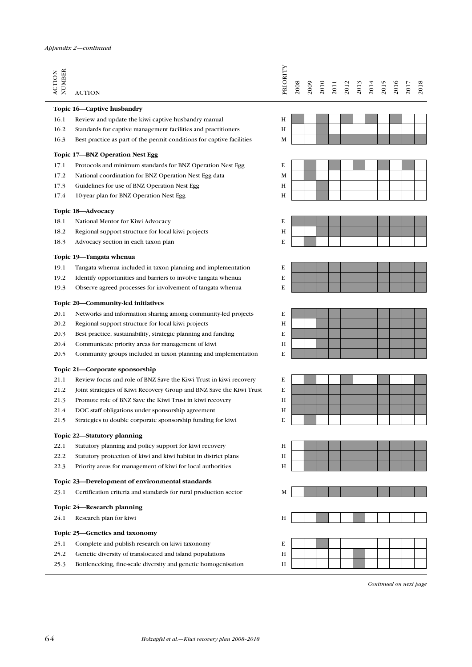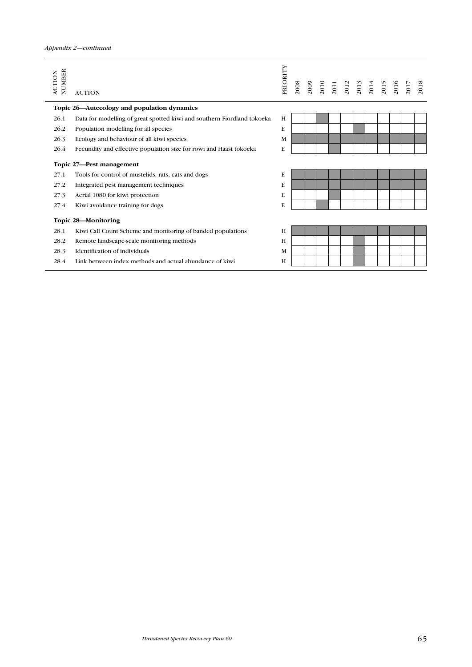| NUMBER<br><b>ACTION</b> | <b>ACTION</b>                                                           | PRIORITY | 2008 |  |  | 2009<br>2010<br>2012<br>2013<br>2014<br>2015 |  | 2017 | 2018 |
|-------------------------|-------------------------------------------------------------------------|----------|------|--|--|----------------------------------------------|--|------|------|
|                         | Topic 26—Autecology and population dynamics                             |          |      |  |  |                                              |  |      |      |
| 26.1                    | Data for modelling of great spotted kiwi and southern Fiordland tokoeka | H        |      |  |  |                                              |  |      |      |
| 26.2                    | Population modelling for all species                                    | E        |      |  |  |                                              |  |      |      |
| 26.3                    | Ecology and behaviour of all kiwi species                               | M        |      |  |  |                                              |  |      |      |
| 26.4                    | Fecundity and effective population size for rowi and Haast tokoeka      | E        |      |  |  |                                              |  |      |      |
|                         | Topic 27-Pest management                                                |          |      |  |  |                                              |  |      |      |
| 27.1                    | Tools for control of mustelids, rats, cats and dogs                     | E        |      |  |  |                                              |  |      |      |
| 27.2                    | Integrated pest management techniques                                   | E        |      |  |  |                                              |  |      |      |
| 27.3                    | Aerial 1080 for kiwi protection                                         | E        |      |  |  |                                              |  |      |      |
| 27.4                    | Kiwi avoidance training for dogs                                        | E        |      |  |  |                                              |  |      |      |
|                         | Topic 28-Monitoring                                                     |          |      |  |  |                                              |  |      |      |
| 28.1                    | Kiwi Call Count Scheme and monitoring of banded populations             | H        |      |  |  |                                              |  |      |      |
| 28.2                    | Remote landscape-scale monitoring methods                               | H        |      |  |  |                                              |  |      |      |
| 28.3                    | Identification of individuals                                           | M        |      |  |  |                                              |  |      |      |
| 28.4                    | Link between index methods and actual abundance of kiwi                 | Н        |      |  |  |                                              |  |      |      |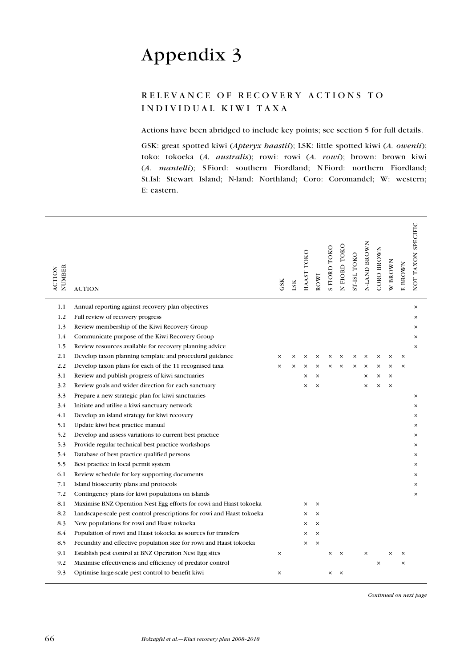# Appendix 3

# RELEVANCE OF RECOVERY ACTIONS TO INDIVIDUAL KIWI TAXA

Actions have been abridged to include key points; see section 5 for full details.

GSK: great spotted kiwi (Apteryx haastii); LSK: little spotted kiwi (A. owenii); toko: tokoeka (A. australis); rowi: rowi (A. rowi); brown: brown kiwi (A. mantelli); S Fiord: southern Fiordland; N Fiord: northern Fiordland; St.Isl: Stewart Island; N-land: Northland; Coro: Coromandel; W: western; E: eastern.

| NUMBER<br><b>ACTION</b> | <b>ACTION</b>                                                         | GSK      | LSK      | HAAST TOKO | ROWI     | S FIORD TOKO | N FIORD TOKO | ST-ISL TOKO | N-LAND BROWN | CORO BROWN | W BROWN  | E BROWN  | NOT TAXON SPECIFIC |
|-------------------------|-----------------------------------------------------------------------|----------|----------|------------|----------|--------------|--------------|-------------|--------------|------------|----------|----------|--------------------|
| 1.1                     | Annual reporting against recovery plan objectives                     |          |          |            |          |              |              |             |              |            |          |          | $\times$           |
| 1.2                     | Full review of recovery progress                                      |          |          |            |          |              |              |             |              |            |          |          | ×                  |
| 1.3                     | Review membership of the Kiwi Recovery Group                          |          |          |            |          |              |              |             |              |            |          |          | ×                  |
| 1.4                     | Communicate purpose of the Kiwi Recovery Group                        |          |          |            |          |              |              |             |              |            |          |          | $\times$           |
| 1.5                     | Review resources available for recovery planning advice               |          |          |            |          |              |              |             |              |            |          |          | $\times$           |
| 2.1                     | Develop taxon planning template and procedural guidance               | ×        | ×        | ×          | ×        | $\times$     | ×            | $\times$    | $\times$     | ×          | $\times$ | $\times$ |                    |
| 2.2                     | Develop taxon plans for each of the 11 recognised taxa                | ×        | $\times$ | ×          | ×        | ×            | $\times$     | $\times$    | $\times$     | ×          | ×        | $\times$ |                    |
| 3.1                     | Review and publish progress of kiwi sanctuaries                       |          |          | ×          | ×        |              |              |             | $\times$     | $\times$   | $\times$ |          |                    |
| 3.2                     | Review goals and wider direction for each sanctuary                   |          |          | ×          | $\times$ |              |              |             | $\times$     | $\times$   | $\times$ |          |                    |
| 3.3                     | Prepare a new strategic plan for kiwi sanctuaries                     |          |          |            |          |              |              |             |              |            |          |          | $\times$           |
| 3.4                     | Initiate and utilise a kiwi sanctuary network                         |          |          |            |          |              |              |             |              |            |          |          | $\times$           |
| 4.1                     | Develop an island strategy for kiwi recovery                          |          |          |            |          |              |              |             |              |            |          |          | ×                  |
| 5.1                     | Update kiwi best practice manual                                      |          |          |            |          |              |              |             |              |            |          |          | ×                  |
| 5.2                     | Develop and assess variations to current best practice                |          |          |            |          |              |              |             |              |            |          |          | ×                  |
| 5.3                     | Provide regular technical best practice workshops                     |          |          |            |          |              |              |             |              |            |          |          | ×                  |
| 5.4                     | Database of best practice qualified persons                           |          |          |            |          |              |              |             |              |            |          |          | ×                  |
| 5.5                     | Best practice in local permit system                                  |          |          |            |          |              |              |             |              |            |          |          | ×                  |
| 6.1                     | Review schedule for key supporting documents                          |          |          |            |          |              |              |             |              |            |          |          | ×                  |
| 7.1                     | Island biosecurity plans and protocols                                |          |          |            |          |              |              |             |              |            |          |          | $\times$           |
| 7.2                     | Contingency plans for kiwi populations on islands                     |          |          |            |          |              |              |             |              |            |          |          | $\times$           |
| 8.1                     | Maximise BNZ Operation Nest Egg efforts for rowi and Haast tokoeka    |          |          | ×          | $\times$ |              |              |             |              |            |          |          |                    |
| 8.2                     | Landscape-scale pest control prescriptions for rowi and Haast tokoeka |          |          | ×          | $\times$ |              |              |             |              |            |          |          |                    |
| 8.3                     | New populations for rowi and Haast tokoeka                            |          |          | ×          | $\times$ |              |              |             |              |            |          |          |                    |
| 8.4                     | Population of rowi and Haast tokoeka as sources for transfers         |          |          | ×          | $\times$ |              |              |             |              |            |          |          |                    |
| 8.5                     | Fecundity and effective population size for rowi and Haast tokoeka    |          |          | $\times$   | $\times$ |              |              |             |              |            |          |          |                    |
| 9.1                     | Establish pest control at BNZ Operation Nest Egg sites                | $\times$ |          |            |          | ×            | $\times$     |             | $\times$     |            | ×        | $\times$ |                    |
| 9.2                     | Maximise effectiveness and efficiency of predator control             |          |          |            |          |              |              |             |              | $\times$   |          | $\times$ |                    |
| 9.3                     | Optimise large-scale pest control to benefit kiwi                     | ×        |          |            |          | ×            | $\times$     |             |              |            |          |          |                    |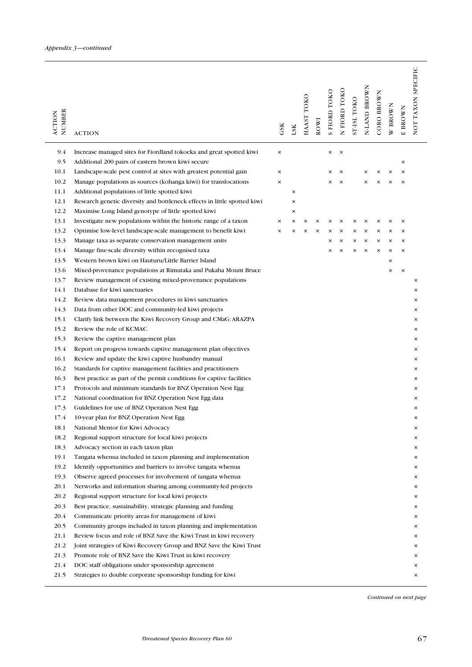| NUMBER<br><b>ACTION</b> | <b>ACTION</b>                                                                             | GSK      | LSK | HAAST TOKO | ROWI | <b>S FIORD TOKO</b> | N FIORD TOKO | ST-ISL TOKO | N-LAND BROWN | CORO BROWN | W BROWN  | E BROWN  | NOT TAXON SPECIFIC |
|-------------------------|-------------------------------------------------------------------------------------------|----------|-----|------------|------|---------------------|--------------|-------------|--------------|------------|----------|----------|--------------------|
| 9.4                     | Increase managed sites for Fiordland tokoeka and great spotted kiwi                       | $\times$ |     |            |      | ×                   | $\times$     |             |              |            |          |          |                    |
| 9.5                     | Additional 200 pairs of eastern brown kiwi secure                                         |          |     |            |      |                     |              |             |              |            |          | $\times$ |                    |
| 10.1                    | Landscape-scale pest control at sites with greatest potential gain                        | $\times$ |     |            |      | ×                   | $\times$     |             | ×            | ×          | ×        | $\times$ |                    |
| 10.2                    | Manage populations as sources (kohanga kiwi) for translocations                           | $\times$ |     |            |      | ×                   | $\times$     |             | ×            | $\times$   | ×        | $\times$ |                    |
| 11.1                    | Additional populations of little spotted kiwi                                             |          | ×   |            |      |                     |              |             |              |            |          |          |                    |
| 12.1                    | Research genetic diversity and bottleneck effects in little spotted kiwi                  |          | ×   |            |      |                     |              |             |              |            |          |          |                    |
| 12.2                    | Maximise Long Island genotype of little spotted kiwi                                      |          | ×   |            |      |                     |              |             |              |            |          |          |                    |
| 13.1                    | Investigate new populations within the historic range of a taxon                          | $\times$ | ×   | ×          | ×    | ×                   | ×            | ×           | ×            | ×          | ×        | ×        |                    |
| 13.2                    | Optimise low-level landscape-scale management to benefit kiwi                             | ×        | ×   | ×          | ×    | ×                   | ×            | ×           | ×            | $\times$   | ×        | ×        |                    |
| 13.3                    | Manage taxa as separate conservation management units                                     |          |     |            |      | ×                   | ×            | ×           | $\times$     | $\times$   | ×        | $\times$ |                    |
| 13.4                    | Manage fine-scale diversity within recognised taxa                                        |          |     |            |      | ×                   | $\times$     | $\times$    | $\times$     | $\times$   | $\times$ | $\times$ |                    |
| 13.5                    | Western brown kiwi on Hauturu/Little Barrier Island                                       |          |     |            |      |                     |              |             |              |            | ×        |          |                    |
| 13.6                    | Mixed-provenance populations at Rimutaka and Pukaha Mount Bruce                           |          |     |            |      |                     |              |             |              |            | ×        | $\times$ |                    |
| 13.7                    | Review management of existing mixed-provenance populations                                |          |     |            |      |                     |              |             |              |            |          |          | ×                  |
| 14.1                    | Database for kiwi sanctuaries                                                             |          |     |            |      |                     |              |             |              |            |          |          | ×                  |
| 14.2                    | Review data management procedures in kiwi sanctuaries                                     |          |     |            |      |                     |              |             |              |            |          |          | ×                  |
| 14.3<br>15.1            | Data from other DOC and community-led kiwi projects                                       |          |     |            |      |                     |              |             |              |            |          |          | ×<br>×             |
| 15.2                    | Clarify link between the Kiwi Recovery Group and CMaG: ARAZPA<br>Review the role of KCMAC |          |     |            |      |                     |              |             |              |            |          |          | ×                  |
| 15.3                    | Review the captive management plan                                                        |          |     |            |      |                     |              |             |              |            |          |          | ×                  |
| 15.4                    | Report on progress towards captive management plan objectives                             |          |     |            |      |                     |              |             |              |            |          |          | ×                  |
| 16.1                    | Review and update the kiwi captive husbandry manual                                       |          |     |            |      |                     |              |             |              |            |          |          | ×                  |
| 16.2                    | Standards for captive management facilities and practitioners                             |          |     |            |      |                     |              |             |              |            |          |          | ×                  |
| 16.3                    | Best practice as part of the permit conditions for captive facilities                     |          |     |            |      |                     |              |             |              |            |          |          | ×                  |
| 17.1                    | Protocols and minimum standards for BNZ Operation Nest Egg                                |          |     |            |      |                     |              |             |              |            |          |          | ×                  |
| 17.2                    | National coordination for BNZ Operation Nest Egg data                                     |          |     |            |      |                     |              |             |              |            |          |          | ×                  |
| 17.3                    | Guidelines for use of BNZ Operation Nest Egg                                              |          |     |            |      |                     |              |             |              |            |          |          | ×                  |
| 17.4                    | 10-year plan for BNZ Operation Nest Egg                                                   |          |     |            |      |                     |              |             |              |            |          |          |                    |
| 18.1                    | National Mentor for Kiwi Advocacy                                                         |          |     |            |      |                     |              |             |              |            |          |          | ×                  |
| 18.2                    | Regional support structure for local kiwi projects                                        |          |     |            |      |                     |              |             |              |            |          |          | ×                  |
| 18.3                    | Advocacy section in each taxon plan                                                       |          |     |            |      |                     |              |             |              |            |          |          | ×                  |
| 19.1                    | Tangata whenua included in taxon planning and implementation                              |          |     |            |      |                     |              |             |              |            |          |          | ×                  |
| 19.2                    | Identify opportunities and barriers to involve tangata whenua                             |          |     |            |      |                     |              |             |              |            |          |          | ×                  |
| 19.3                    | Observe agreed processes for involvement of tangata whenua                                |          |     |            |      |                     |              |             |              |            |          |          | ×                  |
| 20.1                    | Networks and information sharing among community led projects                             |          |     |            |      |                     |              |             |              |            |          |          | ×                  |
| 20.2                    | Regional support structure for local kiwi projects                                        |          |     |            |      |                     |              |             |              |            |          |          | ×                  |
| 20.3                    | Best practice, sustainability, strategic planning and funding                             |          |     |            |      |                     |              |             |              |            |          |          | ×                  |
| 20.4                    | Communicate priority areas for management of kiwi                                         |          |     |            |      |                     |              |             |              |            |          |          | ×                  |
| 20.5                    | Community groups included in taxon planning and implementation                            |          |     |            |      |                     |              |             |              |            |          |          | ×                  |
| 21.1                    | Review focus and role of BNZ Save the Kiwi Trust in kiwi recovery                         |          |     |            |      |                     |              |             |              |            |          |          | ×                  |
| 21.2                    | Joint strategies of Kiwi Recovery Group and BNZ Save the Kiwi Trust                       |          |     |            |      |                     |              |             |              |            |          |          | ×                  |
| 21.3                    | Promote role of BNZ Save the Kiwi Trust in kiwi recovery                                  |          |     |            |      |                     |              |             |              |            |          |          | ×                  |
| 21.4                    | DOC staff obligations under sponsorship agreement                                         |          |     |            |      |                     |              |             |              |            |          |          | ×                  |
| 21.5                    | Strategies to double corporate sponsorship funding for kiwi                               |          |     |            |      |                     |              |             |              |            |          |          | ×                  |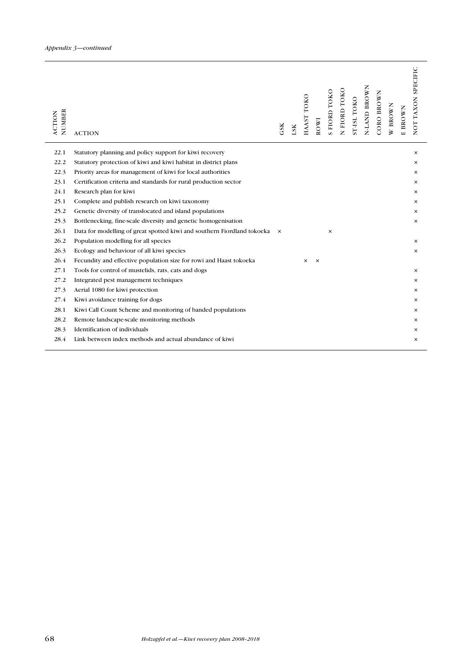| 22.1<br>Statutory planning and policy support for kiwi recovery                                             | $\times$ |
|-------------------------------------------------------------------------------------------------------------|----------|
| 22.2<br>Statutory protection of kiwi and kiwi habitat in district plans                                     | ×        |
| 22.3<br>Priority areas for management of kiwi for local authorities                                         | ×        |
| 23.1<br>Certification criteria and standards for rural production sector                                    | $\times$ |
| 24.1<br>Research plan for kiwi                                                                              | $\times$ |
| 25.1<br>Complete and publish research on kiwi taxonomy                                                      | $\times$ |
| 25.2<br>Genetic diversity of translocated and island populations                                            | $\times$ |
| 25.3<br>Bottlenecking, fine-scale diversity and genetic homogenisation                                      | $\times$ |
| 26.1<br>Data for modelling of great spotted kiwi and southern Fiordland tokoeka<br>$\mathsf{x}$<br>$\times$ |          |
| 26.2<br>Population modelling for all species                                                                | ×        |
| 26.3<br>Ecology and behaviour of all kiwi species                                                           | $\times$ |
| 26.4<br>Fecundity and effective population size for rowi and Haast tokoeka<br>$\times$<br>$\times$          |          |
| 27.1<br>Tools for control of mustelids, rats, cats and dogs                                                 | $\times$ |
| 27.2<br>Integrated pest management techniques                                                               | $\times$ |
| 27.3<br>Aerial 1080 for kiwi protection                                                                     | $\times$ |
| 27.4<br>Kiwi avoidance training for dogs                                                                    | $\times$ |
| 28.1<br>Kiwi Call Count Scheme and monitoring of banded populations                                         | ×        |
| 28.2<br>Remote landscape-scale monitoring methods                                                           | $\times$ |
| Identification of individuals<br>28.3                                                                       | ×        |
| 28.4<br>Link between index methods and actual abundance of kiwi                                             | $\times$ |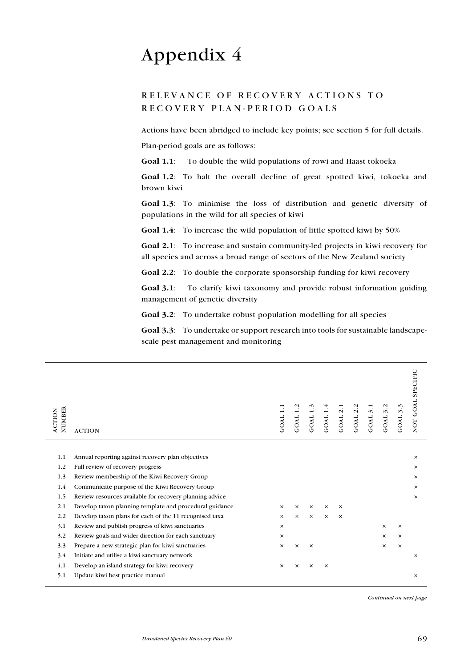# Appendix 4

# RELEVANCE OF RECOVERY ACTIONS TO reco v ery plan - period goals

Actions have been abridged to include key points; see section 5 for full details.

Plan-period goals are as follows:

Goal 1.1: To double the wild populations of rowi and Haast tokoeka

Goal 1.2: To halt the overall decline of great spotted kiwi, tokoeka and brown kiwi

Goal 1.3: To minimise the loss of distribution and genetic diversity of populations in the wild for all species of kiwi

Goal 1.4: To increase the wild population of little spotted kiwi by 50%

Goal 2.1: To increase and sustain community-led projects in kiwi recovery for all species and across a broad range of sectors of the New Zealand society

Goal 2.2: To double the corporate sponsorship funding for kiwi recovery

Goal 3.1: To clarify kiwi taxonomy and provide robust information guiding management of genetic diversity

Goal 3.2: To undertake robust population modelling for all species

Goal 3.3: To undertake or support research into tools for sustainable landscapescale pest management and monitoring

| NUMBER<br>ACTION | <b>ACTION</b>                                           | GOAL <sub>1</sub> | GOAL     | GOAL <sub>1</sub> | GOAL     | $\overline{\mathcal{N}}$<br>GOAL | $\mathbf{\sim}$<br>$\ddot{\sim}$<br>GOAL | $\ddot{\delta}$<br>GOAL | 3.2<br>GOAL | GOAL 3.3 | NOT GOAL SPECIFIC |
|------------------|---------------------------------------------------------|-------------------|----------|-------------------|----------|----------------------------------|------------------------------------------|-------------------------|-------------|----------|-------------------|
|                  |                                                         |                   |          |                   |          |                                  |                                          |                         |             |          |                   |
| 1.1              | Annual reporting against recovery plan objectives       |                   |          |                   |          |                                  |                                          |                         |             |          | $\times$          |
| 1.2              | Full review of recovery progress                        |                   |          |                   |          |                                  |                                          |                         |             |          | ×                 |
| 1.3              | Review membership of the Kiwi Recovery Group            |                   |          |                   |          |                                  |                                          |                         |             |          | $\times$          |
| 1.4              | Communicate purpose of the Kiwi Recovery Group          |                   |          |                   |          |                                  |                                          |                         |             |          | ×                 |
| 1.5              | Review resources available for recovery planning advice |                   |          |                   |          |                                  |                                          |                         |             |          | $\times$          |
| 2.1              | Develop taxon planning template and procedural guidance | $\times$          | $\times$ | ×                 | $\times$ | $\times$                         |                                          |                         |             |          |                   |
| 2.2              | Develop taxon plans for each of the 11 recognised taxa  | $\times$          | $\times$ | $\times$          | $\times$ | $\times$                         |                                          |                         |             |          |                   |
| 3.1              | Review and publish progress of kiwi sanctuaries         | $\times$          |          |                   |          |                                  |                                          |                         | $\times$    | $\times$ |                   |
| 3.2              | Review goals and wider direction for each sanctuary     | $\times$          |          |                   |          |                                  |                                          |                         | $\times$    | $\times$ |                   |
| 3.3              | Prepare a new strategic plan for kiwi sanctuaries       | $\times$          | $\times$ | $\times$          |          |                                  |                                          |                         | $\times$    | $\times$ |                   |
| 3.4              | Initiate and utilise a kiwi sanctuary network           |                   |          |                   |          |                                  |                                          |                         |             |          | $\times$          |
| 4.1              | Develop an island strategy for kiwi recovery            | $\times$          | $\times$ | $\times$          | $\times$ |                                  |                                          |                         |             |          |                   |
| 5.1              | Update kiwi best practice manual                        |                   |          |                   |          |                                  |                                          |                         |             |          | $\times$          |
|                  |                                                         |                   |          |                   |          |                                  |                                          |                         |             |          |                   |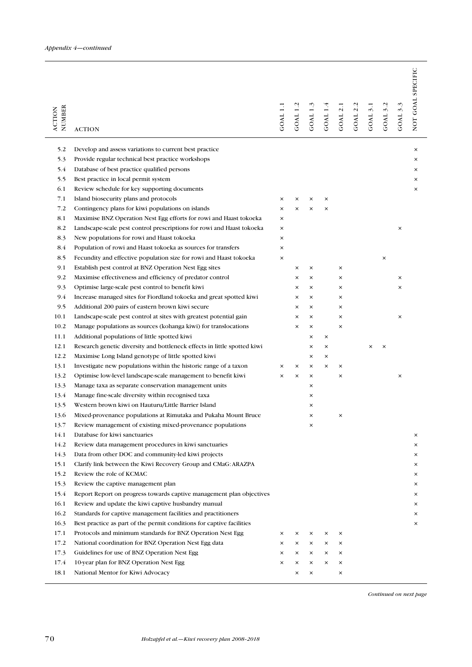| NUMBER<br><b>ACTION</b> | <b>ACTION</b>                                                                           | <b>GOAL 1.1</b> | GOAL 1.       | GOAL 1.  | GOAL 1        | GOAL 2.       | GOAL <sub>2</sub> . | GOAL 3.1 | GOAL 3.2 | GOAL 3.3 | NOT GOAL SPECIFIC |
|-------------------------|-----------------------------------------------------------------------------------------|-----------------|---------------|----------|---------------|---------------|---------------------|----------|----------|----------|-------------------|
| 5.2                     | Develop and assess variations to current best practice                                  |                 |               |          |               |               |                     |          |          |          | $\times$          |
| 5.3                     | Provide regular technical best practice workshops                                       |                 |               |          |               |               |                     |          |          |          | ×                 |
| 5.4                     | Database of best practice qualified persons                                             |                 |               |          |               |               |                     |          |          |          | $\times$          |
| 5.5                     | Best practice in local permit system                                                    |                 |               |          |               |               |                     |          |          |          | ×                 |
| 6.1                     | Review schedule for key supporting documents                                            |                 |               |          |               |               |                     |          |          |          | ×                 |
| 7.1                     | Island biosecurity plans and protocols                                                  | ×               | ×             | ×        | ×             |               |                     |          |          |          |                   |
| 7.2                     | Contingency plans for kiwi populations on islands                                       | ×               | $\times$      | $\times$ | $\times$      |               |                     |          |          |          |                   |
| 8.1                     | Maximise BNZ Operation Nest Egg efforts for rowi and Haast tokoeka                      | ×               |               |          |               |               |                     |          |          |          |                   |
| 8.2                     | Landscape-scale pest control prescriptions for rowi and Haast to koeka                  | ×               |               |          |               |               |                     |          |          | ×        |                   |
| 8.3                     | New populations for rowi and Haast tokoeka                                              | ×               |               |          |               |               |                     |          |          |          |                   |
| 8.4                     | Population of rowi and Haast tokoeka as sources for transfers                           | ×               |               |          |               |               |                     |          |          |          |                   |
| 8.5                     | Fecundity and effective population size for rowi and Haast tokoeka                      | ×               |               |          |               |               |                     |          | $\times$ |          |                   |
| 9.1                     | Establish pest control at BNZ Operation Nest Egg sites                                  |                 | ×             | $\times$ |               | $\times$      |                     |          |          |          |                   |
| 9.2                     | Maximise effectiveness and efficiency of predator control                               |                 | ×             | $\times$ |               | ×             |                     |          |          | ×        |                   |
| 9.3                     | Optimise large-scale pest control to benefit kiwi                                       |                 | $\times$      | ×        |               | $\times$      |                     |          |          | ×        |                   |
| 9.4                     | Increase managed sites for Fiordland tokoeka and great spotted kiwi                     |                 | $\times$      | ×        |               | $\times$      |                     |          |          |          |                   |
| 9.5                     | Additional 200 pairs of eastern brown kiwi secure                                       |                 | $\times$      | ×        |               | $\times$      |                     |          |          |          |                   |
| 10.1                    | Landscape-scale pest control at sites with greatest potential gain                      |                 | $\times$      | $\times$ |               | ×             |                     |          |          | $\times$ |                   |
| 10.2                    | Manage populations as sources (kohanga kiwi) for translocations                         |                 | $\times$      | $\times$ |               | ×             |                     |          |          |          |                   |
| 11.1                    | Additional populations of little spotted kiwi                                           |                 |               | ×        | ×             |               |                     |          |          |          |                   |
| 12.1                    | Research genetic diversity and bottleneck effects in little spotted kiwi                |                 |               | ×        | ×             |               |                     | ×        | $\times$ |          |                   |
| 12.2                    | Maximise Long Island genotype of little spotted kiwi                                    |                 |               | ×        | ×             |               |                     |          |          |          |                   |
| 13.1                    | Investigate new populations within the historic range of a taxon                        | ×               | $\times$      | ×        | ×             | ×             |                     |          |          |          |                   |
| 13.2                    | Optimise low-level landscape-scale management to benefit kiwi                           | ×               | $\times$      | ×        |               | $\times$      |                     |          |          | ×        |                   |
| 13.3                    | Manage taxa as separate conservation management units.                                  |                 |               | $\times$ |               |               |                     |          |          |          |                   |
| 13.4                    | Manage fine-scale diversity within recognised taxa                                      |                 |               | ×        |               |               |                     |          |          |          |                   |
| 13.5                    | Western brown kiwi on Hauturu/Little Barrier Island                                     |                 |               | ×        |               |               |                     |          |          |          |                   |
| 13.6                    | Mixed-provenance populations at Rimutaka and Pukaha Mount Bruce                         |                 |               | ×        |               | ×             |                     |          |          |          |                   |
| 13.7                    | Review management of existing mixed-provenance populations                              |                 |               | ×        |               |               |                     |          |          |          |                   |
| 14.1                    | Database for kiwi sanctuaries                                                           |                 |               |          |               |               |                     |          |          |          | ×                 |
| 14.2                    | Review data management procedures in kiwi sanctuaries                                   |                 |               |          |               |               |                     |          |          |          | $\times$          |
| 14.3                    | Data from other DOC and community led kiwi projects                                     |                 |               |          |               |               |                     |          |          |          | ×                 |
| 15.1                    | Clarify link between the Kiwi Recovery Group and CMaG: ARAZPA                           |                 |               |          |               |               |                     |          |          |          | ×                 |
| 15.2                    | Review the role of KCMAC                                                                |                 |               |          |               |               |                     |          |          |          | ×                 |
| 15.3                    | Review the captive management plan                                                      |                 |               |          |               |               |                     |          |          |          | ×                 |
| 15.4                    | Report Report on progress towards captive management plan objectives                    |                 |               |          |               |               |                     |          |          |          | ×                 |
| 16.1                    | Review and update the kiwi captive husbandry manual                                     |                 |               |          |               |               |                     |          |          |          | ×                 |
| 16.2                    | Standards for captive management facilities and practitioners                           |                 |               |          |               |               |                     |          |          |          | ×                 |
| 16.3                    | Best practice as part of the permit conditions for captive facilities                   |                 |               |          |               |               |                     |          |          |          | ×                 |
| 17.1<br>17.2            | Protocols and minimum standards for BNZ Operation Nest Egg                              | ×<br>×          | $\times$<br>× | ×<br>×   | ×<br>$\times$ | $\times$<br>× |                     |          |          |          |                   |
| 17.3                    | National coordination for BNZ Operation Nest Egg data                                   | ×               | $\times$      | $\times$ | ×             | ×             |                     |          |          |          |                   |
| 17.4                    | Guidelines for use of BNZ Operation Nest Egg<br>10-year plan for BNZ Operation Nest Egg | ×               | $\times$      | ×        | ×             | ×             |                     |          |          |          |                   |
| 18.1                    | National Mentor for Kiwi Advocacy                                                       |                 | $\times$      | ×        |               | ×             |                     |          |          |          |                   |
|                         |                                                                                         |                 |               |          |               |               |                     |          |          |          |                   |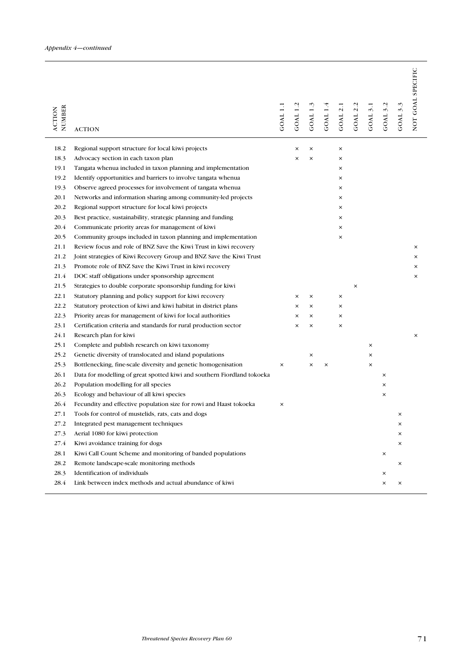| NUMBER<br><b>ACTION</b> | <b>ACTION</b>                                                           | GOAL 1.1 | GOAL 1.  | GOAL 1.  | GOAL 1.4 | GOAL <sub>2</sub> . | $\mathbf{\sim}$<br>GOAL <sub>2</sub> . | GOAL 3.1 | $\mathbf{C}$<br>GOAL <sub>3</sub> . | GOAL 3.3 | NOT GOAL SPECIFIC |
|-------------------------|-------------------------------------------------------------------------|----------|----------|----------|----------|---------------------|----------------------------------------|----------|-------------------------------------|----------|-------------------|
| 18.2                    | Regional support structure for local kiwi projects                      |          | $\times$ | $\times$ |          | $\times$            |                                        |          |                                     |          |                   |
| 18.3                    | Advocacy section in each taxon plan                                     |          | ×        | ×        |          | ×                   |                                        |          |                                     |          |                   |
| 19.1                    | Tangata whenua included in taxon planning and implementation            |          |          |          |          | $\times$            |                                        |          |                                     |          |                   |
| 19.2                    | Identify opportunities and barriers to involve tangata when a           |          |          |          |          | $\times$            |                                        |          |                                     |          |                   |
| 19.3                    | Observe agreed processes for involvement of tangata whenua              |          |          |          |          | $\times$            |                                        |          |                                     |          |                   |
| 20.1                    | Networks and information sharing among community led projects           |          |          |          |          | $\times$            |                                        |          |                                     |          |                   |
| 20.2                    | Regional support structure for local kiwi projects                      |          |          |          |          | $\times$            |                                        |          |                                     |          |                   |
| 20.3                    | Best practice, sustainability, strategic planning and funding           |          |          |          |          | $\times$            |                                        |          |                                     |          |                   |
| 20.4                    | Communicate priority areas for management of kiwi                       |          |          |          |          | ×                   |                                        |          |                                     |          |                   |
| 20.5                    | Community groups included in taxon planning and implementation          |          |          |          |          | $\times$            |                                        |          |                                     |          |                   |
| 21.1                    | Review focus and role of BNZ Save the Kiwi Trust in kiwi recovery       |          |          |          |          |                     |                                        |          |                                     |          | ×                 |
| 21.2                    | Joint strategies of Kiwi Recovery Group and BNZ Save the Kiwi Trust     |          |          |          |          |                     |                                        |          |                                     |          | ×                 |
| 21.3                    | Promote role of BNZ Save the Kiwi Trust in kiwi recovery                |          |          |          |          |                     |                                        |          |                                     |          | ×                 |
| 21.4                    | DOC staff obligations under sponsorship agreement                       |          |          |          |          |                     |                                        |          |                                     |          | ×                 |
| 21.5                    | Strategies to double corporate sponsorship funding for kiwi             |          |          |          |          |                     | $\times$                               |          |                                     |          |                   |
| 22.1                    | Statutory planning and policy support for kiwi recovery                 |          | ×        | ×        |          | $\times$            |                                        |          |                                     |          |                   |
| 22.2                    | Statutory protection of kiwi and kiwi habitat in district plans         |          | ×        | ×        |          | ×                   |                                        |          |                                     |          |                   |
| 22.3                    | Priority areas for management of kiwi for local authorities             |          | ×        | $\times$ |          | $\times$            |                                        |          |                                     |          |                   |
| 23.1                    | Certification criteria and standards for rural production sector        |          | ×        | $\times$ |          | $\times$            |                                        |          |                                     |          |                   |
| 24.1                    | Research plan for kiwi                                                  |          |          |          |          |                     |                                        |          |                                     |          | ×                 |
| 25.1                    | Complete and publish research on kiwi taxonomy                          |          |          |          |          |                     |                                        | ×        |                                     |          |                   |
| 25.2                    | Genetic diversity of translocated and island populations                |          |          | $\times$ |          |                     |                                        | $\times$ |                                     |          |                   |
| 25.3                    | Bottlenecking, fine-scale diversity and genetic homogenisation          | $\times$ |          | $\times$ | ×        |                     |                                        | $\times$ |                                     |          |                   |
| 26.1                    | Data for modelling of great spotted kiwi and southern Fiordland tokoeka |          |          |          |          |                     |                                        |          | $\times$                            |          |                   |
| 26.2                    | Population modelling for all species                                    |          |          |          |          |                     |                                        |          | ×                                   |          |                   |
| 26.3                    | Ecology and behaviour of all kiwi species                               |          |          |          |          |                     |                                        |          | ×                                   |          |                   |
| 26.4                    | Fecundity and effective population size for rowi and Haast tokoeka      | $\times$ |          |          |          |                     |                                        |          |                                     |          |                   |
| 27.1                    | Tools for control of mustelids, rats, cats and dogs                     |          |          |          |          |                     |                                        |          |                                     | $\times$ |                   |
| 27.2                    | Integrated pest management techniques                                   |          |          |          |          |                     |                                        |          |                                     | ×        |                   |
| 27.3                    | Aerial 1080 for kiwi protection                                         |          |          |          |          |                     |                                        |          |                                     | ×        |                   |
| 27.4                    | Kiwi avoidance training for dogs                                        |          |          |          |          |                     |                                        |          |                                     | ×        |                   |
| 28.1                    | Kiwi Call Count Scheme and monitoring of banded populations             |          |          |          |          |                     |                                        |          | $\times$                            |          |                   |
| 28.2                    | Remote landscape-scale monitoring methods                               |          |          |          |          |                     |                                        |          |                                     | ×        |                   |
| 28.3                    | Identification of individuals                                           |          |          |          |          |                     |                                        |          | $\times$                            |          |                   |
| 28.4                    | Link between index methods and actual abundance of kiwi                 |          |          |          |          |                     |                                        |          | ×                                   | ×        |                   |